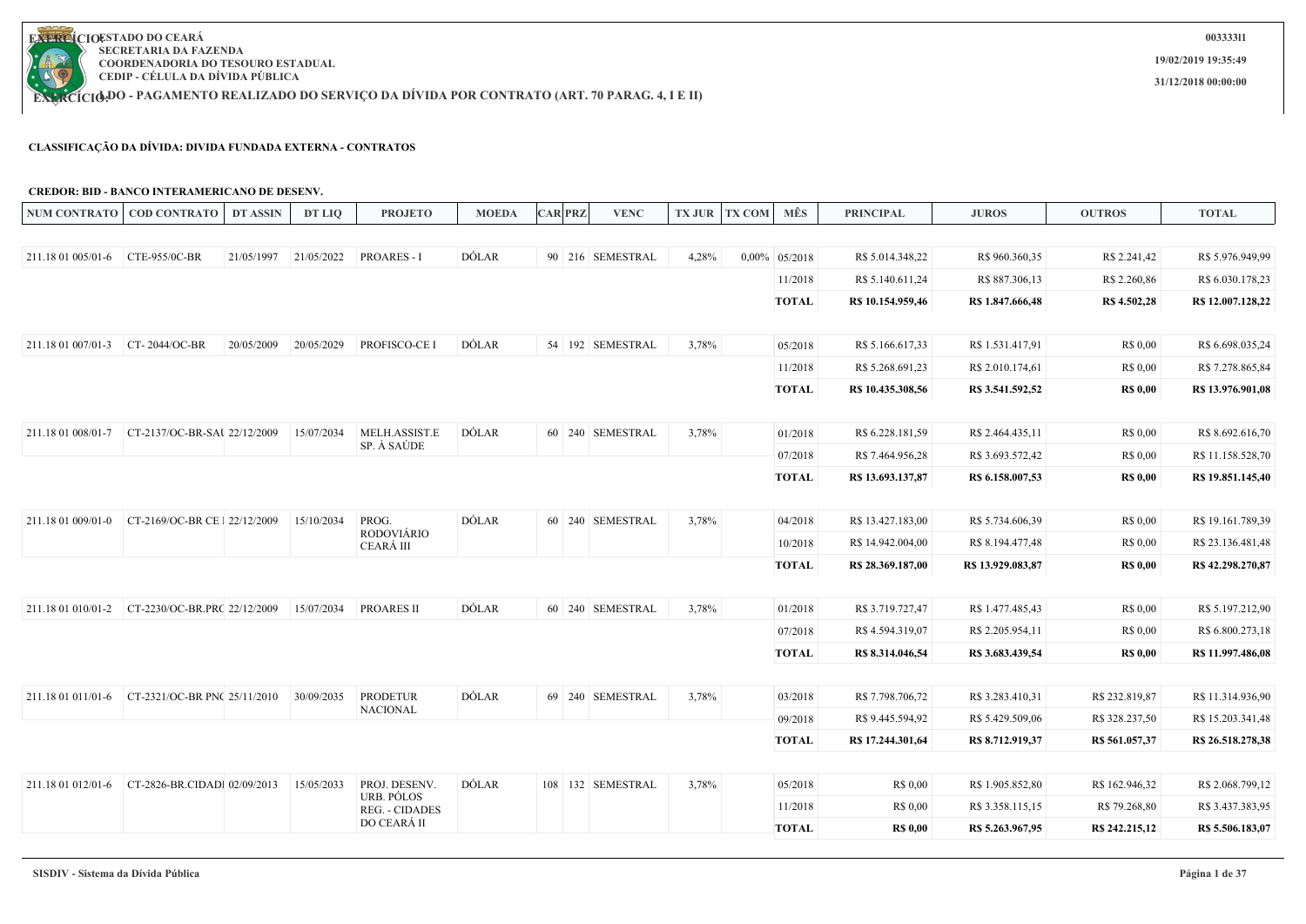

**EXERCÍCIODO - PAGAMENTO REALIZADO DO SERVIÇO DA DIVIDA POR CONTRATO (ART. 70 PARAG. 4, I E II)** 

#### **CLASSIFICAÇÃO DA DÍVIDA: DIVIDA FUNDADA EXTERNA - CONTRATOS**

#### **CREDOR: BID - BANCO INTERAMERICANO DE DESENV.**

|                    | NUM CONTRATO   COD CONTRATO                      | <b>DT ASSIN</b> | DT LIQ     | <b>PROJETO</b>                      | <b>MOEDA</b> | <b>CAR PRZ</b> | <b>VENC</b>       |       | TX JUR TX COM | MÊS              | <b>PRINCIPAL</b>  | <b>JUROS</b>      | <b>OUTROS</b>   | <b>TOTAL</b>      |
|--------------------|--------------------------------------------------|-----------------|------------|-------------------------------------|--------------|----------------|-------------------|-------|---------------|------------------|-------------------|-------------------|-----------------|-------------------|
|                    |                                                  |                 |            |                                     |              |                |                   |       |               |                  |                   |                   |                 |                   |
| 211.18 01 005/01-6 | CTE-955/0C-BR                                    | 21/05/1997      | 21/05/2022 | <b>PROARES - I</b>                  | DÓLAR        |                | 90 216 SEMESTRAL  | 4,28% |               | $0,00\%$ 05/2018 | R\$ 5.014.348,22  | R\$ 960.360,35    | R\$ 2.241,42    | R\$ 5.976.949,99  |
|                    |                                                  |                 |            |                                     |              |                |                   |       |               | 11/2018          | R\$ 5.140.611,24  | R\$ 887.306,13    | R\$ 2.260,86    | R\$ 6.030.178,23  |
|                    |                                                  |                 |            |                                     |              |                |                   |       |               | <b>TOTAL</b>     | R\$ 10.154.959,46 | R\$ 1.847.666,48  | R\$ 4.502,28    | R\$ 12.007.128,22 |
| 211.18 01 007/01-3 | CT-2044/OC-BR                                    | 20/05/2009      | 20/05/2029 | PROFISCO-CE I                       | <b>DOLAR</b> |                | 54 192 SEMESTRAL  | 3,78% |               | 05/2018          | R\$ 5.166.617,33  | R\$ 1.531.417,91  | R\$ 0,00        | R\$ 6.698.035,24  |
|                    |                                                  |                 |            |                                     |              |                |                   |       |               | 11/2018          | R\$ 5.268.691,23  | R\$ 2.010.174,61  | R\$ 0,00        | R\$ 7.278.865,84  |
|                    |                                                  |                 |            |                                     |              |                |                   |       |               | <b>TOTAL</b>     | R\$ 10.435.308,56 | R\$ 3.541.592,52  | <b>R\$ 0,00</b> | R\$ 13.976.901,08 |
|                    |                                                  |                 | 15/07/2034 | MELH.ASSIST.E                       | <b>DÓLAR</b> |                | 60 240 SEMESTRAL  | 3,78% |               | 01/2018          | R\$ 6.228.181,59  | R\$ 2.464.435,11  | R\$ 0,00        | R\$ 8.692.616,70  |
|                    |                                                  |                 |            | SP. À SAÚDE                         |              |                |                   |       |               | 07/2018          | R\$ 7.464.956,28  | R\$ 3.693.572,42  | R\$ 0,00        | R\$ 11.158.528,70 |
|                    |                                                  |                 |            |                                     |              |                |                   |       |               | <b>TOTAL</b>     | R\$ 13.693.137,87 | R\$ 6.158.007,53  | <b>R\$ 0,00</b> | R\$ 19.851.145,40 |
|                    | 211.18 01 009/01-0 CT-2169/OC-BR CE 1 22/12/2009 |                 | 15/10/2034 | PROG.                               | DÓLAR        |                | 60 240 SEMESTRAL  | 3,78% |               | 04/2018          | R\$ 13.427.183,00 | R\$ 5.734.606,39  | R\$ 0,00        | R\$ 19.161.789,39 |
|                    |                                                  |                 |            | <b>RODOVIÁRIO</b><br>CEARÁ III      |              |                |                   |       |               | 10/2018          | R\$ 14.942.004,00 | R\$ 8.194.477,48  | R\$ 0,00        | R\$ 23.136.481,48 |
|                    |                                                  |                 |            |                                     |              |                |                   |       |               | <b>TOTAL</b>     | R\$ 28.369.187,00 | R\$ 13.929.083,87 | <b>R\$ 0,00</b> | R\$42.298.270,87  |
|                    |                                                  |                 | 15/07/2034 | <b>PROARES II</b>                   | DÓLAR        |                | 60 240 SEMESTRAL  | 3,78% |               | 01/2018          | R\$ 3.719.727,47  | R\$ 1.477.485,43  | R\$ 0.00        | R\$ 5.197.212,90  |
|                    |                                                  |                 |            |                                     |              |                |                   |       |               | 07/2018          | R\$ 4.594.319,07  | R\$ 2.205.954,11  | R\$ 0.00        | R\$ 6.800.273,18  |
|                    |                                                  |                 |            |                                     |              |                |                   |       |               | <b>TOTAL</b>     | R\$ 8.314.046,54  | R\$ 3.683.439,54  | <b>R\$ 0,00</b> | R\$ 11.997.486,08 |
|                    |                                                  |                 |            |                                     |              |                |                   |       |               |                  |                   |                   |                 |                   |
| 211.18 01 011/01-6 | CT-2321/OC-BR PNC 25/11/2010                     |                 | 30/09/2035 | <b>PRODETUR</b><br><b>NACIONAL</b>  | <b>DÓLAR</b> |                | 69 240 SEMESTRAL  | 3,78% |               | 03/2018          | R\$ 7.798.706,72  | R\$ 3.283.410,31  | R\$ 232.819,87  | R\$ 11.314.936,90 |
|                    |                                                  |                 |            |                                     |              |                |                   |       |               | 09/2018          | R\$ 9.445.594,92  | R\$ 5.429.509,06  | R\$ 328.237,50  | R\$ 15.203.341,48 |
|                    |                                                  |                 |            |                                     |              |                |                   |       |               | <b>TOTAL</b>     | R\$ 17.244.301,64 | R\$ 8.712.919,37  | R\$ 561.057,37  | R\$ 26.518.278,38 |
|                    |                                                  |                 | 15/05/2033 | PROJ. DESENV.                       | DÓLAR        |                | 108 132 SEMESTRAL | 3,78% |               | 05/2018          | R\$ 0,00          | R\$ 1.905.852,80  | R\$ 162.946,32  | R\$ 2.068.799,12  |
|                    |                                                  |                 |            | URB. PÓLOS<br><b>REG. - CIDADES</b> |              |                |                   |       |               | 11/2018          | R\$ 0,00          | R\$ 3.358.115,15  | R\$ 79.268,80   | R\$ 3.437.383,95  |
|                    |                                                  |                 |            | DO CEARÁ II                         |              |                |                   |       |               | <b>TOTAL</b>     | <b>R\$ 0,00</b>   | R\$ 5.263.967,95  | R\$ 242.215,12  | R\$ 5.506.183,07  |
|                    |                                                  |                 |            |                                     |              |                |                   |       |               |                  |                   |                   |                 |                   |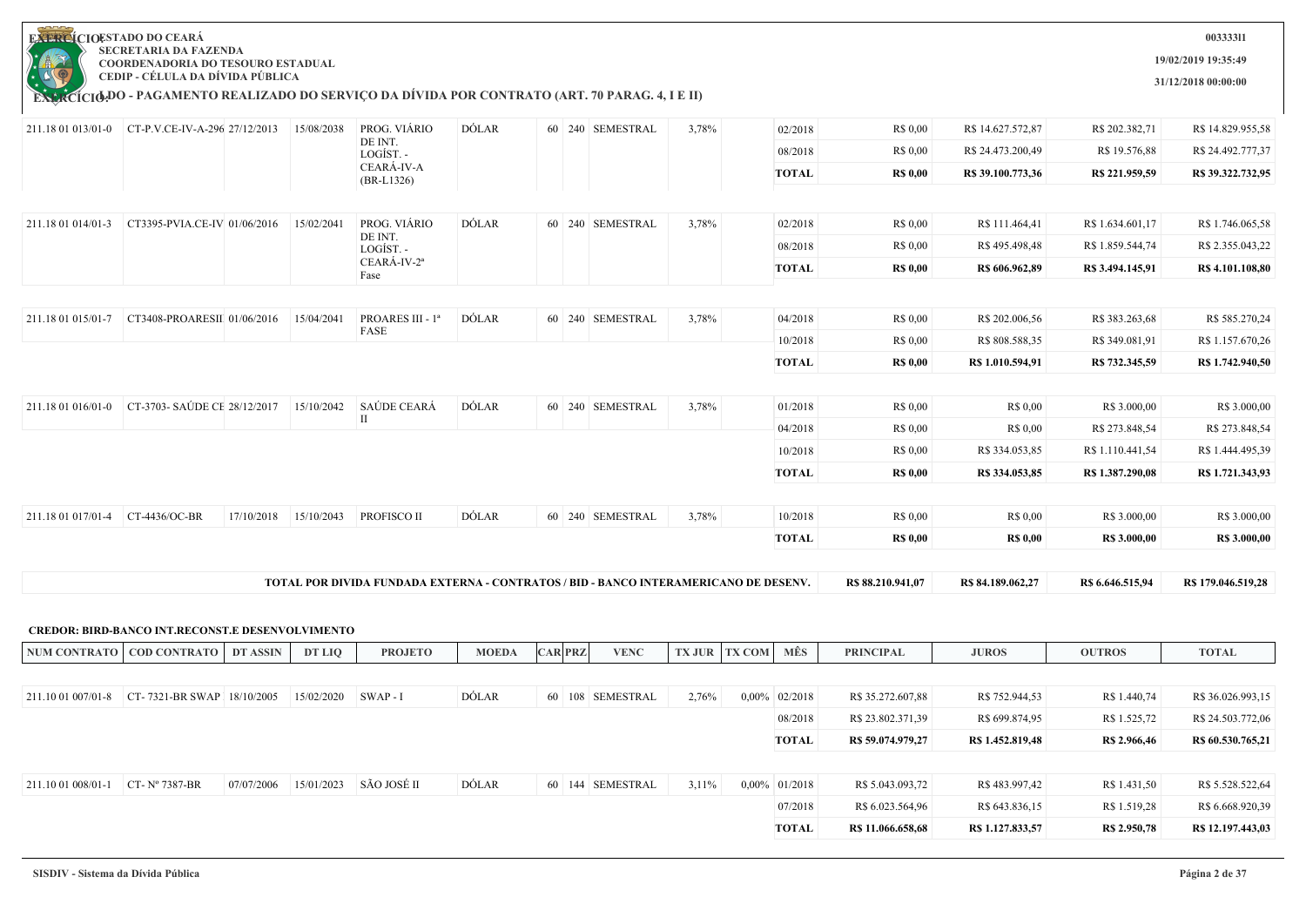| EXTRE<br>I<br>÷, |
|------------------|
|                  |
|                  |
|                  |
|                  |
|                  |
| CIC<br>LR        |
|                  |

**19/02/2019 19:35:49**

**31/12/2018 00:00:00**

**003333l1**

|                                   | 211.18 01 013/01-0 CT-P.V.CE-IV-A-296 27/12/2013        |                       | 15/08/2038 | PROG. VIÁRIO<br>DE INT.                                                              | <b>DÓLAR</b> |                | 60 240 SEMESTRAL | 3,78%                | 02/2018          | R\$ 0,00          | R\$ 14.627.572,87 | R\$ 202.382,71      | R\$ 14.829.955,58   |
|-----------------------------------|---------------------------------------------------------|-----------------------|------------|--------------------------------------------------------------------------------------|--------------|----------------|------------------|----------------------|------------------|-------------------|-------------------|---------------------|---------------------|
|                                   |                                                         |                       |            | LOGÍST. -                                                                            |              |                |                  |                      | 08/2018          | R\$ 0,00          | R\$ 24.473.200,49 | R\$ 19.576,88       | R\$ 24.492.777,37   |
|                                   |                                                         |                       |            | CEARÁ-IV-A<br>$(BR-L1326)$                                                           |              |                |                  |                      | <b>TOTAL</b>     | <b>R\$ 0,00</b>   | R\$ 39.100.773,36 | R\$ 221.959,59      | R\$ 39.322.732,95   |
|                                   |                                                         |                       |            |                                                                                      |              |                |                  |                      |                  |                   |                   |                     |                     |
| 211.18 01 014/01-3                | CT3395-PVIA.CE-IV 01/06/2016                            |                       | 15/02/2041 | PROG. VIÁRIO                                                                         | DÓLAR        |                | 60 240 SEMESTRAL | 3,78%                | 02/2018          | R\$ 0,00          | R\$ 111.464,41    | R\$ 1.634.601,17    | R\$ 1.746.065,58    |
|                                   |                                                         |                       |            | DE INT.<br>LOGÍST. -                                                                 |              |                |                  |                      | 08/2018          | R\$ 0,00          | R\$495.498,48     | R\$ 1.859.544,74    | R\$ 2.355.043,22    |
|                                   |                                                         |                       |            | CEARÁ-IV-2 <sup>a</sup><br>Fase                                                      |              |                |                  |                      | <b>TOTAL</b>     | <b>R\$ 0,00</b>   | R\$ 606.962,89    | R\$ 3.494.145,91    | R\$ 4.101.108,80    |
|                                   |                                                         |                       |            |                                                                                      |              |                |                  |                      |                  |                   |                   |                     |                     |
| 211.18 01 015/01-7                | CT3408-PROARESII 01/06/2016                             |                       | 15/04/2041 | PROARES III - 1ª                                                                     | DÓLAR        |                | 60 240 SEMESTRAL | 3,78%                | 04/2018          | R\$ 0,00          | R\$ 202.006,56    | R\$ 383.263,68      | R\$ 585.270,24      |
|                                   |                                                         |                       |            | FASE                                                                                 |              |                |                  |                      | 10/2018          | R\$ 0,00          | R\$ 808.588,35    | R\$ 349.081,91      | R\$ 1.157.670,26    |
|                                   |                                                         |                       |            |                                                                                      |              |                |                  |                      | <b>TOTAL</b>     | <b>R\$ 0,00</b>   | R\$ 1.010.594,91  | R\$ 732.345,59      | R\$ 1.742.940,50    |
|                                   |                                                         |                       |            |                                                                                      |              |                |                  |                      |                  |                   |                   |                     |                     |
| 211.18 01 016/01-0                | CT-3703- SAÚDE CE 28/12/2017   15/10/2042               |                       |            | SAÚDE CEARÁ                                                                          | <b>DÓLAR</b> |                | 60 240 SEMESTRAL | 3,78%                | 01/2018          | R\$ 0,00          | R\$ 0,00          | R\$ 3.000,00        | R\$ 3.000,00        |
|                                   |                                                         |                       |            | $\mathbf{I}$                                                                         |              |                |                  |                      | 04/2018          | R\$ 0,00          | R\$ 0,00          | R\$ 273.848,54      | R\$ 273.848,54      |
|                                   |                                                         |                       |            |                                                                                      |              |                |                  |                      | 10/2018          | R\$ 0,00          | R\$ 334.053,85    | R\$ 1.110.441,54    | R\$ 1.444.495,39    |
|                                   |                                                         |                       |            |                                                                                      |              |                |                  |                      | <b>TOTAL</b>     | <b>R\$ 0,00</b>   | R\$ 334.053,85    | R\$ 1.387.290,08    | R\$ 1.721.343,93    |
|                                   |                                                         |                       |            |                                                                                      |              |                |                  |                      |                  |                   |                   |                     |                     |
| 211.18 01 017/01-4                | CT-4436/OC-BR                                           | 17/10/2018            | 15/10/2043 | PROFISCO II                                                                          | <b>DÓLAR</b> |                | 60 240 SEMESTRAL | 3,78%                | 10/2018          | R\$ 0,00          | R\$ 0,00          | R\$ 3.000,00        | R\$ 3.000,00        |
|                                   |                                                         |                       |            |                                                                                      |              |                |                  |                      | <b>TOTAL</b>     | <b>R\$ 0,00</b>   | <b>R\$ 0,00</b>   | <b>R\$ 3.000,00</b> | <b>R\$</b> 3.000,00 |
|                                   |                                                         |                       |            |                                                                                      |              |                |                  |                      |                  |                   |                   |                     |                     |
|                                   |                                                         |                       |            |                                                                                      |              |                |                  |                      |                  |                   |                   |                     |                     |
|                                   |                                                         |                       |            | TOTAL POR DIVIDA FUNDADA EXTERNA - CONTRATOS / BID - BANCO INTERAMERICANO DE DESENV. |              |                |                  |                      |                  | R\$ 88.210.941,07 | R\$ 84.189.062,27 | R\$ 6.646.515,94    | R\$ 179.046.519,28  |
|                                   |                                                         |                       |            |                                                                                      |              |                |                  |                      |                  |                   |                   |                     |                     |
|                                   | <b>CREDOR: BIRD-BANCO INT.RECONST.E DESENVOLVIMENTO</b> |                       |            |                                                                                      |              |                |                  |                      |                  |                   |                   |                     |                     |
|                                   | NUM CONTRATO   COD CONTRATO   DT ASSIN                  |                       | DT LIQ     | <b>PROJETO</b>                                                                       | <b>MOEDA</b> | <b>CAR PRZ</b> | <b>VENC</b>      | <b>TX JUR TX COM</b> | MÊS              | <b>PRINCIPAL</b>  | <b>JUROS</b>      | <b>OUTROS</b>       | <b>TOTAL</b>        |
|                                   |                                                         |                       |            |                                                                                      |              |                |                  |                      |                  |                   |                   |                     |                     |
|                                   | 211.10 01 007/01-8 CT-7321-BR SWAP 18/10/2005           |                       | 15/02/2020 | SWAP - I                                                                             | DÓLAR        |                | 60 108 SEMESTRAL | 2,76%                | $0,00\%$ 02/2018 | R\$ 35.272.607,88 | R\$ 752.944,53    | R\$ 1.440,74        | R\$ 36.026.993,15   |
|                                   |                                                         |                       |            |                                                                                      |              |                |                  |                      | 08/2018          | R\$ 23.802.371,39 | R\$ 699.874,95    | R\$ 1.525,72        | R\$ 24.503.772,06   |
|                                   |                                                         |                       |            |                                                                                      |              |                |                  |                      | <b>TOTAL</b>     | R\$59.074.979,27  | R\$ 1.452.819,48  | R\$ 2.966,46        | R\$ 60.530.765,21   |
| 211.10 01 008/01-1 CT- Nº 7387-BR |                                                         | 07/07/2006 15/01/2023 |            | SÃO JOSÉ II                                                                          | DÓLAR        |                | 60 144 SEMESTRAL | 3,11%                | $0,00\%$ 01/2018 | R\$ 5.043.093,72  | R\$483.997,42     | R\$ 1.431,50        | R\$ 5.528.522,64    |
|                                   |                                                         |                       |            |                                                                                      |              |                |                  |                      | 07/2018          | R\$ 6.023.564,96  | R\$ 643.836,15    | R\$ 1.519,28        | R\$ 6.668.920,39    |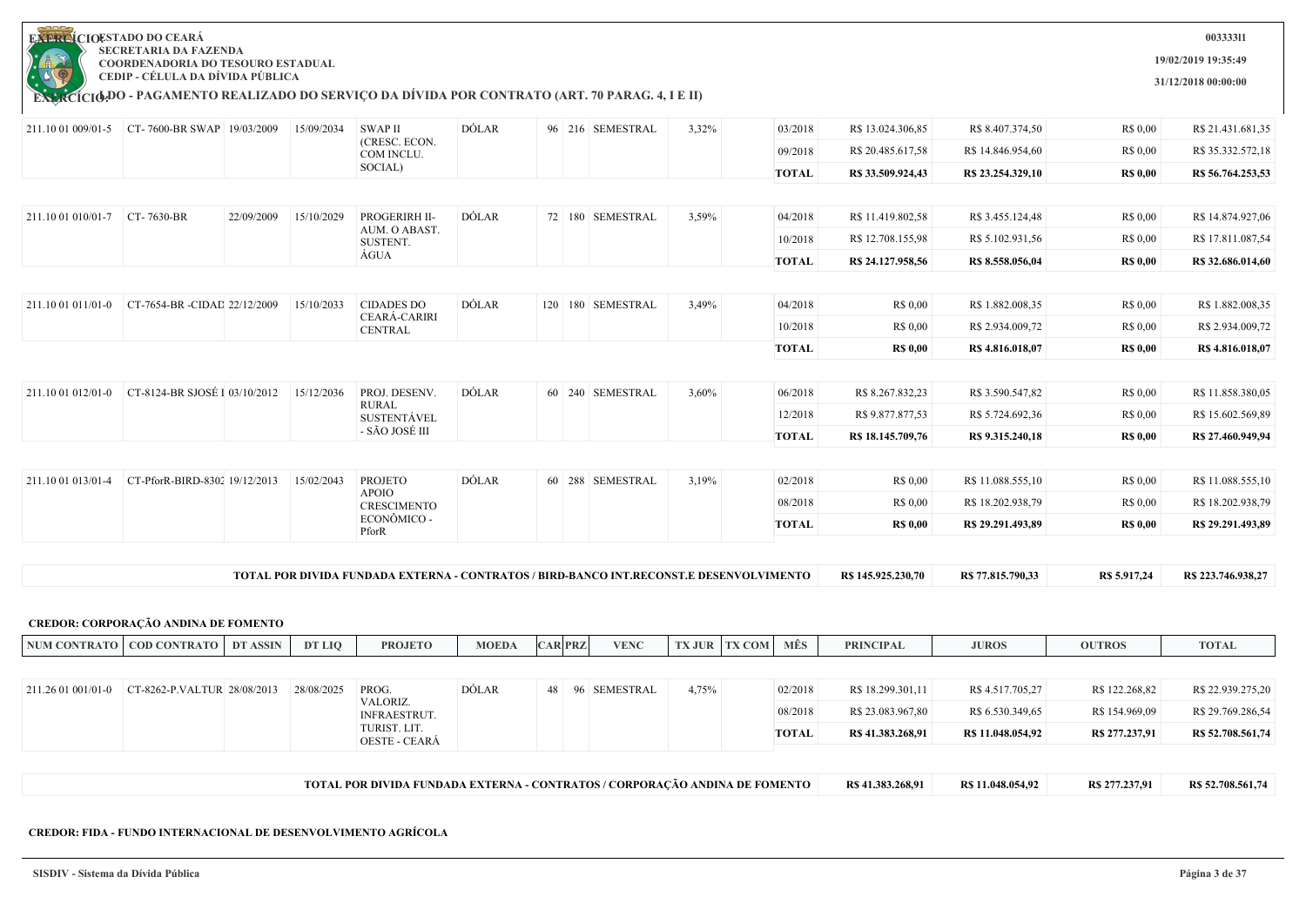

**EXERCÍCIODO - PAGAMENTO REALIZADO DO SERVIÇO DA DIVIDA POR CONTRATO (ART. 70 PARAG. 4, I E II)** 

03/2018 R\$ 13.024.306.85 R\$ 8.407.374.50 R\$ 0.00 R\$ 21.431.681.35 09/2018 R\$ 20.485.617,58 R\$ 14.846.954,60 R\$ 0,00 R\$ 35.332.572,18 **TOTAL R\$ 33.509.924,43 R\$ 23.254.329,10 R\$ 0,00 R\$ 56.764.253,53** 211.10 01 009/01-5 CT- 7600-BR SWAP I 19/03/2009 15/09/2034 SWAP II (CRESC. ECON. COM INCLU. SOCIAL) DÓLAR 96 216 SEMESTRAL 3,32% 04/2018 R\$ 11.419.802,58 R\$ 3.455.124.48 R\$ 0,00 R\$ 14.874.927,06 10/2018 R\$ 12.708.155,98 R\$ 5.102.931,56 R\$ 0,00 R\$ 17.811.087,54 **TOTAL R\$ 24.127.958,56 R\$ 8.558.056,04 R\$ 0,00 R\$ 32.686.014,60** 211.10 01 010/01-7 CT- 7630-BR 22/09/2009 15/10/2029 PROGERIRH II-AUM. O ABAST. SUSTENT. ÁGUA DÓLAR 72 180 SEMESTRAL 3,59% 04/2018 R\$ 0,00 R\$ 1.882.008,35 R\$ 0,00 R\$ 1.882.008,35 10/2018 R\$ 0.00 R\$ 2.934.009,72 R\$ 0.00 R\$ 2.934.009,72 211.10 01 011/01-0 CT-7654-BR -CIDAD 22/12/2009 15/10/2033 CIDADES DO CEARÁ-CARIRI CENTRAL DÓLAR 120 180 SEMESTRAL 3,49%

| $ 211.1001012/01-0$ | CT-8124-BR SJOSÉ I 03/10/2012 | 15/12/2036 | PROJ. DESENV.<br><b>RURAL</b><br>SUSTENTÁVEL<br>- SÃO JOSÉ III | DÓLAR        | 60 240 SEMESTRAL | 3,60% | 06/2018<br>12/2018<br><b>TOTAL</b> | R\$ 8.267.832,23<br>R\$ 9.877.877,53<br>R\$ 18.145.709.76 | R\$ 3.590.547,82<br>R\$ 5.724.692,36<br>R\$ 9.315.240.18 | R\$ 0,00<br>R\$ 0.00<br><b>R\$ 0,00</b> | R\$ 11.858.380,05<br>R\$ 15.602.569,89<br>R\$ 27.460.949,94 |
|---------------------|-------------------------------|------------|----------------------------------------------------------------|--------------|------------------|-------|------------------------------------|-----------------------------------------------------------|----------------------------------------------------------|-----------------------------------------|-------------------------------------------------------------|
| 211.10 01 013/01-4  | CT-PforR-BIRD-8302 19/12/2013 | 15/02/2043 | PROJETO<br><b>APOIO</b><br>CRESCIMENTO                         | <b>DÓLAR</b> | 60 288 SEMESTRAL | 3,19% | 02/2018<br>08/2018                 | R\$ 0.00<br>R\$ 0.00                                      | R\$ 11.088.555,10<br>R\$ 18.202.938,79                   | R\$ 0,00<br>R\$ 0.00                    | R\$ 11.088.555,10<br>R\$18.202.938,79                       |

|  | ECONÔMICO -<br>PforR |  |  | TOTAL | <b>R\$ 0,00</b> | R\$ 29.291.493,89 | <b>R\$ 0,00</b> | R\$ 29.291.493,89 |
|--|----------------------|--|--|-------|-----------------|-------------------|-----------------|-------------------|
|  |                      |  |  |       |                 |                   |                 |                   |

| <b>TOTAL</b><br>'AL POR DIVIDA FUNDADA EXTERNA - CONTRATOS / BIRD-BANCO INT.RECONST.E DESENVOLVIMENTO | R\$ 145,925,230,70 | $\degree$ 77.815.790.33<br>D C | De $\epsilon$ 017 24 | .746.938.27 |
|-------------------------------------------------------------------------------------------------------|--------------------|--------------------------------|----------------------|-------------|
|-------------------------------------------------------------------------------------------------------|--------------------|--------------------------------|----------------------|-------------|

|                    | <b>CREDOR: CORPORAÇÃO ANDINA DE FOMENTO</b> |          |            |                                                                             |              |                |                 |               |               |         |                   |                   |                |                   |
|--------------------|---------------------------------------------|----------|------------|-----------------------------------------------------------------------------|--------------|----------------|-----------------|---------------|---------------|---------|-------------------|-------------------|----------------|-------------------|
|                    | NUM CONTRATO   COD CONTRATO                 | DT ASSIN | DT LIO     | <b>PROJETO</b>                                                              | <b>MOEDA</b> | <b>CAR PRZ</b> | <b>VENC</b>     | <b>TX JUR</b> | <b>TX COM</b> | MÊS     | <b>PRINCIPAL</b>  | <b>JUROS</b>      | <b>OUTROS</b>  | <b>TOTAL</b>      |
|                    |                                             |          |            |                                                                             |              |                |                 |               |               |         |                   |                   |                |                   |
|                    | CT-8262-P.VALTUR 28/08/2013                 |          | 28/08/2025 | PROG.                                                                       | DÓLAR        |                | 48 96 SEMESTRAL | 4,75%         |               | 02/2018 | R\$ 18.299.301,11 | R\$ 4.517.705,27  | R\$ 122.268,82 | R\$ 22.939.275,20 |
| 211.26 01 001/01-0 |                                             |          |            | VALORIZ.<br><b>INFRAESTRUT.</b>                                             |              |                |                 |               |               | 08/2018 | R\$ 23.083.967,80 | R\$ 6.530.349,65  | R\$ 154.969,09 | R\$ 29.769.286,54 |
|                    |                                             |          |            | TURIST. LIT.<br><b>OESTE - CEARÁ</b>                                        |              |                |                 |               |               | TOTAL   | R\$ 41.383.268.91 | R\$ 11.048.054,92 | R\$ 277.237,91 | R\$ 52.708.561,74 |
|                    |                                             |          |            |                                                                             |              |                |                 |               |               |         |                   |                   |                |                   |
|                    |                                             |          |            | TOTAL POR DIVIDA FUNDADA EXTERNA - CONTRATOS / CORPORAÇÃO ANDINA DE FOMENTO |              |                |                 |               |               |         | R\$ 41.383.268.91 | R\$ 11.048.054.92 | R\$ 277.237.91 | R\$ 52,708,561,74 |

#### **CREDOR: FIDA - FUNDO INTERNACIONAL DE DESENVOLVIMENTO AGRÍCOLA**

**19/02/2019 19:35:49**

**TOTAL R\$ 0,00 R\$ 4.816.018,07 R\$ 0,00 R\$ 4.816.018,07**

**31/12/2018 00:00:00**

**003333l1**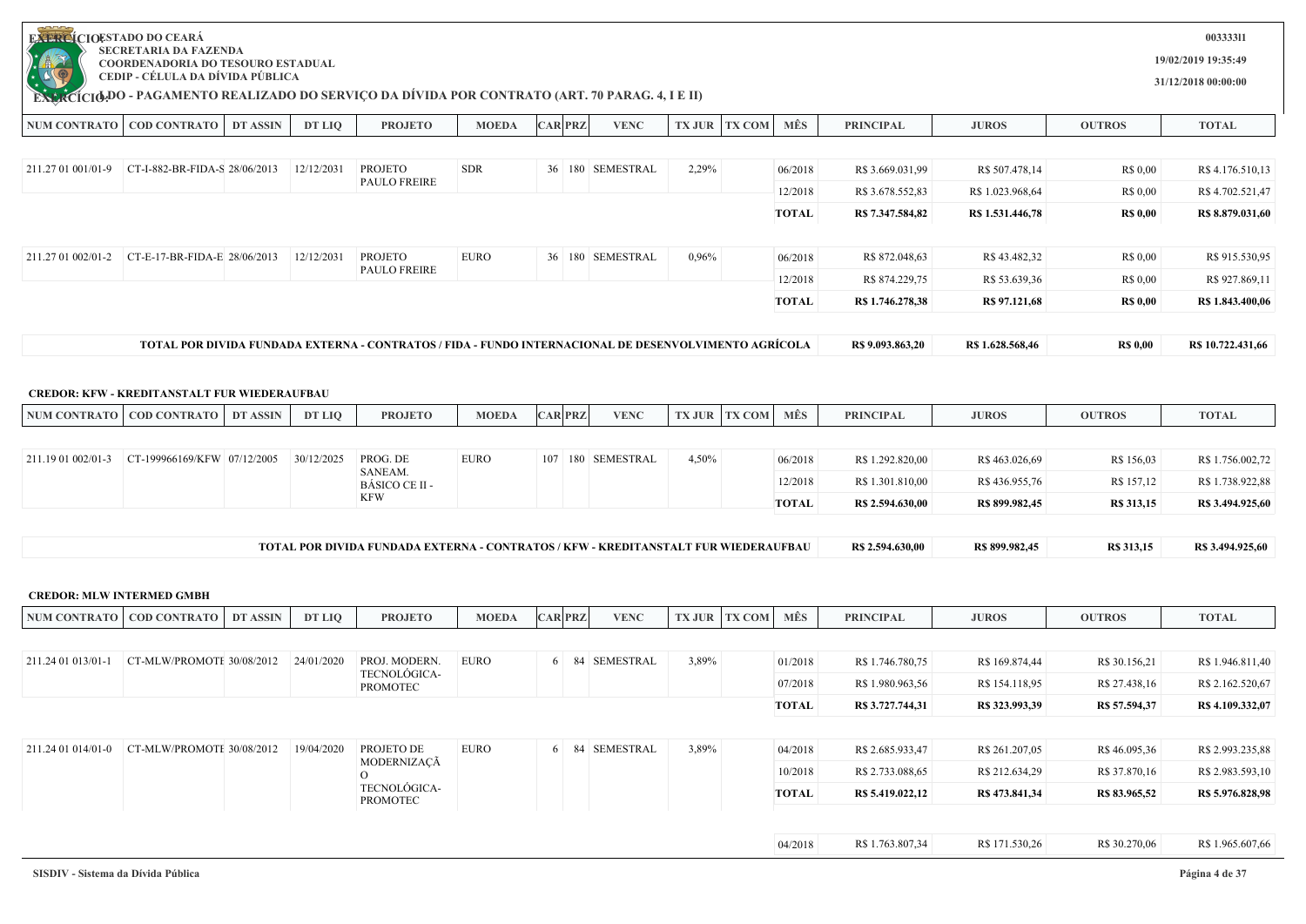| <b>EXERCÍCIOESTADO DO CEARÁ</b>  |                                                                                                     |                 |            |                                                                                                       |              |                |                      |       |                      |              |                  |                  |                   | 00333311            |
|----------------------------------|-----------------------------------------------------------------------------------------------------|-----------------|------------|-------------------------------------------------------------------------------------------------------|--------------|----------------|----------------------|-------|----------------------|--------------|------------------|------------------|-------------------|---------------------|
|                                  | <b>SECRETARIA DA FAZENDA</b><br>COORDENADORIA DO TESOURO ESTADUAL                                   |                 |            |                                                                                                       |              |                |                      |       |                      |              |                  |                  |                   | 19/02/2019 19:35:49 |
| $\mathbb{A}$ .                   | CEDIP - CÉLULA DA DÍVIDA PÚBLICA                                                                    |                 |            |                                                                                                       |              |                |                      |       |                      |              |                  |                  |                   | 31/12/2018 00:00:00 |
|                                  | <b>EXACTO DO - PAGAMENTO REALIZADO DO SERVIÇO DA DÍVIDA POR CONTRATO (ART. 70 PARAG. 4, I E II)</b> |                 |            |                                                                                                       |              |                |                      |       |                      |              |                  |                  |                   |                     |
|                                  | NUM CONTRATO   COD CONTRATO                                                                         | <b>DT ASSIN</b> | DT LIQ     | <b>PROJETO</b>                                                                                        | <b>MOEDA</b> | <b>CAR PRZ</b> | <b>VENC</b>          |       | <b>TX JUR TX COM</b> | MÊS          | <b>PRINCIPAL</b> | <b>JUROS</b>     | <b>OUTROS</b>     | <b>TOTAL</b>        |
|                                  |                                                                                                     |                 |            |                                                                                                       |              |                |                      |       |                      |              |                  |                  |                   |                     |
| 211.27 01 001/01-9               | CT-I-882-BR-FIDA-S 28/06/2013                                                                       |                 | 12/12/2031 | <b>PROJETO</b><br><b>PAULO FREIRE</b>                                                                 | <b>SDR</b>   |                | 36   180   SEMESTRAL | 2,29% |                      | 06/2018      | R\$ 3.669.031,99 | R\$ 507.478,14   | R\$ 0,00          | R\$ 4.176.510,13    |
|                                  |                                                                                                     |                 |            |                                                                                                       |              |                |                      |       |                      | 12/2018      | R\$ 3.678.552,83 | R\$ 1.023.968,64 | R\$ 0,00          | R\$4.702.521,47     |
|                                  |                                                                                                     |                 |            |                                                                                                       |              |                |                      |       |                      | <b>TOTAL</b> | R\$ 7.347.584,82 | R\$ 1.531.446,78 | <b>R\$ 0,00</b>   | R\$ 8.879.031,60    |
|                                  |                                                                                                     |                 |            |                                                                                                       |              |                |                      |       |                      |              |                  |                  |                   |                     |
| 211.27 01 002/01-2               | CT-E-17-BR-FIDA-E 28/06/2013                                                                        |                 | 12/12/2031 | <b>PROJETO</b><br><b>PAULO FREIRE</b>                                                                 | <b>EURO</b>  |                | 36   180   SEMESTRAL | 0,96% |                      | 06/2018      | R\$ 872.048,63   | R\$43.482,32     | R\$ 0,00          | R\$ 915.530,95      |
|                                  |                                                                                                     |                 |            |                                                                                                       |              |                |                      |       |                      | 12/2018      | R\$ 874.229,75   | R\$ 53.639,36    | R\$ 0,00          | R\$ 927.869,11      |
|                                  |                                                                                                     |                 |            |                                                                                                       |              |                |                      |       |                      | <b>TOTAL</b> | R\$ 1.746.278,38 | R\$ 97.121,68    | <b>R\$ 0,00</b>   | R\$ 1.843.400,06    |
|                                  |                                                                                                     |                 |            | TOTAL POR DIVIDA FUNDADA EXTERNA - CONTRATOS / FIDA - FUNDO INTERNACIONAL DE DESENVOLVIMENTO AGRÍCOLA |              |                |                      |       |                      |              | R\$ 9.093.863,20 | R\$ 1.628.568,46 | <b>R\$ 0,00</b>   | R\$ 10.722.431,66   |
|                                  |                                                                                                     |                 |            |                                                                                                       |              |                |                      |       |                      |              |                  |                  |                   |                     |
|                                  | <b>CREDOR: KFW - KREDITANSTALT FUR WIEDERAUFBAU</b>                                                 |                 |            |                                                                                                       |              |                |                      |       |                      |              |                  |                  |                   |                     |
|                                  | NUM CONTRATO   COD CONTRATO                                                                         | <b>DT ASSIN</b> | DT LIQ     | <b>PROJETO</b>                                                                                        | <b>MOEDA</b> | <b>CAR PRZ</b> | <b>VENC</b>          |       | <b>TX JUR TX COM</b> | MÊS          | <b>PRINCIPAL</b> | <b>JUROS</b>     | <b>OUTROS</b>     | <b>TOTAL</b>        |
|                                  |                                                                                                     |                 |            |                                                                                                       |              |                |                      |       |                      |              |                  |                  |                   |                     |
| 211.19 01 002/01-3               | CT-199966169/KFW 07/12/2005                                                                         |                 | 30/12/2025 | PROG. DE<br>SANEAM.                                                                                   | <b>EURO</b>  |                | 107 180 SEMESTRAL    | 4,50% |                      | 06/2018      | R\$ 1.292.820,00 | R\$463.026,69    | R\$ 156,03        | R\$ 1.756.002,72    |
|                                  |                                                                                                     |                 |            | BÁSICO CE II -                                                                                        |              |                |                      |       |                      | 12/2018      | R\$ 1.301.810,00 | R\$436.955,76    | R\$ 157,12        | R\$ 1.738.922,88    |
|                                  |                                                                                                     |                 |            | <b>KFW</b>                                                                                            |              |                |                      |       |                      | <b>TOTAL</b> | R\$ 2.594.630,00 | R\$ 899.982,45   | R\$ 313,15        | R\$ 3.494.925,60    |
|                                  |                                                                                                     |                 |            |                                                                                                       |              |                |                      |       |                      |              |                  |                  |                   |                     |
|                                  |                                                                                                     |                 |            | TOTAL POR DIVIDA FUNDADA EXTERNA - CONTRATOS / KFW - KREDITANSTALT FUR WIEDERAUFBAU                   |              |                |                      |       |                      |              | R\$ 2.594.630,00 | R\$ 899.982,45   | <b>R\$</b> 313,15 | R\$ 3.494.925,60    |
| <b>CREDOR: MLW INTERMED GMBH</b> |                                                                                                     |                 |            |                                                                                                       |              |                |                      |       |                      |              |                  |                  |                   |                     |
|                                  | NUM CONTRATO   COD CONTRATO                                                                         | DT ASSIN        | DT LIQ     | <b>PROJETO</b>                                                                                        | <b>MOEDA</b> | <b>CAR PRZ</b> | <b>VENC</b>          |       | <b>TX JUR TX COM</b> | MÊS          | <b>PRINCIPAL</b> | <b>JUROS</b>     | <b>OUTROS</b>     | <b>TOTAL</b>        |
|                                  |                                                                                                     |                 |            |                                                                                                       |              |                |                      |       |                      |              |                  |                  |                   |                     |
| 211.24 01 013/01-1               | CT-MLW/PROMOTE 30/08/2012                                                                           |                 | 24/01/2020 | PROJ. MODERN.                                                                                         | <b>EURO</b>  |                | 6 84 SEMESTRAL       | 3,89% |                      | 01/2018      | R\$ 1.746.780,75 | R\$ 169.874,44   | R\$ 30.156,21     | R\$ 1.946.811,40    |
|                                  |                                                                                                     |                 |            | TECNOLÓGICA-<br><b>PROMOTEC</b>                                                                       |              |                |                      |       |                      | 07/2018      | R\$ 1.980.963,56 | R\$ 154.118,95   | R\$ 27.438,16     | R\$ 2.162.520,67    |
|                                  |                                                                                                     |                 |            |                                                                                                       |              |                |                      |       |                      | <b>TOTAL</b> | R\$ 3.727.744,31 | R\$ 323.993,39   | R\$ 57.594,37     | R\$ 4.109.332,07    |
|                                  |                                                                                                     |                 |            |                                                                                                       |              |                |                      |       |                      |              |                  |                  |                   |                     |
|                                  | 211.24 01 014/01-0 CT-MLW/PROMOTE 30/08/2012   19/04/2020                                           |                 |            | PROJETO DE                                                                                            | <b>EURO</b>  |                | 6 84 SEMESTRAL       | 3,89% |                      | 04/2018      | R\$ 2.685.933,47 | R\$ 261.207,05   | R\$46.095,36      | R\$ 2.993.235,88    |
|                                  |                                                                                                     |                 |            | MODERNIZAÇÃ<br>$\rm O$                                                                                |              |                |                      |       |                      | 10/2018      | R\$ 2.733.088,65 | R\$ 212.634,29   | R\$ 37.870,16     | R\$ 2.983.593,10    |
|                                  |                                                                                                     |                 |            | TECNOLÓGICA-<br>PROMOTEC                                                                              |              |                |                      |       |                      | TOTAL        | R\$ 5.419.022,12 | R\$ 473.841,34   | R\$ 83.965,52     | R\$ 5.976.828,98    |
|                                  |                                                                                                     |                 |            |                                                                                                       |              |                |                      |       |                      |              |                  |                  |                   |                     |
|                                  |                                                                                                     |                 |            |                                                                                                       |              |                |                      |       |                      | 04/2018      | R\$ 1.763.807,34 | R\$ 171.530,26   | R\$ 30.270,06     | R\$ 1.965.607,66    |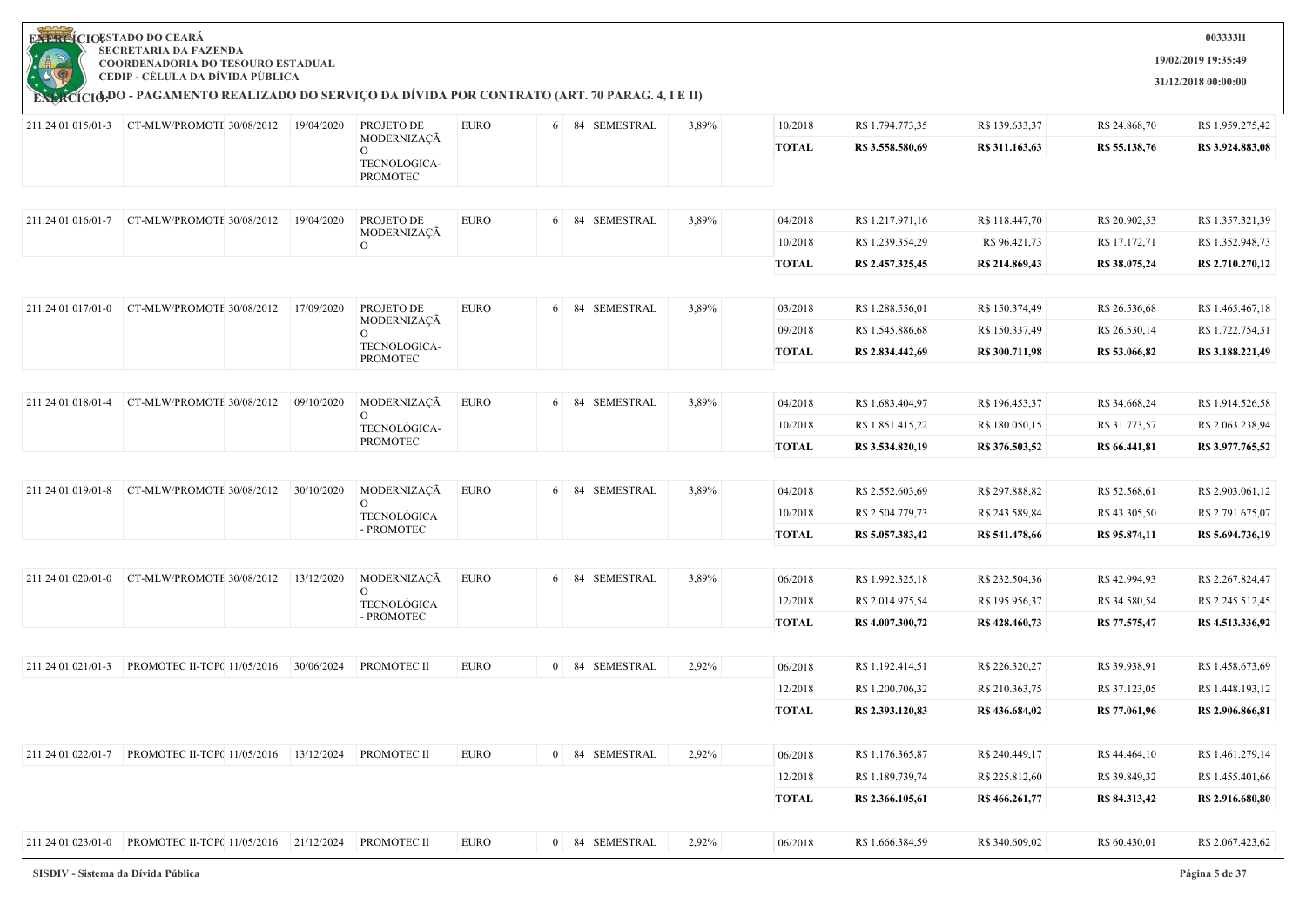

**EXERCIOESTADO DO CEARA SECRETARIA DA FAZENDA COORDENADORIA DO TESOURO ESTADUAL**

**CEDIP - CÉLULA DA DÍVIDA PÚBLICA**

**003333l1**

**19/02/2019 19:35:49**

**31/12/2018 00:00:00**

|                    | 211.24 01 015/01-3 CT-MLW/PROMOTE 30/08/2012              | 19/04/2020 | PROJETO DE                           | <b>EURO</b> | 6 | 84 SEMESTRAL   | 3,89% | 10/2018      | R\$ 1.794.773,35 | R\$ 139.633,37 | R\$ 24.868,70 | R\$ 1.959.275,42 |
|--------------------|-----------------------------------------------------------|------------|--------------------------------------|-------------|---|----------------|-------|--------------|------------------|----------------|---------------|------------------|
|                    |                                                           |            | MODERNIZAÇÃ                          |             |   |                |       | <b>TOTAL</b> | R\$ 3.558.580,69 | R\$ 311.163,63 | R\$ 55.138,76 | R\$ 3.924.883,08 |
|                    |                                                           |            | TECNOLÓGICA-<br><b>PROMOTEC</b>      |             |   |                |       |              |                  |                |               |                  |
|                    |                                                           |            |                                      |             |   |                |       |              |                  |                |               |                  |
| 211.24 01 016/01-7 | CT-MLW/PROMOTE 30/08/2012                                 | 19/04/2020 | PROJETO DE                           | <b>EURO</b> |   | 6 84 SEMESTRAL | 3,89% | 04/2018      | R\$ 1.217.971,16 | R\$ 118.447,70 | R\$ 20.902,53 | R\$ 1.357.321,39 |
|                    |                                                           |            | MODERNIZAÇÃ<br>$\Omega$              |             |   |                |       | 10/2018      | R\$ 1.239.354,29 | R\$ 96.421,73  | R\$ 17.172,71 | R\$ 1.352.948,73 |
|                    |                                                           |            |                                      |             |   |                |       | <b>TOTAL</b> | R\$ 2.457.325,45 | R\$ 214.869,43 | R\$ 38.075,24 | R\$ 2.710.270,12 |
|                    |                                                           |            |                                      |             |   |                |       |              |                  |                |               |                  |
| 211.24 01 017/01-0 | CT-MLW/PROMOTE 30/08/2012                                 | 17/09/2020 | PROJETO DE                           | <b>EURO</b> |   | 6 84 SEMESTRAL | 3,89% | 03/2018      | R\$ 1.288.556,01 | R\$ 150.374,49 | R\$ 26.536,68 | R\$ 1.465.467,18 |
|                    |                                                           |            | MODERNIZAÇÃ<br>$\Omega$              |             |   |                |       | 09/2018      | R\$ 1.545.886,68 | R\$ 150.337,49 | R\$ 26.530,14 | R\$ 1.722.754,31 |
|                    |                                                           |            | TECNOLÓGICA-<br><b>PROMOTEC</b>      |             |   |                |       | <b>TOTAL</b> | R\$ 2.834,442,69 | R\$ 300.711,98 | R\$ 53.066,82 | R\$ 3.188.221,49 |
|                    |                                                           |            |                                      |             |   |                |       |              |                  |                |               |                  |
| 211.24 01 018/01-4 | CT-MLW/PROMOTE 30/08/2012                                 | 09/10/2020 | MODERNIZAÇÃ                          | <b>EURO</b> |   | 6 84 SEMESTRAL | 3,89% | 04/2018      | R\$ 1.683.404,97 | R\$ 196.453,37 | R\$ 34.668,24 | R\$ 1.914.526,58 |
|                    |                                                           |            | $\mathbf{O}$<br>TECNOLÓGICA-         |             |   |                |       | 10/2018      | R\$ 1.851.415,22 | R\$ 180.050,15 | R\$ 31.773,57 | R\$ 2.063.238,94 |
|                    |                                                           |            | <b>PROMOTEC</b>                      |             |   |                |       | <b>TOTAL</b> | R\$ 3.534.820,19 | R\$ 376.503,52 | R\$ 66.441,81 | R\$ 3.977.765,52 |
|                    |                                                           |            |                                      |             |   |                |       |              |                  |                |               |                  |
| 211.24 01 019/01-8 | CT-MLW/PROMOTE 30/08/2012                                 | 30/10/2020 | MODERNIZAÇÃ                          | <b>EURO</b> |   | 6 84 SEMESTRAL | 3,89% | 04/2018      | R\$ 2.552.603,69 | R\$ 297.888,82 | R\$ 52.568,61 | R\$ 2.903.061,12 |
|                    |                                                           |            | $\overline{O}$<br><b>TECNOLÓGICA</b> |             |   |                |       | 10/2018      | R\$ 2.504.779,73 | R\$ 243.589,84 | R\$43.305,50  | R\$ 2.791.675,07 |
|                    |                                                           |            | - PROMOTEC                           |             |   |                |       | <b>TOTAL</b> | R\$ 5.057.383,42 | R\$ 541.478,66 | R\$ 95.874,11 | R\$ 5.694.736,19 |
|                    |                                                           |            |                                      |             |   |                |       |              |                  |                |               |                  |
| 211.24 01 020/01-0 | CT-MLW/PROMOTE 30/08/2012                                 | 13/12/2020 | MODERNIZAÇÃ                          | <b>EURO</b> |   | 6 84 SEMESTRAL | 3,89% | 06/2018      | R\$ 1.992.325,18 | R\$ 232.504,36 | R\$42.994,93  | R\$ 2.267.824,47 |
|                    |                                                           |            | $\Omega$<br><b>TECNOLÓGICA</b>       |             |   |                |       | 12/2018      | R\$ 2.014.975,54 | R\$ 195.956,37 | R\$ 34.580,54 | R\$ 2.245.512,45 |
|                    |                                                           |            | - PROMOTEC                           |             |   |                |       | <b>TOTAL</b> | R\$4.007.300,72  | R\$428.460,73  | R\$ 77.575,47 | R\$ 4.513.336,92 |
|                    |                                                           |            |                                      |             |   |                |       |              |                  |                |               |                  |
|                    |                                                           |            | PROMOTEC II                          | <b>EURO</b> |   | 0 84 SEMESTRAL | 2,92% | 06/2018      | R\$ 1.192.414,51 | R\$ 226.320,27 | R\$ 39.938,91 | R\$ 1.458.673,69 |
|                    |                                                           |            |                                      |             |   |                |       | 12/2018      | R\$ 1.200.706,32 | R\$ 210.363,75 | R\$ 37.123,05 | R\$ 1.448.193,12 |
|                    |                                                           |            |                                      |             |   |                |       | <b>TOTAL</b> | R\$ 2.393.120,83 | R\$436.684,02  | R\$ 77.061,96 | R\$ 2.906.866,81 |
|                    |                                                           |            |                                      |             |   |                |       |              |                  |                |               |                  |
| 211.24 01 022/01-7 | PROMOTEC II-TCP( 11/05/2016   13/12/2024                  |            | PROMOTEC II                          | <b>EURO</b> |   | 0 84 SEMESTRAL | 2,92% | 06/2018      | R\$ 1.176.365,87 | R\$ 240.449,17 | R\$44.464,10  | R\$ 1.461.279,14 |
|                    |                                                           |            |                                      |             |   |                |       | 12/2018      | R\$ 1.189.739,74 | R\$ 225.812,60 | R\$ 39.849,32 | R\$ 1.455.401,66 |
|                    |                                                           |            |                                      |             |   |                |       | <b>TOTAL</b> | R\$ 2.366.105,61 | R\$ 466.261,77 | R\$ 84.313,42 | R\$ 2.916.680,80 |
|                    |                                                           |            |                                      |             |   |                |       |              |                  |                |               |                  |
|                    | 211.24 01 023/01-0 PROMOTEC II-TCP( 11/05/2016 21/12/2024 |            | PROMOTEC II                          | <b>EURO</b> |   | 0 84 SEMESTRAL | 2,92% | 06/2018      | R\$ 1.666.384,59 | R\$ 340.609,02 | R\$ 60.430,01 | R\$ 2.067.423,62 |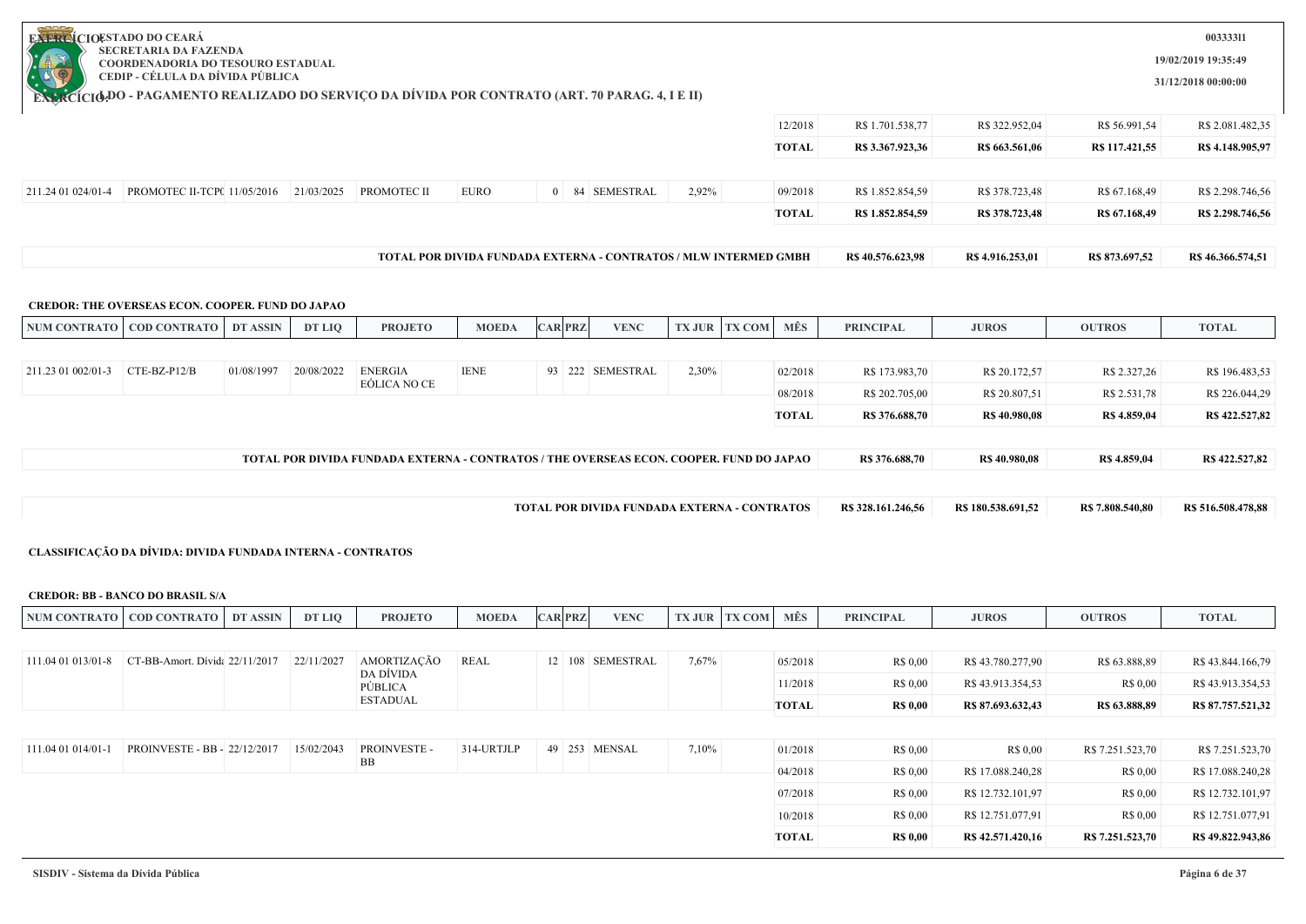|                                 | <b>COORDENADORIA DO TESOURO ESTADUAL</b><br>CEDIP - CÉLULA DA DÍVIDA PÚBLICA<br><b>EXACÍCIO DO - PAGAMENTO REALIZADO DO SERVIÇO DA DÍVIDA POR CONTRATO (ART. 70 PARAG. 4, I E II)</b> |                 |               |                                                                                         |                                                                  |                |                                              |       |                      |                         |                             |                                       |                           | 31/12/2018 00:00:00                                                                                |
|---------------------------------|---------------------------------------------------------------------------------------------------------------------------------------------------------------------------------------|-----------------|---------------|-----------------------------------------------------------------------------------------|------------------------------------------------------------------|----------------|----------------------------------------------|-------|----------------------|-------------------------|-----------------------------|---------------------------------------|---------------------------|----------------------------------------------------------------------------------------------------|
|                                 |                                                                                                                                                                                       |                 |               |                                                                                         |                                                                  |                |                                              |       |                      | 12/2018                 | R\$ 1.701.538,77            | R\$ 322.952,04                        | R\$ 56.991,54             | R\$ 2.081.482,35                                                                                   |
|                                 |                                                                                                                                                                                       |                 |               |                                                                                         |                                                                  |                |                                              |       |                      | <b>TOTAL</b>            | R\$ 3.367.923,36            | R\$ 663.561,06                        | R\$ 117.421,55            | R\$ 4.148.905,97                                                                                   |
|                                 | 211.24 01 024/01-4 PROMOTEC II-TCP( 11/05/2016 21/03/2025 PROMOTEC II                                                                                                                 |                 |               |                                                                                         | <b>EURO</b>                                                      |                | 0 84 SEMESTRAL                               | 2,92% |                      | 09/2018                 | R\$ 1.852.854,59            | R\$ 378.723,48                        | R\$ 67.168,49             | R\$ 2.298.746,56                                                                                   |
|                                 |                                                                                                                                                                                       |                 |               |                                                                                         |                                                                  |                |                                              |       |                      | <b>TOTAL</b>            | R\$ 1.852.854,59            | R\$ 378.723,48                        | R\$ 67.168,49             | R\$ 2.298.746,56                                                                                   |
|                                 |                                                                                                                                                                                       |                 |               |                                                                                         | TOTAL POR DIVIDA FUNDADA EXTERNA - CONTRATOS / MLW INTERMED GMBH |                |                                              |       |                      |                         | R\$ 40.576.623,98           | R\$ 4.916.253,01                      | R\$ 873.697,52            | R\$46.366.574,51                                                                                   |
|                                 | CREDOR: THE OVERSEAS ECON. COOPER. FUND DO JAPAO                                                                                                                                      |                 |               |                                                                                         |                                                                  |                |                                              |       |                      |                         |                             |                                       |                           |                                                                                                    |
|                                 | NUM CONTRATO COD CONTRATO                                                                                                                                                             | <b>DT ASSIN</b> | <b>DT LIQ</b> | <b>PROJETO</b>                                                                          | <b>MOEDA</b>                                                     | <b>CAR PRZ</b> | <b>VENC</b>                                  |       | <b>TX JUR TX COM</b> | MÊS                     | <b>PRINCIPAL</b>            | <b>JUROS</b>                          | <b>OUTROS</b>             | <b>TOTAL</b>                                                                                       |
|                                 |                                                                                                                                                                                       |                 |               |                                                                                         |                                                                  |                |                                              |       |                      |                         |                             |                                       |                           |                                                                                                    |
| 211.23 01 002/01-3 CTE-BZ-P12/B |                                                                                                                                                                                       | 01/08/1997      | 20/08/2022    | <b>ENERGIA</b><br>EÓLICA NO CE                                                          | <b>IENE</b>                                                      |                | 93 222 SEMESTRAL                             | 2,30% |                      | 02/2018                 | R\$ 173.983,70              | R\$ 20.172,57                         | R\$ 2.327,26              | R\$ 196.483,53                                                                                     |
|                                 |                                                                                                                                                                                       |                 |               |                                                                                         |                                                                  |                |                                              |       |                      | 08/2018                 | R\$ 202.705,00              | R\$ 20.807,51                         | R\$ 2.531,78              | R\$ 226.044,29                                                                                     |
|                                 |                                                                                                                                                                                       |                 |               |                                                                                         |                                                                  |                |                                              |       |                      | <b>TOTAL</b>            | R\$ 376.688,70              | R\$40.980,08                          | R\$ 4.859,04              | R\$422.527,82                                                                                      |
|                                 |                                                                                                                                                                                       |                 |               |                                                                                         |                                                                  |                |                                              |       |                      |                         |                             |                                       |                           |                                                                                                    |
|                                 |                                                                                                                                                                                       |                 |               |                                                                                         |                                                                  |                |                                              |       |                      |                         |                             |                                       |                           |                                                                                                    |
|                                 |                                                                                                                                                                                       |                 |               | TOTAL POR DIVIDA FUNDADA EXTERNA - CONTRATOS / THE OVERSEAS ECON. COOPER. FUND DO JAPAO |                                                                  |                |                                              |       |                      |                         | R\$ 376.688,70              | R\$ 40.980,08                         | R\$ 4.859,04              | R\$422.527,82                                                                                      |
|                                 |                                                                                                                                                                                       |                 |               |                                                                                         |                                                                  |                | TOTAL POR DIVIDA FUNDADA EXTERNA - CONTRATOS |       |                      |                         | R\$ 328.161.246,56          | R\$ 180.538.691,52                    | R\$ 7.808.540,80          | R\$ 516.508.478,88                                                                                 |
|                                 | CLASSIFICAÇÃO DA DÍVIDA: DIVIDA FUNDADA INTERNA - CONTRATOS<br><b>CREDOR: BB - BANCO DO BRASIL S/A</b>                                                                                |                 |               |                                                                                         |                                                                  |                |                                              |       |                      |                         |                             |                                       |                           |                                                                                                    |
|                                 | NUM CONTRATO   COD CONTRATO   DT ASSIN                                                                                                                                                |                 | DT LIQ        | <b>PROJETO</b>                                                                          | <b>MOEDA</b>                                                     | <b>CAR PRZ</b> | <b>VENC</b>                                  |       | <b>TX JUR TX COM</b> | MÊS                     | <b>PRINCIPAL</b>            | <b>JUROS</b>                          | <b>OUTROS</b>             | <b>TOTAL</b>                                                                                       |
|                                 |                                                                                                                                                                                       |                 |               |                                                                                         |                                                                  |                |                                              |       |                      |                         |                             |                                       |                           |                                                                                                    |
|                                 | 111.04 01 013/01-8 CT-BB-Amort. Dívida 22/11/2017 22/11/2027                                                                                                                          |                 |               | AMORTIZAÇÃO<br>DA DÍVIDA                                                                | <b>REAL</b>                                                      |                | 12 108 SEMESTRAL                             | 7,67% |                      | 05/2018                 | R\$ 0,00                    | R\$43.780.277,90                      | R\$ 63.888,89             |                                                                                                    |
|                                 |                                                                                                                                                                                       |                 |               | PÚBLICA<br><b>ESTADUAL</b>                                                              |                                                                  |                |                                              |       |                      | 11/2018<br><b>TOTAL</b> | R\$ 0,00<br><b>R\$ 0,00</b> | R\$43.913.354,53<br>R\$ 87.693.632,43 | R\$ 0,00<br>R\$ 63.888,89 |                                                                                                    |
|                                 |                                                                                                                                                                                       |                 |               |                                                                                         |                                                                  |                |                                              |       |                      |                         |                             |                                       |                           |                                                                                                    |
| 111.04 01 014/01-1              | PROINVESTE - BB - 22/12/2017                                                                                                                                                          |                 | 15/02/2043    | PROINVESTE -                                                                            | 314-URTJLP                                                       | 49 253 MENSAL  |                                              | 7,10% |                      | 01/2018                 | R\$ 0,00                    | R\$ 0,00                              | R\$ 7.251.523,70          |                                                                                                    |
|                                 |                                                                                                                                                                                       |                 |               | BB                                                                                      |                                                                  |                |                                              |       |                      | 04/2018                 | R\$ 0,00                    | R\$17.088.240,28                      | R\$ 0,00                  | R\$43.844.166,79<br>R\$43.913.354,53<br>R\$ 87.757.521,32<br>R\$ 7.251.523,70<br>R\$ 17.088.240,28 |
|                                 |                                                                                                                                                                                       |                 |               |                                                                                         |                                                                  |                |                                              |       |                      | 07/2018                 | R\$ 0,00                    | R\$ 12.732.101,97                     | R\$ 0,00                  |                                                                                                    |
|                                 |                                                                                                                                                                                       |                 |               |                                                                                         |                                                                  |                |                                              |       |                      | 10/2018                 | R\$ 0,00                    | R\$ 12.751.077,91                     | R\$ 0,00                  | R\$ 12.732.101,97<br>R\$ 12.751.077,91                                                             |

**ESTADO DO CEARÁ SECRETARIA DA FAZENDA**

**EXERCÍCIOE** 

**003333l1**

**19/02/2019 19:35:49**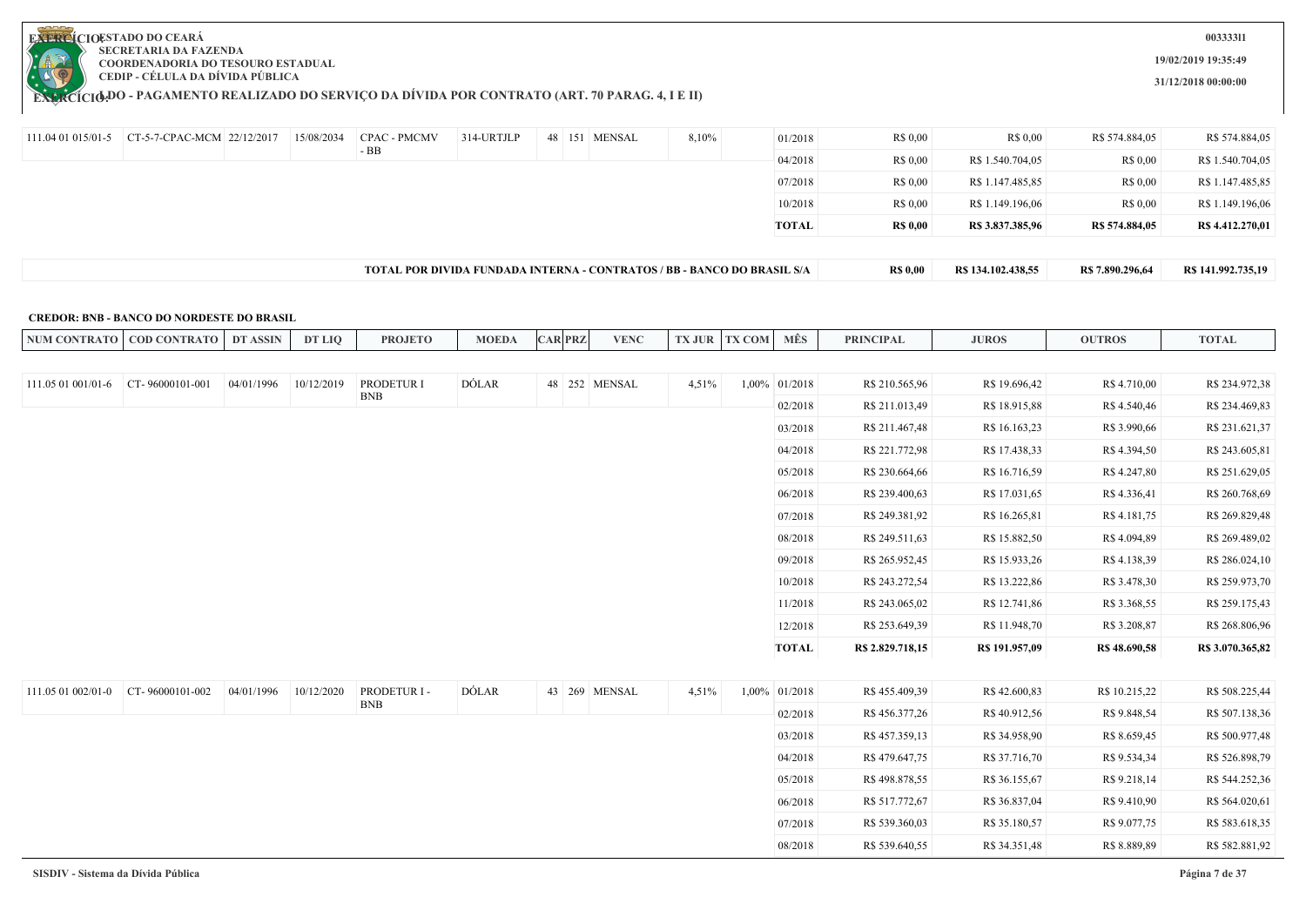

**EXERCÍCIODO - PAGAMENTO REALIZADO DO SERVIÇO DA DIVIDA POR CONTRATO (ART. 70 PARAG. 4, I E II)** 

**003333l1**

**19/02/2019 19:35:49**

**31/12/2018 00:00:00**

| 111.04 01 015/01-5 | CT-5-7-CPAC-MCM 22/12/2017 | 15/08/2034 | CPAC - PMCMV | 314-URTJLP | 48 151 MENSAL | 8,10%                                                                   | 01/2018      | R\$ 0.00        | R\$ 0.00           | R\$ 574.884,05   | R\$ 574.884,05     |
|--------------------|----------------------------|------------|--------------|------------|---------------|-------------------------------------------------------------------------|--------------|-----------------|--------------------|------------------|--------------------|
|                    |                            |            | $-BB$        |            |               |                                                                         | 04/2018      | R\$ 0.00        | R\$ 1.540.704,05   | R\$ 0.00         | R\$ 1.540.704,05   |
|                    |                            |            |              |            |               |                                                                         | 07/2018      | R\$ 0.00        | R\$ 1.147.485,85   | R\$ 0,00         | R\$ 1.147.485,85   |
|                    |                            |            |              |            |               |                                                                         | 10/2018      | R\$ 0.00        | R\$ 1.149.196,06   | R\$ 0,00         | R\$ 1.149.196,06   |
|                    |                            |            |              |            |               |                                                                         | <b>TOTAL</b> | <b>R\$ 0,00</b> | R\$ 3.837.385,96   | R\$ 574.884,05   | R\$ 4.412,270,01   |
|                    |                            |            |              |            |               |                                                                         |              |                 |                    |                  |                    |
|                    |                            |            |              |            |               | TOTAL POR DIVIDA FUNDADA INTERNA - CONTRATOS / BB - BANCO DO BRASIL S/A |              | <b>R\$ 0,00</b> | R\$ 134.102.438,55 | R\$ 7.890.296,64 | R\$ 141.992.735,19 |

#### **CREDOR: BNB - BANCO DO NORDESTE DO BRASIL**

| <b>NUM CONTRATO</b> | <b>COD CONTRATO</b> | DT ASSIN   | DT LIQ     | <b>PROJETO</b> | <b>MOEDA</b> | <b>CAR PRZ</b> | <b>VENC</b>   | <b>TX JUR</b> | <b>TX COM</b> | MÊS              | <b>PRINCIPAL</b> | <b>JUROS</b>   | <b>OUTROS</b> | <b>TOTAL</b>     |
|---------------------|---------------------|------------|------------|----------------|--------------|----------------|---------------|---------------|---------------|------------------|------------------|----------------|---------------|------------------|
|                     |                     |            |            |                |              |                |               |               |               |                  |                  |                |               |                  |
| 111.05 01 001/01-6  | CT-96000101-001     | 04/01/1996 | 10/12/2019 | PRODETUR I     | DÓLAR        |                | 48 252 MENSAL | 4,51%         |               | $1,00\%$ 01/2018 | R\$ 210.565,96   | R\$ 19.696,42  | R\$ 4.710,00  | R\$ 234.972,38   |
|                     |                     |            |            | <b>BNB</b>     |              |                |               |               |               | 02/2018          | R\$ 211.013,49   | R\$ 18.915,88  | R\$ 4.540,46  | R\$ 234.469,83   |
|                     |                     |            |            |                |              |                |               |               |               | 03/2018          | R\$ 211.467,48   | R\$ 16.163,23  | R\$ 3.990,66  | R\$ 231.621,37   |
|                     |                     |            |            |                |              |                |               |               |               | 04/2018          | R\$ 221.772,98   | R\$ 17.438,33  | R\$4.394,50   | R\$ 243.605,81   |
|                     |                     |            |            |                |              |                |               |               |               | 05/2018          | R\$ 230.664,66   | R\$ 16.716,59  | R\$ 4.247,80  | R\$ 251.629,05   |
|                     |                     |            |            |                |              |                |               |               |               | 06/2018          | R\$ 239.400,63   | R\$ 17.031,65  | R\$ 4.336,41  | R\$ 260.768,69   |
|                     |                     |            |            |                |              |                |               |               |               | 07/2018          | R\$ 249.381,92   | R\$ 16.265,81  | R\$ 4.181,75  | R\$ 269.829,48   |
|                     |                     |            |            |                |              |                |               |               |               | 08/2018          | R\$ 249.511,63   | R\$ 15.882,50  | R\$ 4.094,89  | R\$ 269.489,02   |
|                     |                     |            |            |                |              |                |               |               |               | 09/2018          | R\$ 265.952,45   | R\$ 15.933,26  | R\$ 4.138,39  | R\$ 286.024,10   |
|                     |                     |            |            |                |              |                |               |               |               | 10/2018          | R\$ 243.272,54   | R\$ 13.222,86  | R\$ 3.478,30  | R\$ 259.973,70   |
|                     |                     |            |            |                |              |                |               |               |               | 11/2018          | R\$ 243.065,02   | R\$ 12.741,86  | R\$ 3.368,55  | R\$ 259.175,43   |
|                     |                     |            |            |                |              |                |               |               |               | 12/2018          | R\$ 253.649,39   | R\$ 11.948,70  | R\$ 3.208,87  | R\$ 268.806,96   |
|                     |                     |            |            |                |              |                |               |               |               | TOTAL            | R\$ 2.829.718,15 | R\$ 191.957,09 | R\$ 48.690,58 | R\$ 3.070.365,82 |
|                     |                     |            |            |                |              |                |               |               |               |                  |                  |                |               |                  |
| 111.05 01 002/01-0  | CT-96000101-002     | 04/01/1996 | 10/12/2020 | PRODETUR I -   | DÓLAR        |                | 43 269 MENSAL | 4,51%         |               | $1,00\%$ 01/2018 | R\$455.409,39    | R\$42.600,83   | R\$ 10.215,22 | R\$ 508.225,44   |

| 111.05 01 002/01-0 | CT-96000101-002 | 04/01/1996 | 10/12/2020 | PRODETUR I - | DÓLAR | 43 269 MENSAL | 4,51% | $1,00\%$ 01/2018 | R\$ 455.409,39 | R\$42.600,83  | R\$ 10.215,22 | R\$ 508.225,44 |
|--------------------|-----------------|------------|------------|--------------|-------|---------------|-------|------------------|----------------|---------------|---------------|----------------|
|                    |                 |            |            | BNB          |       |               |       | 02/2018          | R\$ 456.377,26 | R\$40.912,56  | R\$ 9.848,54  | R\$ 507.138,36 |
|                    |                 |            |            |              |       |               |       | 03/2018          | R\$457.359,13  | R\$ 34.958,90 | R\$ 8.659,45  | R\$ 500.977,48 |
|                    |                 |            |            |              |       |               |       | 04/2018          | R\$479.647,75  | R\$ 37.716,70 | R\$ 9.534,34  | R\$ 526.898,79 |
|                    |                 |            |            |              |       |               |       | 05/2018          | R\$498.878,55  | R\$ 36.155,67 | R\$ 9.218,14  | R\$ 544.252,36 |
|                    |                 |            |            |              |       |               |       | 06/2018          | R\$ 517.772,67 | R\$ 36.837,04 | R\$ 9.410,90  | R\$ 564.020,61 |
|                    |                 |            |            |              |       |               |       | 07/2018          | R\$ 539.360,03 | R\$ 35.180,57 | R\$ 9.077,75  | R\$ 583.618,35 |
|                    |                 |            |            |              |       |               |       | 08/2018          | R\$ 539.640,55 | R\$ 34.351,48 | R\$ 8.889,89  | R\$ 582.881,92 |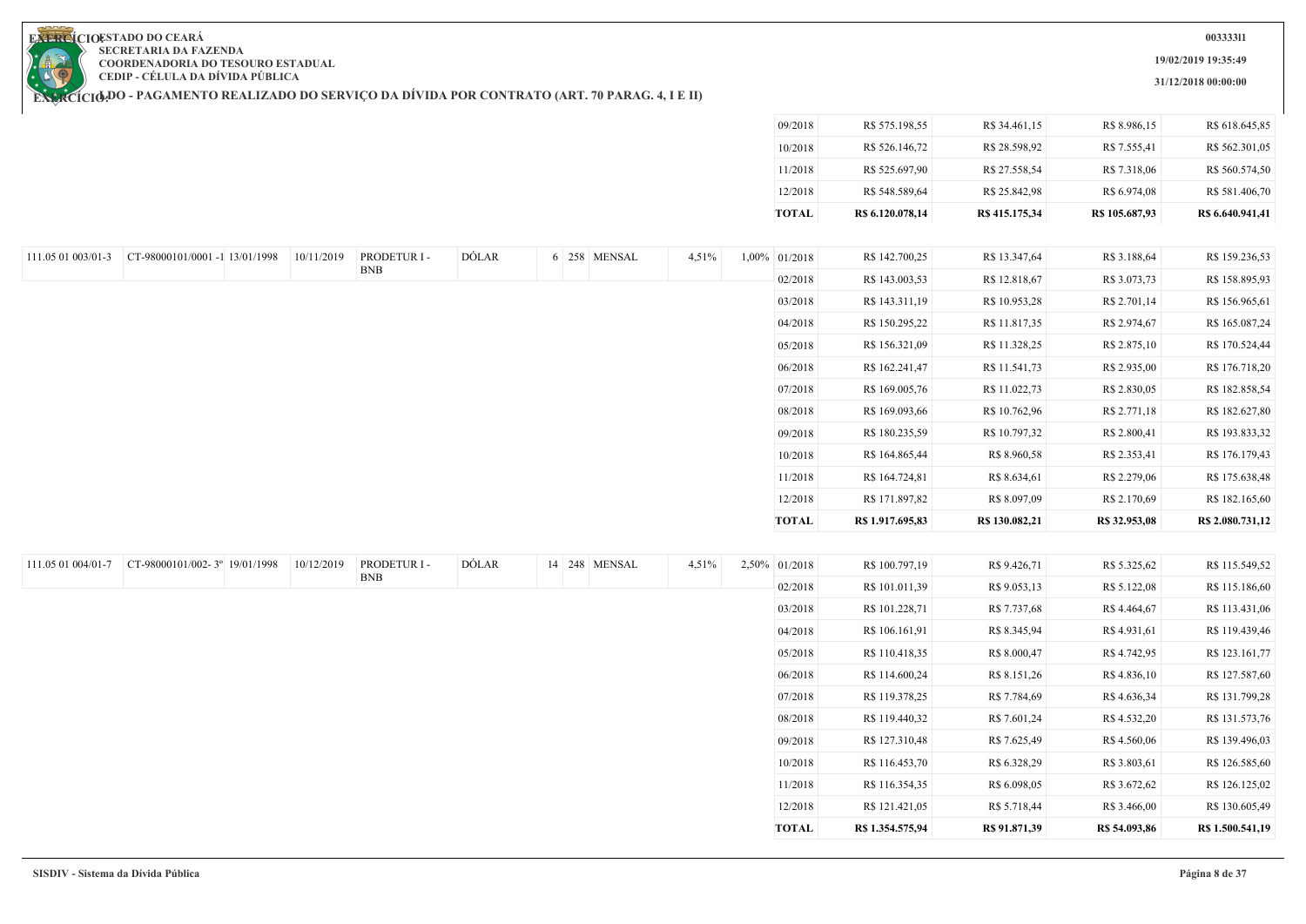**19/02/2019 19:35:49**

**31/12/2018 00:00:00**

**EXERCIOESTADO DO CEARA SECRETARIA DA FAZENDA COORDENADORIA DO TESOURO ESTADUAL CEDIP - CÉLULA DA DÍVIDA PÚBLICA**

| R\$ 28.598,92<br>R\$ 7.555,41<br>R\$ 562.301,05<br>10/2018<br>R\$ 526.146,72<br>R\$ 525.697,90<br>R\$ 27.558,54<br>11/2018<br>R\$ 7.318,06<br>12/2018<br>R\$ 548.589,64<br>R\$ 25.842,98<br>R\$ 6.974,08<br><b>TOTAL</b><br>R\$ 415.175,34<br>R\$ 105.687,93<br>R\$ 6.640.941,41<br>R\$ 6.120.078,14<br>DÓLAR<br>CT-98000101/0001 -1 13/01/1998<br>10/11/2019<br>PRODETUR I -<br>6 258 MENSAL<br>4,51%<br>1,00% 01/2018<br>R\$ 142.700,25<br>R\$ 13.347,64<br>R\$ 3.188,64<br>111.05 01 003/01-3<br><b>BNB</b><br>02/2018<br>R\$ 143.003,53<br>R\$ 12.818,67<br>R\$ 3.073,73<br>R\$ 158.895,93<br>03/2018<br>R\$ 143.311,19<br>R\$ 10.953,28<br>R\$ 2.701,14<br>R\$ 156.965,61<br>R\$ 150.295,22<br>R\$ 11.817,35<br>R\$ 2.974,67<br>04/2018<br>R\$ 165.087,24<br>R\$ 156.321,09<br>R\$ 11.328,25<br>R\$ 2.875,10<br>R\$ 170.524,44<br>05/2018<br>06/2018<br>R\$ 162.241,47<br>R\$ 11.541,73<br>R\$ 2.935,00<br>07/2018<br>R\$ 169.005,76<br>R\$ 11.022,73<br>R\$ 2.830,05<br>R\$ 182.858,54<br>R\$ 169.093,66<br>R\$ 10.762,96<br>R\$ 2.771,18<br>08/2018<br>09/2018<br>R\$ 180.235,59<br>R\$ 10.797,32<br>R\$ 2.800,41<br>10/2018<br>R\$ 164.865,44<br>R\$ 8.960,58<br>R\$ 2.353,41<br>R\$ 176.179,43<br>11/2018<br>R\$ 164.724,81<br>R\$ 8.634,61<br>R\$ 2.279,06<br>12/2018<br>R\$ 171.897,82<br>R\$ 8.097,09<br>R\$ 2.170,69<br><b>TOTAL</b><br>R\$ 1.917.695,83<br>R\$ 130.082,21<br>R\$ 32.953,08<br>R\$ 2.080.731,12<br>DÓLAR<br>111.05 01 004/01-7 CT-98000101/002-3° 19/01/1998<br>10/12/2019<br>PRODETUR I -<br>14 248 MENSAL<br>4,51%<br>2,50% 01/2018<br>R\$ 100.797,19<br>R\$ 9.426,71<br>R\$ 5.325,62<br><b>BNB</b><br>02/2018<br>R\$ 101.011,39<br>R\$ 9.053,13<br>R\$ 5.122,08<br>03/2018<br>R\$ 101.228,71<br>R\$ 7.737,68<br>R\$4.464,67<br>R\$ 113.431,06<br>R\$ 106.161,91<br>R\$ 8.345,94<br>R\$ 4.931,61<br>04/2018<br>R\$ 110.418,35<br>R\$ 4.742,95<br>05/2018<br>R\$ 8.000,47<br>06/2018<br>R\$ 114.600,24<br>R\$ 8.151,26<br>R\$ 4.836,10<br>07/2018<br>R\$ 119.378,25<br>R\$ 7.784,69<br>R\$4.636,34<br>R\$ 119.440,32<br>R\$ 7.601,24<br>R\$ 4.532,20<br>08/2018<br>09/2018<br>R\$ 127.310,48<br>R\$ 7.625,49<br>R\$4.560,06<br>R\$ 139.496,03<br>10/2018<br>R\$ 6.328,29<br>R\$ 3.803,61<br>R\$ 116.453,70<br>11/2018<br>R\$ 116.354,35<br>R\$ 6.098,05<br>R\$ 3.672,62<br>R\$ 126.125,02<br>R\$ 5.718,44<br>12/2018<br>R\$ 121.421,05<br>R\$ 3.466,00<br><b>TOTAL</b><br>R\$ 1.354.575,94<br>R\$ 91.871,39<br>R\$ 54.093,86<br>R\$ 1.500.541,19 |  |  |  |  | 09/2018 | R\$ 575.198,55 | R\$ 34.461,15 | R\$ 8.986,15 | R\$ 618.645,85 |
|--------------------------------------------------------------------------------------------------------------------------------------------------------------------------------------------------------------------------------------------------------------------------------------------------------------------------------------------------------------------------------------------------------------------------------------------------------------------------------------------------------------------------------------------------------------------------------------------------------------------------------------------------------------------------------------------------------------------------------------------------------------------------------------------------------------------------------------------------------------------------------------------------------------------------------------------------------------------------------------------------------------------------------------------------------------------------------------------------------------------------------------------------------------------------------------------------------------------------------------------------------------------------------------------------------------------------------------------------------------------------------------------------------------------------------------------------------------------------------------------------------------------------------------------------------------------------------------------------------------------------------------------------------------------------------------------------------------------------------------------------------------------------------------------------------------------------------------------------------------------------------------------------------------------------------------------------------------------------------------------------------------------------------------------------------------------------------------------------------------------------------------------------------------------------------------------------------------------------------------------------------------------------------------------------------------------------------------------------------------------------------------------------------------------------------------------------------------------------------|--|--|--|--|---------|----------------|---------------|--------------|----------------|
|                                                                                                                                                                                                                                                                                                                                                                                                                                                                                                                                                                                                                                                                                                                                                                                                                                                                                                                                                                                                                                                                                                                                                                                                                                                                                                                                                                                                                                                                                                                                                                                                                                                                                                                                                                                                                                                                                                                                                                                                                                                                                                                                                                                                                                                                                                                                                                                                                                                                                |  |  |  |  |         |                |               |              |                |
|                                                                                                                                                                                                                                                                                                                                                                                                                                                                                                                                                                                                                                                                                                                                                                                                                                                                                                                                                                                                                                                                                                                                                                                                                                                                                                                                                                                                                                                                                                                                                                                                                                                                                                                                                                                                                                                                                                                                                                                                                                                                                                                                                                                                                                                                                                                                                                                                                                                                                |  |  |  |  |         |                |               |              | R\$ 560.574,50 |
|                                                                                                                                                                                                                                                                                                                                                                                                                                                                                                                                                                                                                                                                                                                                                                                                                                                                                                                                                                                                                                                                                                                                                                                                                                                                                                                                                                                                                                                                                                                                                                                                                                                                                                                                                                                                                                                                                                                                                                                                                                                                                                                                                                                                                                                                                                                                                                                                                                                                                |  |  |  |  |         |                |               |              | R\$ 581.406,70 |
|                                                                                                                                                                                                                                                                                                                                                                                                                                                                                                                                                                                                                                                                                                                                                                                                                                                                                                                                                                                                                                                                                                                                                                                                                                                                                                                                                                                                                                                                                                                                                                                                                                                                                                                                                                                                                                                                                                                                                                                                                                                                                                                                                                                                                                                                                                                                                                                                                                                                                |  |  |  |  |         |                |               |              |                |
|                                                                                                                                                                                                                                                                                                                                                                                                                                                                                                                                                                                                                                                                                                                                                                                                                                                                                                                                                                                                                                                                                                                                                                                                                                                                                                                                                                                                                                                                                                                                                                                                                                                                                                                                                                                                                                                                                                                                                                                                                                                                                                                                                                                                                                                                                                                                                                                                                                                                                |  |  |  |  |         |                |               |              |                |
|                                                                                                                                                                                                                                                                                                                                                                                                                                                                                                                                                                                                                                                                                                                                                                                                                                                                                                                                                                                                                                                                                                                                                                                                                                                                                                                                                                                                                                                                                                                                                                                                                                                                                                                                                                                                                                                                                                                                                                                                                                                                                                                                                                                                                                                                                                                                                                                                                                                                                |  |  |  |  |         |                |               |              | R\$ 159.236,53 |
|                                                                                                                                                                                                                                                                                                                                                                                                                                                                                                                                                                                                                                                                                                                                                                                                                                                                                                                                                                                                                                                                                                                                                                                                                                                                                                                                                                                                                                                                                                                                                                                                                                                                                                                                                                                                                                                                                                                                                                                                                                                                                                                                                                                                                                                                                                                                                                                                                                                                                |  |  |  |  |         |                |               |              |                |
|                                                                                                                                                                                                                                                                                                                                                                                                                                                                                                                                                                                                                                                                                                                                                                                                                                                                                                                                                                                                                                                                                                                                                                                                                                                                                                                                                                                                                                                                                                                                                                                                                                                                                                                                                                                                                                                                                                                                                                                                                                                                                                                                                                                                                                                                                                                                                                                                                                                                                |  |  |  |  |         |                |               |              |                |
|                                                                                                                                                                                                                                                                                                                                                                                                                                                                                                                                                                                                                                                                                                                                                                                                                                                                                                                                                                                                                                                                                                                                                                                                                                                                                                                                                                                                                                                                                                                                                                                                                                                                                                                                                                                                                                                                                                                                                                                                                                                                                                                                                                                                                                                                                                                                                                                                                                                                                |  |  |  |  |         |                |               |              |                |
|                                                                                                                                                                                                                                                                                                                                                                                                                                                                                                                                                                                                                                                                                                                                                                                                                                                                                                                                                                                                                                                                                                                                                                                                                                                                                                                                                                                                                                                                                                                                                                                                                                                                                                                                                                                                                                                                                                                                                                                                                                                                                                                                                                                                                                                                                                                                                                                                                                                                                |  |  |  |  |         |                |               |              |                |
|                                                                                                                                                                                                                                                                                                                                                                                                                                                                                                                                                                                                                                                                                                                                                                                                                                                                                                                                                                                                                                                                                                                                                                                                                                                                                                                                                                                                                                                                                                                                                                                                                                                                                                                                                                                                                                                                                                                                                                                                                                                                                                                                                                                                                                                                                                                                                                                                                                                                                |  |  |  |  |         |                |               |              | R\$ 176.718,20 |
|                                                                                                                                                                                                                                                                                                                                                                                                                                                                                                                                                                                                                                                                                                                                                                                                                                                                                                                                                                                                                                                                                                                                                                                                                                                                                                                                                                                                                                                                                                                                                                                                                                                                                                                                                                                                                                                                                                                                                                                                                                                                                                                                                                                                                                                                                                                                                                                                                                                                                |  |  |  |  |         |                |               |              |                |
|                                                                                                                                                                                                                                                                                                                                                                                                                                                                                                                                                                                                                                                                                                                                                                                                                                                                                                                                                                                                                                                                                                                                                                                                                                                                                                                                                                                                                                                                                                                                                                                                                                                                                                                                                                                                                                                                                                                                                                                                                                                                                                                                                                                                                                                                                                                                                                                                                                                                                |  |  |  |  |         |                |               |              | R\$ 182.627,80 |
|                                                                                                                                                                                                                                                                                                                                                                                                                                                                                                                                                                                                                                                                                                                                                                                                                                                                                                                                                                                                                                                                                                                                                                                                                                                                                                                                                                                                                                                                                                                                                                                                                                                                                                                                                                                                                                                                                                                                                                                                                                                                                                                                                                                                                                                                                                                                                                                                                                                                                |  |  |  |  |         |                |               |              | R\$ 193.833,32 |
|                                                                                                                                                                                                                                                                                                                                                                                                                                                                                                                                                                                                                                                                                                                                                                                                                                                                                                                                                                                                                                                                                                                                                                                                                                                                                                                                                                                                                                                                                                                                                                                                                                                                                                                                                                                                                                                                                                                                                                                                                                                                                                                                                                                                                                                                                                                                                                                                                                                                                |  |  |  |  |         |                |               |              |                |
|                                                                                                                                                                                                                                                                                                                                                                                                                                                                                                                                                                                                                                                                                                                                                                                                                                                                                                                                                                                                                                                                                                                                                                                                                                                                                                                                                                                                                                                                                                                                                                                                                                                                                                                                                                                                                                                                                                                                                                                                                                                                                                                                                                                                                                                                                                                                                                                                                                                                                |  |  |  |  |         |                |               |              | R\$ 175.638,48 |
|                                                                                                                                                                                                                                                                                                                                                                                                                                                                                                                                                                                                                                                                                                                                                                                                                                                                                                                                                                                                                                                                                                                                                                                                                                                                                                                                                                                                                                                                                                                                                                                                                                                                                                                                                                                                                                                                                                                                                                                                                                                                                                                                                                                                                                                                                                                                                                                                                                                                                |  |  |  |  |         |                |               |              | R\$ 182.165,60 |
|                                                                                                                                                                                                                                                                                                                                                                                                                                                                                                                                                                                                                                                                                                                                                                                                                                                                                                                                                                                                                                                                                                                                                                                                                                                                                                                                                                                                                                                                                                                                                                                                                                                                                                                                                                                                                                                                                                                                                                                                                                                                                                                                                                                                                                                                                                                                                                                                                                                                                |  |  |  |  |         |                |               |              |                |
|                                                                                                                                                                                                                                                                                                                                                                                                                                                                                                                                                                                                                                                                                                                                                                                                                                                                                                                                                                                                                                                                                                                                                                                                                                                                                                                                                                                                                                                                                                                                                                                                                                                                                                                                                                                                                                                                                                                                                                                                                                                                                                                                                                                                                                                                                                                                                                                                                                                                                |  |  |  |  |         |                |               |              |                |
|                                                                                                                                                                                                                                                                                                                                                                                                                                                                                                                                                                                                                                                                                                                                                                                                                                                                                                                                                                                                                                                                                                                                                                                                                                                                                                                                                                                                                                                                                                                                                                                                                                                                                                                                                                                                                                                                                                                                                                                                                                                                                                                                                                                                                                                                                                                                                                                                                                                                                |  |  |  |  |         |                |               |              | R\$ 115.549,52 |
|                                                                                                                                                                                                                                                                                                                                                                                                                                                                                                                                                                                                                                                                                                                                                                                                                                                                                                                                                                                                                                                                                                                                                                                                                                                                                                                                                                                                                                                                                                                                                                                                                                                                                                                                                                                                                                                                                                                                                                                                                                                                                                                                                                                                                                                                                                                                                                                                                                                                                |  |  |  |  |         |                |               |              | R\$ 115.186,60 |
|                                                                                                                                                                                                                                                                                                                                                                                                                                                                                                                                                                                                                                                                                                                                                                                                                                                                                                                                                                                                                                                                                                                                                                                                                                                                                                                                                                                                                                                                                                                                                                                                                                                                                                                                                                                                                                                                                                                                                                                                                                                                                                                                                                                                                                                                                                                                                                                                                                                                                |  |  |  |  |         |                |               |              |                |
|                                                                                                                                                                                                                                                                                                                                                                                                                                                                                                                                                                                                                                                                                                                                                                                                                                                                                                                                                                                                                                                                                                                                                                                                                                                                                                                                                                                                                                                                                                                                                                                                                                                                                                                                                                                                                                                                                                                                                                                                                                                                                                                                                                                                                                                                                                                                                                                                                                                                                |  |  |  |  |         |                |               |              | R\$ 119.439,46 |
|                                                                                                                                                                                                                                                                                                                                                                                                                                                                                                                                                                                                                                                                                                                                                                                                                                                                                                                                                                                                                                                                                                                                                                                                                                                                                                                                                                                                                                                                                                                                                                                                                                                                                                                                                                                                                                                                                                                                                                                                                                                                                                                                                                                                                                                                                                                                                                                                                                                                                |  |  |  |  |         |                |               |              | R\$ 123.161,77 |
|                                                                                                                                                                                                                                                                                                                                                                                                                                                                                                                                                                                                                                                                                                                                                                                                                                                                                                                                                                                                                                                                                                                                                                                                                                                                                                                                                                                                                                                                                                                                                                                                                                                                                                                                                                                                                                                                                                                                                                                                                                                                                                                                                                                                                                                                                                                                                                                                                                                                                |  |  |  |  |         |                |               |              | R\$ 127.587,60 |
|                                                                                                                                                                                                                                                                                                                                                                                                                                                                                                                                                                                                                                                                                                                                                                                                                                                                                                                                                                                                                                                                                                                                                                                                                                                                                                                                                                                                                                                                                                                                                                                                                                                                                                                                                                                                                                                                                                                                                                                                                                                                                                                                                                                                                                                                                                                                                                                                                                                                                |  |  |  |  |         |                |               |              | R\$ 131.799,28 |
|                                                                                                                                                                                                                                                                                                                                                                                                                                                                                                                                                                                                                                                                                                                                                                                                                                                                                                                                                                                                                                                                                                                                                                                                                                                                                                                                                                                                                                                                                                                                                                                                                                                                                                                                                                                                                                                                                                                                                                                                                                                                                                                                                                                                                                                                                                                                                                                                                                                                                |  |  |  |  |         |                |               |              | R\$ 131.573,76 |
|                                                                                                                                                                                                                                                                                                                                                                                                                                                                                                                                                                                                                                                                                                                                                                                                                                                                                                                                                                                                                                                                                                                                                                                                                                                                                                                                                                                                                                                                                                                                                                                                                                                                                                                                                                                                                                                                                                                                                                                                                                                                                                                                                                                                                                                                                                                                                                                                                                                                                |  |  |  |  |         |                |               |              |                |
|                                                                                                                                                                                                                                                                                                                                                                                                                                                                                                                                                                                                                                                                                                                                                                                                                                                                                                                                                                                                                                                                                                                                                                                                                                                                                                                                                                                                                                                                                                                                                                                                                                                                                                                                                                                                                                                                                                                                                                                                                                                                                                                                                                                                                                                                                                                                                                                                                                                                                |  |  |  |  |         |                |               |              | R\$ 126.585,60 |
|                                                                                                                                                                                                                                                                                                                                                                                                                                                                                                                                                                                                                                                                                                                                                                                                                                                                                                                                                                                                                                                                                                                                                                                                                                                                                                                                                                                                                                                                                                                                                                                                                                                                                                                                                                                                                                                                                                                                                                                                                                                                                                                                                                                                                                                                                                                                                                                                                                                                                |  |  |  |  |         |                |               |              |                |
|                                                                                                                                                                                                                                                                                                                                                                                                                                                                                                                                                                                                                                                                                                                                                                                                                                                                                                                                                                                                                                                                                                                                                                                                                                                                                                                                                                                                                                                                                                                                                                                                                                                                                                                                                                                                                                                                                                                                                                                                                                                                                                                                                                                                                                                                                                                                                                                                                                                                                |  |  |  |  |         |                |               |              |                |
|                                                                                                                                                                                                                                                                                                                                                                                                                                                                                                                                                                                                                                                                                                                                                                                                                                                                                                                                                                                                                                                                                                                                                                                                                                                                                                                                                                                                                                                                                                                                                                                                                                                                                                                                                                                                                                                                                                                                                                                                                                                                                                                                                                                                                                                                                                                                                                                                                                                                                |  |  |  |  |         |                |               |              | R\$ 130.605,49 |

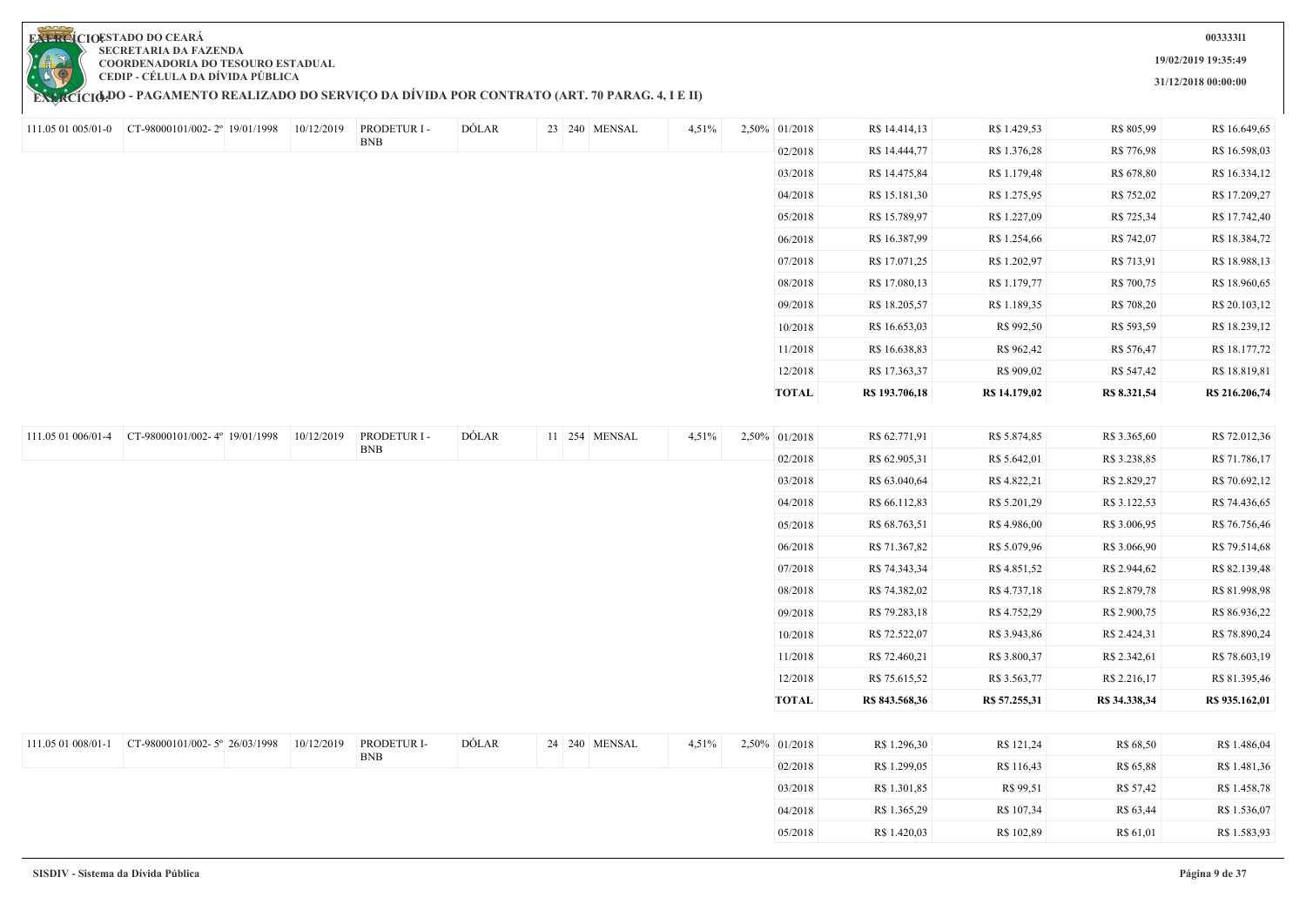

## **EXERCÍCIODO - PAGAMENTO REALIZADO DO SERVIÇO DA DIVIDA POR CONTRATO (ART. 70 PARAG. 4, I E II)**

**003333l1**

**19/02/2019 19:35:49**

**31/12/2018 00:00:00**

|                    | 111.05 01 005/01-0 CT-98000101/002-2° 19/01/1998 | 10/12/2019 | PRODETUR I - | DÓLAR        | 23 240 MENSAL | 4,51% | 2,50% 01/2018 | R\$ 14.414,13  | R\$ 1.429,53  | R\$ 805,99    | R\$ 16.649,65  |
|--------------------|--------------------------------------------------|------------|--------------|--------------|---------------|-------|---------------|----------------|---------------|---------------|----------------|
|                    |                                                  |            | <b>BNB</b>   |              |               |       | 02/2018       | R\$ 14.444,77  | R\$ 1.376,28  | R\$ 776,98    | R\$ 16.598,03  |
|                    |                                                  |            |              |              |               |       | 03/2018       | R\$ 14.475,84  | R\$ 1.179,48  | R\$ 678,80    | R\$ 16.334,12  |
|                    |                                                  |            |              |              |               |       | 04/2018       | R\$ 15.181,30  | R\$ 1.275,95  | R\$ 752,02    | R\$ 17.209,27  |
|                    |                                                  |            |              |              |               |       | 05/2018       | R\$ 15.789,97  | R\$ 1.227,09  | R\$ 725,34    | R\$ 17.742,40  |
|                    |                                                  |            |              |              |               |       | 06/2018       | R\$ 16.387,99  | R\$ 1.254,66  | R\$ 742,07    | R\$ 18.384,72  |
|                    |                                                  |            |              |              |               |       | 07/2018       | R\$ 17.071,25  | R\$ 1.202,97  | R\$ 713,91    | R\$ 18.988,13  |
|                    |                                                  |            |              |              |               |       | 08/2018       | R\$ 17.080,13  | R\$ 1.179,77  | R\$ 700,75    | R\$ 18.960,65  |
|                    |                                                  |            |              |              |               |       | 09/2018       | R\$ 18.205,57  | R\$ 1.189,35  | R\$ 708,20    | R\$ 20.103,12  |
|                    |                                                  |            |              |              |               |       | 10/2018       | R\$ 16.653,03  | R\$ 992,50    | R\$ 593,59    | R\$ 18.239,12  |
|                    |                                                  |            |              |              |               |       | 11/2018       | R\$ 16.638,83  | R\$ 962,42    | R\$ 576,47    | R\$ 18.177,72  |
|                    |                                                  |            |              |              |               |       | 12/2018       | R\$ 17.363,37  | R\$ 909,02    | R\$ 547,42    | R\$ 18.819,81  |
|                    |                                                  |            |              |              |               |       | <b>TOTAL</b>  | R\$ 193.706,18 | R\$ 14.179,02 | R\$ 8.321,54  | R\$ 216.206,74 |
|                    |                                                  |            |              |              |               |       |               |                |               |               |                |
| 111.05 01 006/01-4 | CT-98000101/002-4° 19/01/1998                    | 10/12/2019 | PRODETUR I - | <b>DÓLAR</b> | 11 254 MENSAL | 4,51% | 2,50% 01/2018 | R\$ 62.771,91  | R\$ 5.874,85  | R\$ 3.365,60  | R\$ 72.012,36  |
|                    |                                                  |            | <b>BNB</b>   |              |               |       | 02/2018       | R\$ 62.905,31  | R\$ 5.642,01  | R\$ 3.238,85  | R\$ 71.786,17  |
|                    |                                                  |            |              |              |               |       | 03/2018       | R\$ 63.040,64  | R\$ 4.822,21  | R\$ 2.829,27  | R\$ 70.692,12  |
|                    |                                                  |            |              |              |               |       | 04/2018       | R\$ 66.112,83  | R\$ 5.201,29  | R\$ 3.122,53  | R\$ 74.436,65  |
|                    |                                                  |            |              |              |               |       | 05/2018       | R\$ 68.763,51  | R\$4.986,00   | R\$ 3.006,95  | R\$ 76.756,46  |
|                    |                                                  |            |              |              |               |       | 06/2018       | R\$ 71.367,82  | R\$ 5.079,96  | R\$ 3.066,90  | R\$ 79.514,68  |
|                    |                                                  |            |              |              |               |       | 07/2018       | R\$ 74.343,34  | R\$ 4.851,52  | R\$ 2.944,62  | R\$ 82.139,48  |
|                    |                                                  |            |              |              |               |       | 08/2018       | R\$ 74.382,02  | R\$ 4.737,18  | R\$ 2.879,78  | R\$ 81.998,98  |
|                    |                                                  |            |              |              |               |       | 09/2018       | R\$ 79.283,18  | R\$ 4.752,29  | R\$ 2.900,75  | R\$ 86.936,22  |
|                    |                                                  |            |              |              |               |       | 10/2018       | R\$ 72.522,07  | R\$ 3.943,86  | R\$ 2.424,31  | R\$ 78.890,24  |
|                    |                                                  |            |              |              |               |       | 11/2018       | R\$ 72.460,21  | R\$ 3.800,37  | R\$ 2.342,61  | R\$ 78.603,19  |
|                    |                                                  |            |              |              |               |       | 12/2018       | R\$ 75.615,52  | R\$ 3.563,77  | R\$ 2.216,17  | R\$ 81.395,46  |
|                    |                                                  |            |              |              |               |       | <b>TOTAL</b>  | R\$ 843.568,36 | R\$ 57.255,31 | R\$ 34.338,34 | R\$ 935.162,01 |
|                    |                                                  |            |              |              |               |       |               |                |               |               |                |
| 111.05 01 008/01-1 | CT-98000101/002-5° 26/03/1998                    | 10/12/2019 | PRODETUR I-  | DÓLAR        | 24 240 MENSAL | 4,51% | 2,50% 01/2018 | R\$ 1.296,30   | R\$ 121,24    | R\$ 68,50     | R\$ 1.486,04   |
|                    |                                                  |            | <b>BNB</b>   |              |               |       | 02/2018       | R\$ 1.299,05   | R\$ 116,43    | R\$ 65,88     | R\$ 1.481,36   |
|                    |                                                  |            |              |              |               |       | 03/2018       | R\$ 1.301,85   | R\$ 99,51     | R\$ 57,42     | R\$ 1.458,78   |
|                    |                                                  |            |              |              |               |       | 04/2018       | R\$ 1.365,29   | R\$ 107,34    | R\$ 63,44     | R\$ 1.536,07   |
|                    |                                                  |            |              |              |               |       | 05/2018       | R\$ 1.420,03   | R\$ 102,89    | R\$ 61,01     | R\$ 1.583,93   |
|                    |                                                  |            |              |              |               |       |               |                |               |               |                |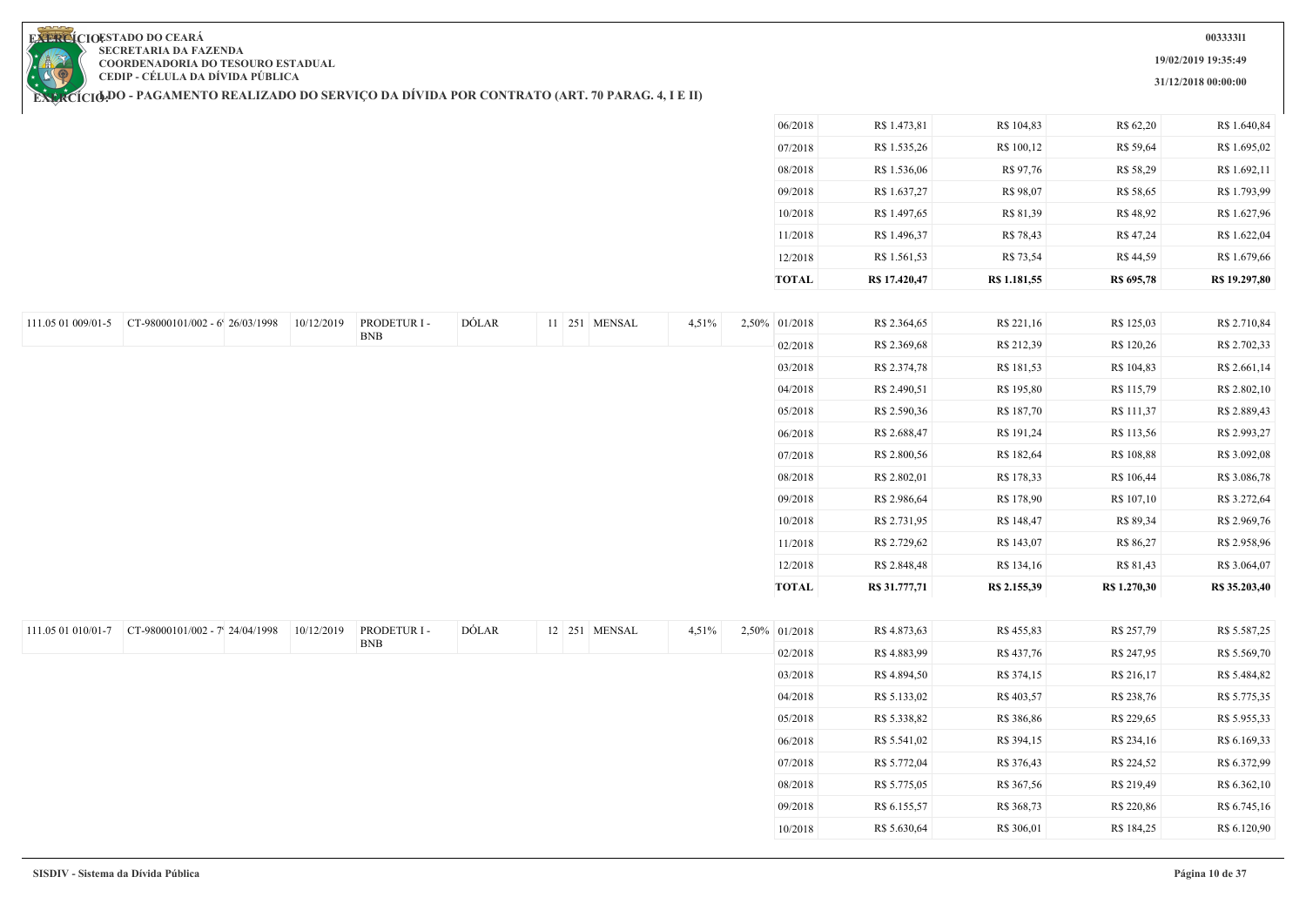**19/02/2019 19:35:49**

**31/12/2018 00:00:00**

**EXERCIOESTADO DO CEARA SECRETARIA DA FAZENDA COORDENADORIA DO TESOURO ESTADUAL CEDIP - CÉLULA DA DÍVIDA PÚBLICA**

**EXERCÍCIODO - PAGAMENTO REALIZADO DO SERVIÇO DA DIVIDA POR CONTRATO (ART. 70 PARAG. 4, I E II)** 

| TOTAL   | R\$ 17,420,47 | R\$ 1.181,55 | R\$ 695,78 | R\$ 19.297,80 |
|---------|---------------|--------------|------------|---------------|
| 12/2018 | R\$ 1.561,53  | R\$ 73,54    | R\$ 44,59  | R\$ 1.679,66  |
| 11/2018 | R\$ 1.496,37  | R\$ 78,43    | R\$47,24   | R\$ 1.622,04  |
| 10/2018 | R\$ 1.497,65  | R\$ 81,39    | R\$48,92   | R\$ 1.627,96  |
| 09/2018 | R\$ 1.637,27  | R\$ 98,07    | R\$ 58,65  | R\$ 1.793,99  |
| 08/2018 | R\$ 1.536,06  | R\$ 97,76    | R\$ 58,29  | R\$ 1.692,11  |
| 07/2018 | R\$ 1.535,26  | R\$ 100,12   | R\$ 59,64  | R\$ 1.695,02  |
| 06/2018 | R\$ 1.473,81  | R\$ 104,83   | R\$ 62,20  | R\$ 1.640,84  |
|         |               |              |            |               |

09/2018 R\$ 6.155,57 R\$ 368,73 R\$ 220,86 R\$ 6.745,16 10/2018 R\$ 5.630,64 R\$ 306,01 R\$ 184,25 R\$ 6.120,90

| 111.05 01 009/01-5 | CT-98000101/002 - 6' 26/03/1998 | 10/12/2019 | PRODETUR I - | DÓLAR | 11 251 MENSAL | 4,51% | 2,50% 01/2018 | R\$ 2.364,65  | R\$ 221,16   | R\$ 125,03   | R\$ 2.710,84  |
|--------------------|---------------------------------|------------|--------------|-------|---------------|-------|---------------|---------------|--------------|--------------|---------------|
|                    |                                 |            | <b>BNB</b>   |       |               |       | 02/2018       | R\$ 2.369,68  | R\$ 212,39   | R\$ 120,26   | R\$ 2.702,33  |
|                    |                                 |            |              |       |               |       | 03/2018       | R\$ 2.374,78  | R\$ 181,53   | R\$ 104,83   | R\$ 2.661,14  |
|                    |                                 |            |              |       |               |       | 04/2018       | R\$ 2.490,51  | R\$ 195,80   | R\$ 115,79   | R\$ 2.802,10  |
|                    |                                 |            |              |       |               |       | 05/2018       | R\$ 2.590,36  | R\$ 187,70   | R\$ 111,37   | R\$ 2.889,43  |
|                    |                                 |            |              |       |               |       | 06/2018       | R\$ 2.688,47  | R\$ 191,24   | R\$ 113,56   | R\$ 2.993,27  |
|                    |                                 |            |              |       |               |       | 07/2018       | R\$ 2.800,56  | R\$ 182,64   | R\$ 108,88   | R\$ 3.092,08  |
|                    |                                 |            |              |       |               |       | 08/2018       | R\$ 2.802,01  | R\$ 178,33   | R\$ 106,44   | R\$ 3.086,78  |
|                    |                                 |            |              |       |               |       | 09/2018       | R\$ 2.986,64  | R\$ 178,90   | R\$ 107,10   | R\$ 3.272,64  |
|                    |                                 |            |              |       |               |       | 10/2018       | R\$ 2.731,95  | R\$ 148,47   | R\$ 89,34    | R\$ 2.969,76  |
|                    |                                 |            |              |       |               |       | 11/2018       | R\$ 2.729,62  | R\$ 143,07   | R\$ 86,27    | R\$ 2.958,96  |
|                    |                                 |            |              |       |               |       | 12/2018       | R\$ 2.848,48  | R\$ 134,16   | R\$ 81,43    | R\$ 3.064,07  |
|                    |                                 |            |              |       |               |       | <b>TOTAL</b>  | R\$ 31.777,71 | R\$ 2.155,39 | R\$ 1.270,30 | R\$ 35.203,40 |
|                    |                                 |            |              |       |               |       |               |               |              |              |               |
| 111.05 01 010/01-7 | CT-98000101/002 - 7' 24/04/1998 | 10/12/2019 | PRODETUR I - | DÓLAR | 12 251 MENSAL | 4,51% | 2,50% 01/2018 | R\$ 4.873,63  | R\$ 455,83   | R\$ 257,79   | R\$ 5.587,25  |
|                    |                                 |            | <b>BNB</b>   |       |               |       | 02/2018       | R\$4.883,99   | R\$437,76    | R\$ 247,95   | R\$ 5.569,70  |
|                    |                                 |            |              |       |               |       | 03/2018       | R\$ 4.894,50  | R\$ 374,15   | R\$ 216,17   | R\$ 5.484,82  |
|                    |                                 |            |              |       |               |       | 04/2018       | R\$ 5.133,02  | R\$403,57    | R\$ 238,76   | R\$ 5.775,35  |
|                    |                                 |            |              |       |               |       | 05/2018       | R\$ 5.338,82  | R\$ 386,86   | R\$ 229,65   | R\$ 5.955,33  |
|                    |                                 |            |              |       |               |       | 06/2018       | R\$ 5.541,02  | R\$ 394,15   | R\$ 234,16   | R\$ 6.169,33  |
|                    |                                 |            |              |       |               |       | 07/2018       | R\$ 5.772,04  | R\$ 376,43   | R\$ 224,52   | R\$ 6.372,99  |
|                    |                                 |            |              |       |               |       | 08/2018       | R\$ 5.775,05  | R\$ 367,56   | R\$ 219,49   | R\$ 6.362,10  |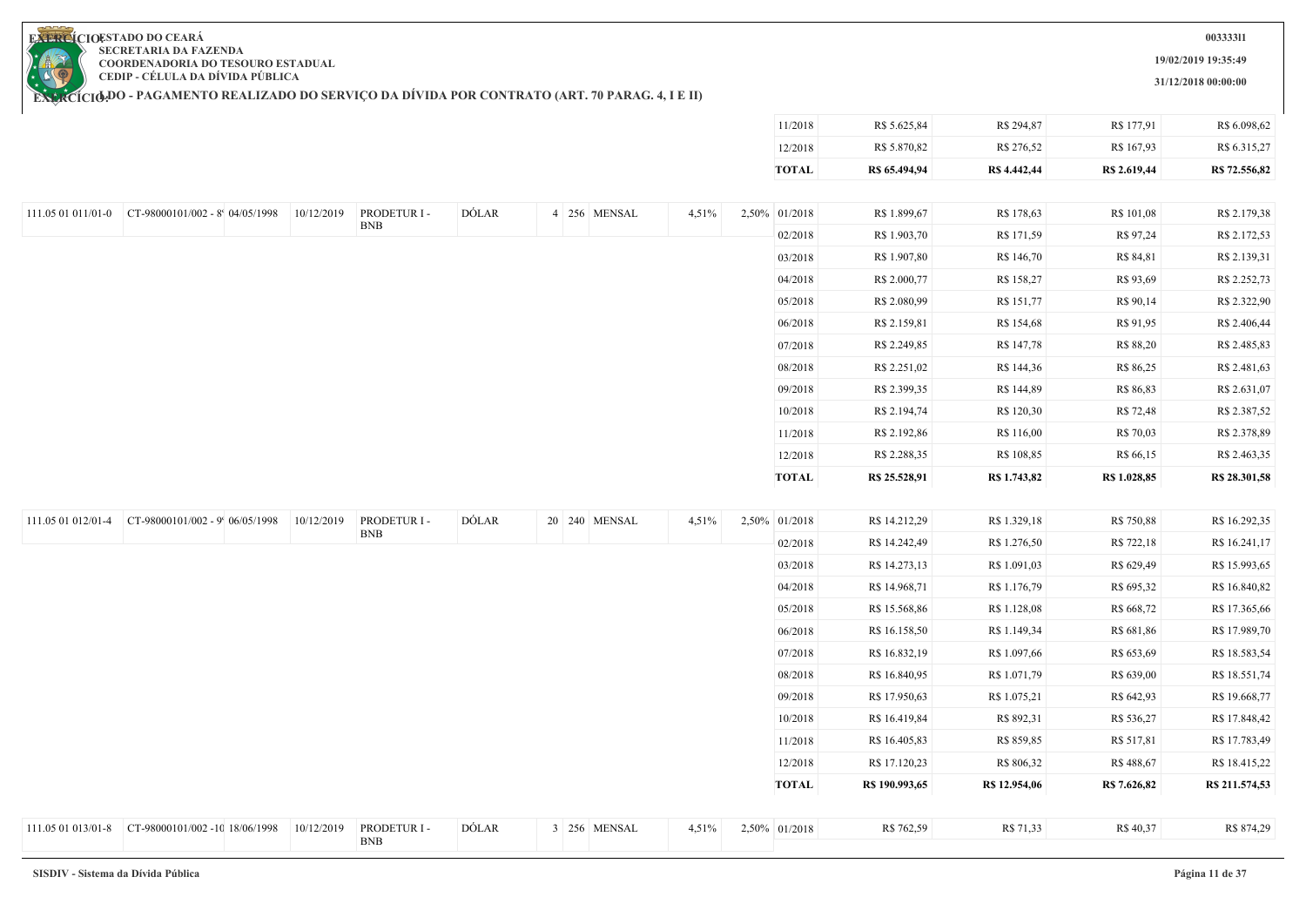**19/02/2019 19:35:49**

**31/12/2018 00:00:00**

11/2018 R\$ 5.625,84 R\$ 294,87 R\$ 177,91 R\$ 6.098,62

**EXERCIOESTADO DO CEARA SECRETARIA DA FAZENDA COORDENADORIA DO TESOURO ESTADUAL CEDIP - CÉLULA DA DÍVIDA PÚBLICA**

|                    |                                                   |            |              |       |               |       | 12/2018       | R\$ 5.870,82   | R\$ 276,52    | R\$ 167,93   | R\$ 6.315,27   |
|--------------------|---------------------------------------------------|------------|--------------|-------|---------------|-------|---------------|----------------|---------------|--------------|----------------|
|                    |                                                   |            |              |       |               |       | <b>TOTAL</b>  | R\$ 65.494,94  | R\$ 4.442,44  | R\$ 2.619,44 | R\$ 72.556,82  |
|                    |                                                   |            |              |       |               |       |               |                |               |              |                |
|                    | 111.05 01 011/01-0 CT-98000101/002 - 8 04/05/1998 | 10/12/2019 | PRODETUR I - | DÓLAR | 4 256 MENSAL  | 4,51% | 2,50% 01/2018 | R\$ 1.899,67   | R\$ 178,63    | R\$ 101,08   | R\$ 2.179,38   |
|                    |                                                   |            | <b>BNB</b>   |       |               |       | 02/2018       | R\$ 1.903,70   | R\$ 171,59    | R\$ 97,24    | R\$ 2.172,53   |
|                    |                                                   |            |              |       |               |       | 03/2018       | R\$ 1.907,80   | R\$ 146,70    | R\$ 84,81    | R\$ 2.139,31   |
|                    |                                                   |            |              |       |               |       | 04/2018       | R\$ 2.000,77   | R\$ 158,27    | R\$ 93,69    | R\$ 2.252,73   |
|                    |                                                   |            |              |       |               |       | 05/2018       | R\$ 2.080,99   | R\$ 151,77    | R\$ 90,14    | R\$ 2.322,90   |
|                    |                                                   |            |              |       |               |       | 06/2018       | R\$ 2.159,81   | R\$ 154,68    | R\$ 91,95    | R\$ 2.406,44   |
|                    |                                                   |            |              |       |               |       | 07/2018       | R\$ 2.249,85   | R\$ 147,78    | R\$ 88,20    | R\$ 2.485,83   |
|                    |                                                   |            |              |       |               |       | 08/2018       | R\$ 2.251,02   | R\$ 144,36    | R\$ 86,25    | R\$ 2.481,63   |
|                    |                                                   |            |              |       |               |       | 09/2018       | R\$ 2.399,35   | R\$ 144,89    | R\$ 86,83    | R\$ 2.631,07   |
|                    |                                                   |            |              |       |               |       | 10/2018       | R\$ 2.194,74   | R\$ 120,30    | R\$ 72,48    | R\$ 2.387,52   |
|                    |                                                   |            |              |       |               |       | 11/2018       | R\$ 2.192,86   | R\$ 116,00    | R\$ 70,03    | R\$ 2.378,89   |
|                    |                                                   |            |              |       |               |       | 12/2018       | R\$ 2.288,35   | R\$ 108,85    | R\$ 66,15    | R\$ 2.463,35   |
|                    |                                                   |            |              |       |               |       | <b>TOTAL</b>  | R\$ 25.528,91  | R\$ 1.743,82  | R\$ 1.028,85 | R\$ 28.301,58  |
|                    |                                                   |            |              |       |               |       |               |                |               |              |                |
| 111.05 01 012/01-4 | CT-98000101/002 - 9' 06/05/1998                   | 10/12/2019 | PRODETUR I - | DÓLAR | 20 240 MENSAL | 4,51% | 2,50% 01/2018 | R\$ 14.212,29  | R\$ 1.329,18  | R\$ 750,88   | R\$ 16.292,35  |
|                    |                                                   |            | ${\rm BNB}$  |       |               |       | 02/2018       | R\$ 14.242,49  | R\$ 1.276,50  | R\$ 722,18   | R\$ 16.241,17  |
|                    |                                                   |            |              |       |               |       | 03/2018       | R\$ 14.273,13  | R\$ 1.091,03  | R\$ 629,49   | R\$ 15.993,65  |
|                    |                                                   |            |              |       |               |       | 04/2018       | R\$ 14.968,71  | R\$ 1.176,79  | R\$ 695,32   | R\$ 16.840,82  |
|                    |                                                   |            |              |       |               |       | 05/2018       | R\$ 15.568,86  | R\$ 1.128,08  | R\$ 668,72   | R\$ 17.365,66  |
|                    |                                                   |            |              |       |               |       | 06/2018       | R\$ 16.158,50  | R\$ 1.149,34  | R\$ 681,86   | R\$ 17.989,70  |
|                    |                                                   |            |              |       |               |       | 07/2018       | R\$ 16.832,19  | R\$ 1.097,66  | R\$ 653,69   | R\$ 18.583,54  |
|                    |                                                   |            |              |       |               |       | 08/2018       | R\$ 16.840,95  | R\$ 1.071,79  | R\$ 639,00   | R\$ 18.551,74  |
|                    |                                                   |            |              |       |               |       | 09/2018       | R\$ 17.950,63  | R\$ 1.075,21  | R\$ 642,93   | R\$ 19.668,77  |
|                    |                                                   |            |              |       |               |       | 10/2018       | R\$ 16.419,84  | R\$ 892,31    | R\$ 536,27   | R\$ 17.848,42  |
|                    |                                                   |            |              |       |               |       | 11/2018       | R\$ 16.405,83  | R\$ 859,85    | R\$ 517,81   | R\$ 17.783,49  |
|                    |                                                   |            |              |       |               |       | 12/2018       | R\$ 17.120,23  | R\$ 806,32    | R\$ 488,67   | R\$ 18.415,22  |
|                    |                                                   |            |              |       |               |       | <b>TOTAL</b>  | R\$ 190.993,65 | R\$ 12.954,06 | R\$ 7.626,82 | R\$ 211.574,53 |
|                    |                                                   | 10/12/2019 | PRODETUR I - | DÓLAR | 3 256 MENSAL  | 4,51% | 2,50% 01/2018 | R\$ 762,59     | R\$ 71,33     | R\$ 40,37    | R\$ 874,29     |
|                    |                                                   |            | <b>BNB</b>   |       |               |       |               |                |               |              |                |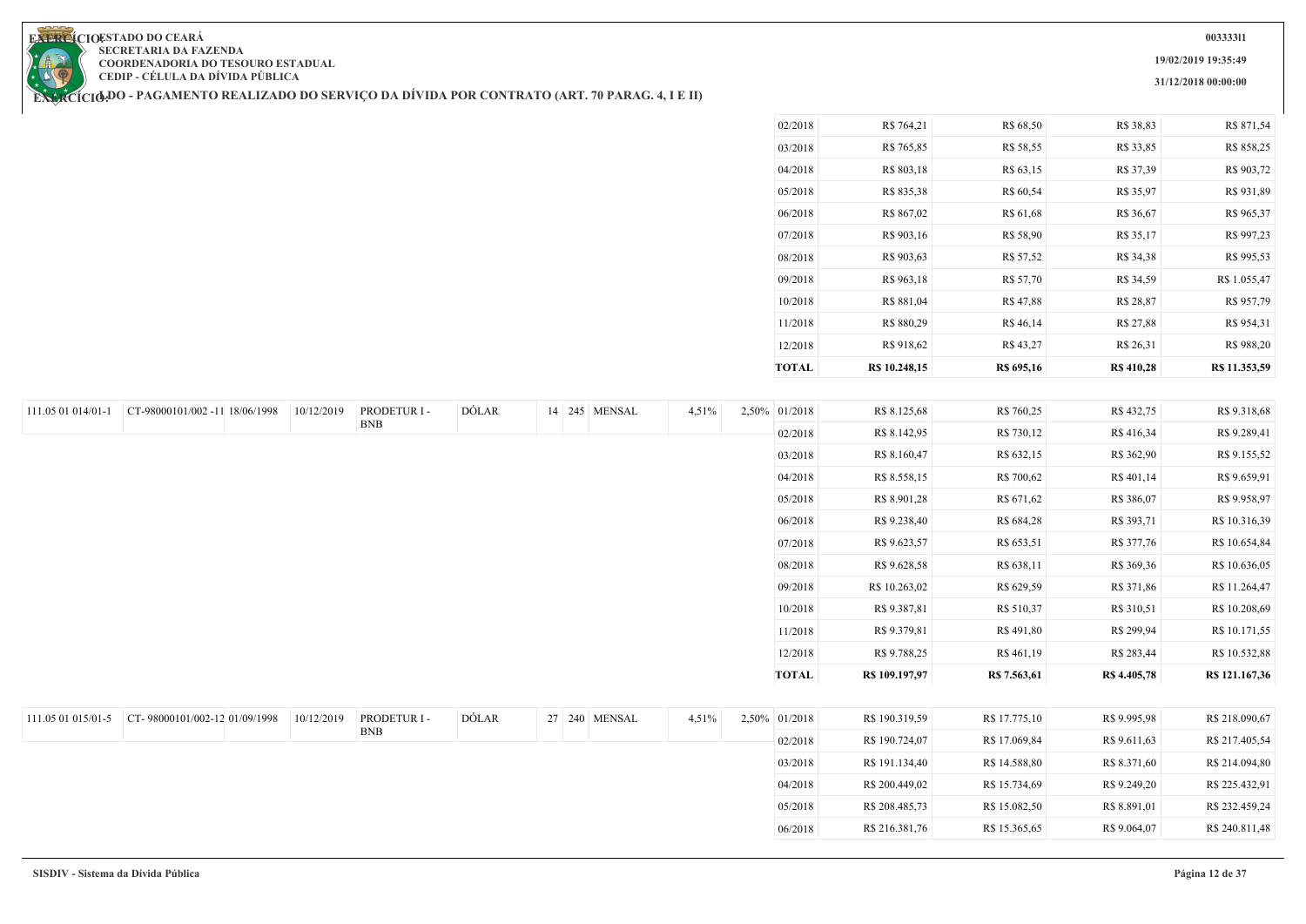**19/02/2019 19:35:49**

**31/12/2018 00:00:00**

**EXERCIOESTADO DO CEARA SECRETARIA DA FAZENDA COORDENADORIA DO TESOURO ESTADUAL CEDIP - CÉLULA DA DÍVIDA PÚBLICA**

| <b>TOTAL</b> | R\$ 10.248,15 | R\$ 695,16 | <b>R\$ 410,28</b> | R\$ 11.353,59 |
|--------------|---------------|------------|-------------------|---------------|
| 12/2018      | R\$ 918,62    | R\$43,27   | R\$ 26,31         | R\$ 988,20    |
| 11/2018      | R\$ 880,29    | R\$ 46,14  | R\$ 27,88         | R\$ 954,31    |
| 10/2018      | R\$ 881,04    | R\$ 47,88  | R\$ 28,87         | R\$ 957,79    |
| 09/2018      | R\$ 963,18    | R\$ 57,70  | R\$ 34,59         | R\$ 1.055,47  |
| 08/2018      | R\$ 903,63    | R\$ 57,52  | R\$ 34,38         | R\$ 995,53    |
| 07/2018      | R\$ 903,16    | R\$ 58,90  | R\$ 35,17         | R\$ 997,23    |
| 06/2018      | R\$ 867,02    | R\$ 61,68  | R\$ 36,67         | R\$ 965,37    |
| 05/2018      | R\$ 835,38    | R\$ 60,54  | R\$ 35,97         | R\$ 931,89    |
| 04/2018      | R\$ 803,18    | R\$ 63,15  | R\$ 37,39         | R\$ 903,72    |
| 03/2018      | R\$ 765,85    | R\$ 58,55  | R\$ 33,85         | R\$ 858,25    |
| 02/2018      | R\$ 764,21    | R\$ 68,50  | R\$ 38,83         | R\$ 871,54    |

| 111.05 01 014/01-1 | CT-98000101/002 -11 18/06/1998 | 10/12/2019 | PRODETUR I-  | DÓLAR | 14 245 MENSAL | 4,51% | 2,50% 01/2018 | R\$ 8.125,68   | R\$ 760,25    | R\$ 432,75   | R\$ 9.318,68   |
|--------------------|--------------------------------|------------|--------------|-------|---------------|-------|---------------|----------------|---------------|--------------|----------------|
|                    |                                |            | <b>BNB</b>   |       |               |       | 02/2018       | R\$ 8.142,95   | R\$ 730,12    | R\$416,34    | R\$ 9.289,41   |
|                    |                                |            |              |       |               |       | 03/2018       | R\$ 8.160,47   | R\$ 632,15    | R\$ 362,90   | R\$ 9.155,52   |
|                    |                                |            |              |       |               |       | 04/2018       | R\$ 8.558,15   | R\$ 700,62    | R\$ 401,14   | R\$ 9.659,91   |
|                    |                                |            |              |       |               |       | 05/2018       | R\$ 8.901,28   | R\$ 671,62    | R\$ 386,07   | R\$ 9.958,97   |
|                    |                                |            |              |       |               |       | 06/2018       | R\$ 9.238,40   | R\$ 684,28    | R\$ 393,71   | R\$ 10.316,39  |
|                    |                                |            |              |       |               |       | 07/2018       | R\$ 9.623,57   | R\$ 653,51    | R\$ 377,76   | R\$ 10.654,84  |
|                    |                                |            |              |       |               |       | 08/2018       | R\$ 9.628,58   | R\$ 638,11    | R\$ 369,36   | R\$ 10.636,05  |
|                    |                                |            |              |       |               |       | 09/2018       | R\$ 10.263,02  | R\$ 629,59    | R\$ 371,86   | R\$ 11.264,47  |
|                    |                                |            |              |       |               |       | 10/2018       | R\$ 9.387,81   | R\$ 510,37    | R\$ 310,51   | R\$ 10.208,69  |
|                    |                                |            |              |       |               |       | 11/2018       | R\$ 9.379,81   | R\$491,80     | R\$ 299,94   | R\$ 10.171,55  |
|                    |                                |            |              |       |               |       | 12/2018       | R\$ 9.788,25   | R\$ 461,19    | R\$ 283,44   | R\$ 10.532,88  |
|                    |                                |            |              |       |               |       | <b>TOTAL</b>  | R\$ 109.197,97 | R\$ 7.563,61  | R\$ 4.405,78 | R\$ 121.167,36 |
|                    |                                |            |              |       |               |       |               |                |               |              |                |
| 111.05 01 015/01-5 | CT-98000101/002-12 01/09/1998  | 10/12/2019 | PRODETUR I - | DÓLAR | 27 240 MENSAL | 4,51% | 2,50% 01/2018 | R\$ 190.319,59 | R\$ 17.775,10 | R\$ 9.995,98 | R\$ 218.090,67 |
|                    |                                |            | <b>BNB</b>   |       |               |       | 02/2018       | R\$ 190.724,07 | R\$ 17.069,84 | R\$ 9.611,63 | R\$ 217.405,54 |
|                    |                                |            |              |       |               |       | 03/2018       | R\$ 191.134,40 | R\$ 14.588,80 | R\$ 8.371,60 | R\$ 214.094,80 |
|                    |                                |            |              |       |               |       | 04/2018       | R\$ 200.449,02 | R\$ 15.734,69 | R\$ 9.249,20 | R\$ 225.432,91 |
|                    |                                |            |              |       |               |       | 05/2018       | R\$ 208.485,73 | R\$ 15.082,50 | R\$ 8.891,01 | R\$ 232.459,24 |
|                    |                                |            |              |       |               |       | 06/2018       | R\$ 216.381,76 | R\$ 15.365,65 | R\$ 9.064,07 | R\$ 240.811,48 |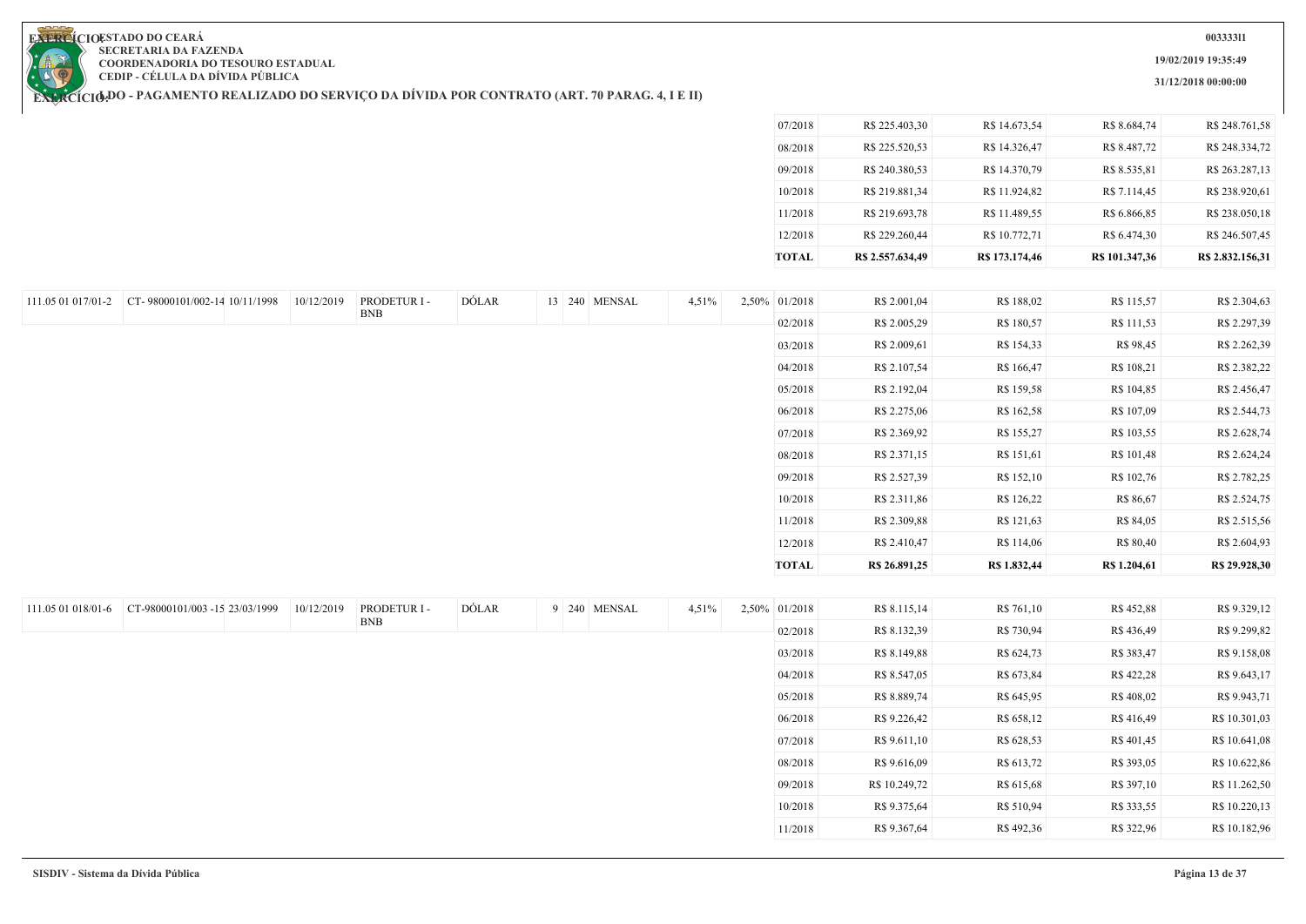**19/02/2019 19:35:49**

**31/12/2018 00:00:00**

**EXERCIOESTADO DO CEARA SECRETARIA DA FAZENDA COORDENADORIA DO TESOURO ESTADUAL CEDIP - CÉLULA DA DÍVIDA PÚBLICA**

|                                                  |            |                            |       |               |       | 07/2018       | R\$ 225.403,30   | R\$ 14.673,54  | R\$ 8.684,74   | R\$ 248.761,58   |
|--------------------------------------------------|------------|----------------------------|-------|---------------|-------|---------------|------------------|----------------|----------------|------------------|
|                                                  |            |                            |       |               |       | 08/2018       | R\$ 225.520,53   | R\$ 14.326,47  | R\$ 8.487,72   | R\$ 248.334,72   |
|                                                  |            |                            |       |               |       | 09/2018       | R\$ 240.380,53   | R\$ 14.370,79  | R\$ 8.535,81   | R\$ 263.287,13   |
|                                                  |            |                            |       |               |       | 10/2018       | R\$ 219.881,34   | R\$ 11.924,82  | R\$ 7.114,45   | R\$ 238.920,61   |
|                                                  |            |                            |       |               |       | 11/2018       | R\$ 219.693,78   | R\$ 11.489,55  | R\$ 6.866,85   | R\$ 238.050,18   |
|                                                  |            |                            |       |               |       | 12/2018       | R\$ 229.260,44   | R\$ 10.772,71  | R\$ 6.474,30   | R\$ 246.507,45   |
|                                                  |            |                            |       |               |       | <b>TOTAL</b>  | R\$ 2.557.634,49 | R\$ 173.174,46 | R\$ 101.347,36 | R\$ 2.832.156,31 |
|                                                  |            |                            |       |               |       |               |                  |                |                |                  |
| 111.05 01 017/01-2 CT-98000101/002-14 10/11/1998 | 10/12/2019 | PRODETUR I -               | DÓLAR | 13 240 MENSAL | 4,51% | 2,50% 01/2018 | R\$ 2.001,04     | R\$ 188,02     | R\$ 115,57     | R\$ 2.304,63     |
|                                                  |            | <b>BNB</b>                 |       |               |       | 02/2018       | R\$ 2.005,29     | R\$ 180,57     | R\$ 111,53     | R\$ 2.297,39     |
|                                                  |            |                            |       |               |       | 03/2018       | R\$ 2.009,61     | R\$ 154,33     | R\$ 98,45      | R\$ 2.262,39     |
|                                                  |            |                            |       |               |       | 04/2018       | R\$ 2.107,54     | R\$ 166,47     | R\$ 108,21     | R\$ 2.382,22     |
|                                                  |            |                            |       |               |       | 05/2018       | R\$ 2.192,04     | R\$ 159,58     | R\$ 104,85     | R\$ 2.456,47     |
|                                                  |            |                            |       |               |       | 06/2018       | R\$ 2.275,06     | R\$ 162,58     | R\$ 107,09     | R\$ 2.544,73     |
|                                                  |            |                            |       |               |       | 07/2018       | R\$ 2.369,92     | R\$ 155,27     | R\$ 103,55     | R\$ 2.628,74     |
|                                                  |            |                            |       |               |       | 08/2018       | R\$ 2.371,15     | R\$ 151,61     | R\$ 101,48     | R\$ 2.624,24     |
|                                                  |            |                            |       |               |       | 09/2018       | R\$ 2.527,39     | R\$ 152,10     | R\$ 102,76     | R\$ 2.782,25     |
|                                                  |            |                            |       |               |       | 10/2018       | R\$ 2.311,86     | R\$ 126,22     | R\$ 86,67      | R\$ 2.524,75     |
|                                                  |            |                            |       |               |       | 11/2018       | R\$ 2.309,88     | R\$ 121,63     | R\$ 84,05      | R\$ 2.515,56     |
|                                                  |            |                            |       |               |       | 12/2018       | R\$ 2.410,47     | R\$ 114,06     | R\$ 80,40      | R\$ 2.604,93     |
|                                                  |            |                            |       |               |       | <b>TOTAL</b>  | R\$ 26.891,25    | R\$ 1.832,44   | R\$ 1.204,61   | R\$ 29.928,30    |
|                                                  |            |                            |       |               |       |               |                  |                |                |                  |
|                                                  | 10/12/2019 | PRODETUR I -<br><b>BNB</b> | DÓLAR | 9 240 MENSAL  | 4,51% | 2,50% 01/2018 | R\$ 8.115,14     | R\$ 761,10     | R\$ 452,88     | R\$ 9.329,12     |
|                                                  |            |                            |       |               |       | 02/2018       | R\$ 8.132,39     | R\$ 730,94     | R\$436,49      | R\$ 9.299,82     |
|                                                  |            |                            |       |               |       | 03/2018       | R\$ 8.149,88     | R\$ 624,73     | R\$ 383,47     | R\$ 9.158,08     |
|                                                  |            |                            |       |               |       | 04/2018       | R\$ 8.547,05     | R\$ 673,84     | R\$ 422,28     | R\$ 9.643,17     |
|                                                  |            |                            |       |               |       | 05/2018       | R\$ 8.889,74     | R\$ 645,95     | R\$ 408,02     | R\$ 9.943,71     |
|                                                  |            |                            |       |               |       | 06/2018       | R\$ 9.226,42     | R\$ 658,12     | R\$416,49      | R\$ 10.301,03    |
|                                                  |            |                            |       |               |       | 07/2018       | R\$ 9.611,10     | R\$ 628,53     | R\$ 401,45     | R\$ 10.641,08    |
|                                                  |            |                            |       |               |       | 08/2018       | R\$ 9.616,09     | R\$ 613,72     | R\$ 393,05     | R\$ 10.622,86    |
|                                                  |            |                            |       |               |       | 09/2018       | R\$ 10.249,72    | R\$ 615,68     | R\$ 397,10     | R\$ 11.262,50    |
|                                                  |            |                            |       |               |       | 10/2018       | R\$ 9.375,64     | R\$ 510,94     | R\$ 333,55     | R\$ 10.220,13    |
|                                                  |            |                            |       |               |       | 11/2018       | R\$ 9.367,64     | R\$492,36      | R\$ 322,96     | R\$ 10.182,96    |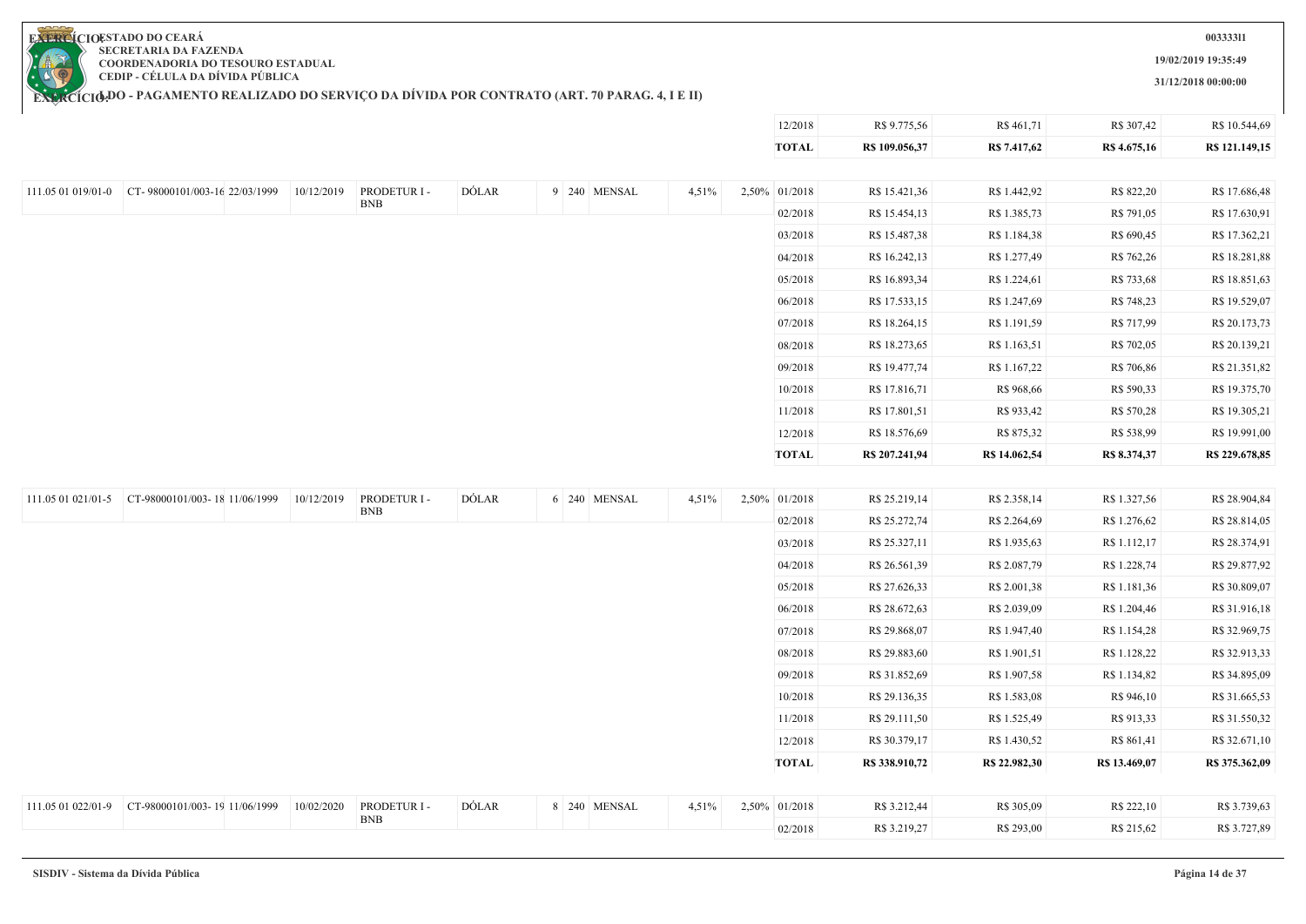**19/02/2019 19:35:49**

**31/12/2018 00:00:00**

12/2018 R\$ 9.775,56 R\$ 461,71 R\$ 307,42 R\$ 10.544,69

**EXERCIOESTADO DO CEARA SECRETARIA DA FAZENDA COORDENADORIA DO TESOURO ESTADUAL CEDIP - CÉLULA DA DÍVIDA PÚBLICA**

|                                                  |            |                            |       |              |       | <b>TOTAL</b>  | R\$ 109.056,37 | R\$ 7.417,62  | R\$ 4.675,16  | R\$ 121.149,15 |
|--------------------------------------------------|------------|----------------------------|-------|--------------|-------|---------------|----------------|---------------|---------------|----------------|
|                                                  |            |                            |       |              |       |               |                |               |               |                |
| 111.05 01 019/01-0 CT-98000101/003-16 22/03/1999 | 10/12/2019 | PRODETUR I -<br><b>BNB</b> | DÓLAR | 9 240 MENSAL | 4,51% | 2,50% 01/2018 | R\$ 15.421,36  | R\$ 1.442,92  | R\$ 822,20    | R\$ 17.686,48  |
|                                                  |            |                            |       |              |       | 02/2018       | R\$ 15.454,13  | R\$ 1.385,73  | R\$ 791,05    | R\$ 17.630,91  |
|                                                  |            |                            |       |              |       | 03/2018       | R\$ 15.487,38  | R\$ 1.184,38  | R\$ 690,45    | R\$ 17.362,21  |
|                                                  |            |                            |       |              |       | 04/2018       | R\$ 16.242,13  | R\$ 1.277,49  | R\$ 762,26    | R\$ 18.281,88  |
|                                                  |            |                            |       |              |       | 05/2018       | R\$ 16.893,34  | R\$ 1.224,61  | R\$ 733,68    | R\$ 18.851,63  |
|                                                  |            |                            |       |              |       | 06/2018       | R\$ 17.533,15  | R\$ 1.247,69  | R\$ 748,23    | R\$ 19.529,07  |
|                                                  |            |                            |       |              |       | 07/2018       | R\$ 18.264,15  | R\$ 1.191,59  | R\$ 717,99    | R\$ 20.173,73  |
|                                                  |            |                            |       |              |       | 08/2018       | R\$ 18.273,65  | R\$ 1.163,51  | R\$ 702,05    | R\$ 20.139,21  |
|                                                  |            |                            |       |              |       | 09/2018       | R\$ 19.477,74  | R\$ 1.167,22  | R\$ 706,86    | R\$ 21.351,82  |
|                                                  |            |                            |       |              |       | 10/2018       | R\$ 17.816,71  | R\$ 968,66    | R\$ 590,33    | R\$ 19.375,70  |
|                                                  |            |                            |       |              |       | 11/2018       | R\$ 17.801,51  | R\$ 933,42    | R\$ 570,28    | R\$ 19.305,21  |
|                                                  |            |                            |       |              |       | 12/2018       | R\$ 18.576,69  | R\$ 875,32    | R\$ 538,99    | R\$ 19.991,00  |
|                                                  |            |                            |       |              |       | <b>TOTAL</b>  | R\$ 207.241,94 | R\$ 14.062,54 | R\$ 8.374,37  | R\$ 229.678,85 |
|                                                  |            |                            |       |              |       |               |                |               |               |                |
| 111.05 01 021/01-5 CT-98000101/003-18 11/06/1999 | 10/12/2019 | PRODETUR I -               | DÓLAR | 6 240 MENSAL | 4,51% | 2,50% 01/2018 | R\$ 25.219,14  | R\$ 2.358,14  | R\$ 1.327,56  | R\$ 28.904,84  |
|                                                  |            | <b>BNB</b>                 |       |              |       | 02/2018       | R\$ 25.272,74  | R\$ 2.264,69  | R\$ 1.276,62  | R\$ 28.814,05  |
|                                                  |            |                            |       |              |       | 03/2018       | R\$ 25.327,11  | R\$ 1.935,63  | R\$ 1.112,17  | R\$ 28.374,91  |
|                                                  |            |                            |       |              |       | 04/2018       | R\$ 26.561,39  | R\$ 2.087,79  | R\$ 1.228,74  | R\$ 29.877,92  |
|                                                  |            |                            |       |              |       | 05/2018       | R\$ 27.626,33  | R\$ 2.001,38  | R\$ 1.181,36  | R\$ 30.809,07  |
|                                                  |            |                            |       |              |       | 06/2018       | R\$ 28.672,63  | R\$ 2.039,09  | R\$ 1.204,46  | R\$ 31.916,18  |
|                                                  |            |                            |       |              |       | 07/2018       | R\$ 29.868,07  | R\$ 1.947,40  | R\$ 1.154,28  | R\$ 32.969,75  |
|                                                  |            |                            |       |              |       | 08/2018       | R\$ 29.883,60  | R\$ 1.901,51  | R\$ 1.128,22  | R\$ 32.913,33  |
|                                                  |            |                            |       |              |       | 09/2018       | R\$ 31.852,69  | R\$ 1.907,58  | R\$ 1.134,82  | R\$ 34.895,09  |
|                                                  |            |                            |       |              |       | 10/2018       | R\$ 29.136,35  | R\$ 1.583,08  | R\$ 946,10    | R\$ 31.665,53  |
|                                                  |            |                            |       |              |       | 11/2018       | R\$ 29.111,50  | R\$ 1.525,49  | R\$ 913,33    | R\$ 31.550,32  |
|                                                  |            |                            |       |              |       | 12/2018       | R\$ 30.379,17  | R\$ 1.430,52  | R\$ 861,41    | R\$ 32.671,10  |
|                                                  |            |                            |       |              |       | <b>TOTAL</b>  | R\$ 338.910,72 | R\$ 22.982,30 | R\$ 13.469,07 | R\$ 375.362,09 |
|                                                  |            | PRODETUR I -               | DÓLAR |              |       |               |                |               |               |                |
| 111.05 01 022/01-9 CT-98000101/003-19 11/06/1999 | 10/02/2020 | <b>BNB</b>                 |       | 8 240 MENSAL | 4,51% | 2,50% 01/2018 | R\$ 3.212,44   | R\$ 305,09    | R\$ 222,10    | R\$ 3.739,63   |
|                                                  |            |                            |       |              |       | 02/2018       | R\$ 3.219,27   | R\$ 293,00    | R\$ 215,62    | R\$ 3.727,89   |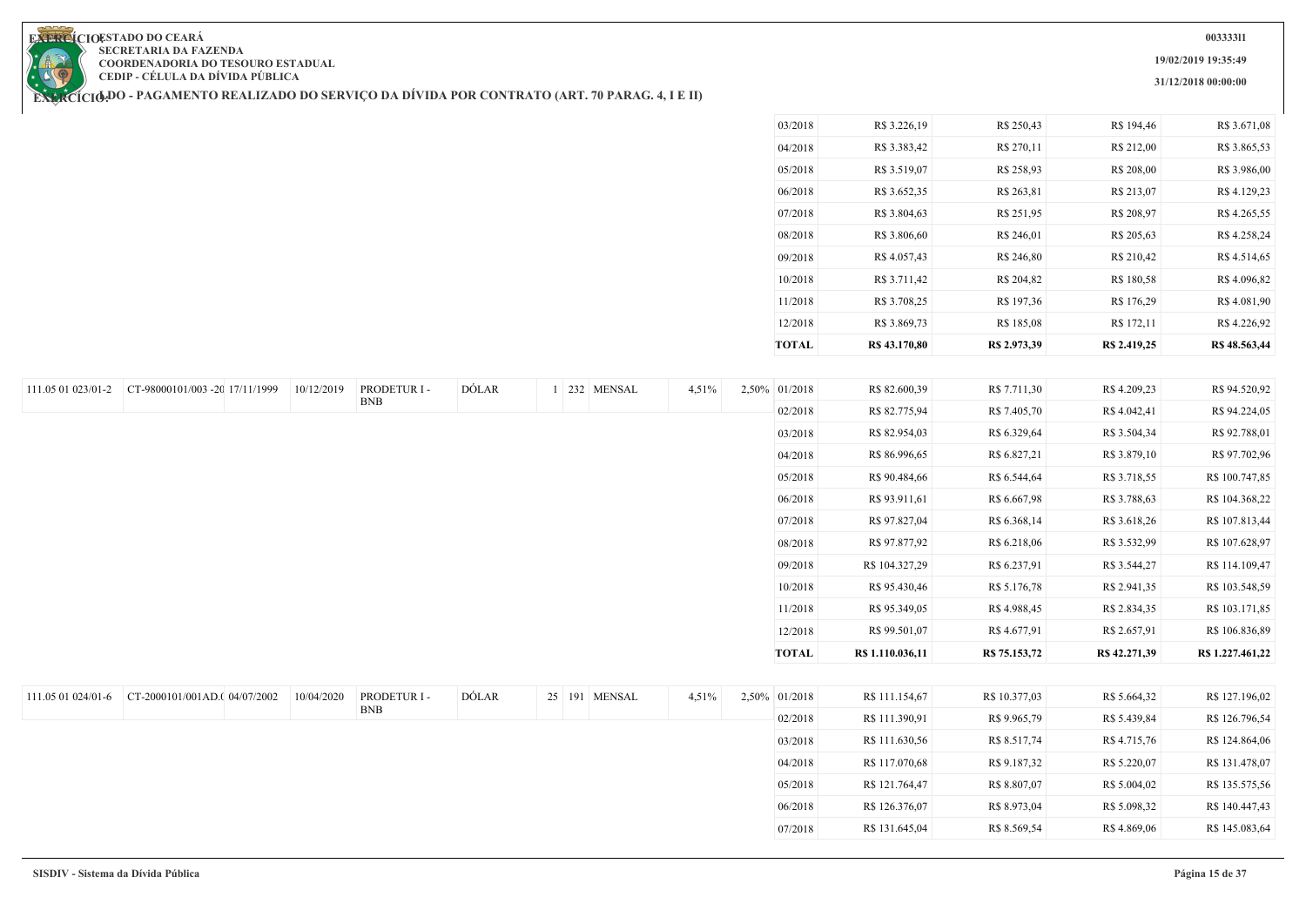**19/02/2019 19:35:49**

**31/12/2018 00:00:00**

**EXERCIOESTADO DO CEARA SECRETARIA DA FAZENDA COORDENADORIA DO TESOURO ESTADUAL CEDIP - CÉLULA DA DÍVIDA PÚBLICA**

**EXERCÍCIODO - PAGAMENTO REALIZADO DO SERVIÇO DA DIVIDA POR CONTRATO (ART. 70 PARAG. 4, I E II)** 

| 10/2018<br>11/2018<br>12/2018 | R\$ 3.711,42<br>R\$ 3.708,25<br>R\$ 3.869,73 | R\$ 204,82<br>R\$ 197,36<br>R\$ 185,08 | R\$ 180,58<br>R\$ 176,29<br>R\$ 172,11 | R\$4.096,82<br>R\$4.081,90<br>R\$4.226,92 |
|-------------------------------|----------------------------------------------|----------------------------------------|----------------------------------------|-------------------------------------------|
|                               |                                              |                                        |                                        |                                           |
|                               |                                              |                                        |                                        |                                           |
|                               |                                              |                                        |                                        |                                           |
| 09/2018                       | R\$4.057,43                                  | R\$ 246,80                             | R\$ 210,42                             | R\$ 4.514,65                              |
| 08/2018                       | R\$ 3.806,60                                 | R\$ 246,01                             | R\$ 205,63                             | R\$4.258,24                               |
| 07/2018                       | R\$ 3.804,63                                 | R\$ 251,95                             | R\$ 208,97                             | R\$ 4.265,55                              |
| 06/2018                       | R\$ 3.652,35                                 | R\$ 263,81                             | R\$ 213,07                             | R\$ 4.129,23                              |
| 05/2018                       | R\$ 3.519,07                                 | R\$ 258,93                             | R\$ 208,00                             | R\$ 3.986,00                              |
| 04/2018                       | R\$ 3.383,42                                 | R\$ 270,11                             | R\$ 212,00                             | R\$ 3.865,53                              |
| 03/2018                       | R\$ 3.226,19                                 | R\$ 250,43                             | R\$ 194,46                             | R\$ 3.671,08                              |

07/2018 R\$ 131.645,04 R\$ 8.569,54 R\$ 4.869,06 R\$ 145.083,64

| 111.05 01 023/01-2 | CT-98000101/003 -20 17/11/1999 | 10/12/2019 | PRODETUR I - | DÓLAR |  | 1 232 MENSAL  | 4,51% | 2,50% 01/2018 | R\$ 82.600,39    | R\$ 7.711,30  | R\$4.209,23   | R\$ 94.520,92    |
|--------------------|--------------------------------|------------|--------------|-------|--|---------------|-------|---------------|------------------|---------------|---------------|------------------|
|                    |                                |            | <b>BNB</b>   |       |  |               |       | 02/2018       | R\$ 82.775,94    | R\$ 7.405,70  | R\$4.042,41   | R\$ 94.224,05    |
|                    |                                |            |              |       |  |               |       | 03/2018       | R\$ 82.954,03    | R\$ 6.329,64  | R\$ 3.504,34  | R\$ 92.788,01    |
|                    |                                |            |              |       |  |               |       | 04/2018       | R\$ 86.996,65    | R\$ 6.827,21  | R\$ 3.879,10  | R\$ 97.702,96    |
|                    |                                |            |              |       |  |               |       | 05/2018       | R\$ 90.484,66    | R\$ 6.544,64  | R\$ 3.718,55  | R\$ 100.747,85   |
|                    |                                |            |              |       |  |               |       | 06/2018       | R\$ 93.911,61    | R\$ 6.667,98  | R\$ 3.788,63  | R\$ 104.368,22   |
|                    |                                |            |              |       |  |               |       | 07/2018       | R\$ 97.827,04    | R\$ 6.368,14  | R\$ 3.618,26  | R\$ 107.813,44   |
|                    |                                |            |              |       |  |               |       | 08/2018       | R\$ 97.877,92    | R\$ 6.218,06  | R\$ 3.532,99  | R\$ 107.628,97   |
|                    |                                |            |              |       |  |               |       | 09/2018       | R\$ 104.327,29   | R\$ 6.237,91  | R\$ 3.544,27  | R\$ 114.109,47   |
|                    |                                |            |              |       |  |               |       | 10/2018       | R\$ 95.430,46    | R\$ 5.176,78  | R\$ 2.941,35  | R\$ 103.548,59   |
|                    |                                |            |              |       |  |               |       | 11/2018       | R\$ 95.349,05    | R\$ 4.988,45  | R\$ 2.834,35  | R\$ 103.171,85   |
|                    |                                |            |              |       |  |               |       | 12/2018       | R\$ 99.501,07    | R\$ 4.677,91  | R\$ 2.657,91  | R\$ 106.836,89   |
|                    |                                |            |              |       |  |               |       | <b>TOTAL</b>  | R\$ 1.110.036,11 | R\$ 75.153,72 | R\$ 42.271,39 | R\$ 1.227.461,22 |
|                    |                                |            |              |       |  |               |       |               |                  |               |               |                  |
| 111.05 01 024/01-6 | CT-2000101/001AD.(04/07/2002   | 10/04/2020 | PRODETUR I - | DÓLAR |  | 25 191 MENSAL | 4,51% | 2,50% 01/2018 | R\$ 111.154,67   | R\$ 10.377,03 | R\$ 5.664,32  | R\$ 127.196,02   |
|                    |                                |            | <b>BNB</b>   |       |  |               |       | 02/2018       | R\$ 111.390,91   | R\$ 9.965,79  | R\$ 5.439,84  | R\$ 126.796,54   |
|                    |                                |            |              |       |  |               |       | 03/2018       | R\$ 111.630,56   | R\$ 8.517,74  | R\$ 4.715,76  | R\$ 124.864,06   |
|                    |                                |            |              |       |  |               |       | 04/2018       | R\$ 117.070,68   | R\$ 9.187,32  | R\$ 5.220,07  | R\$ 131.478,07   |
|                    |                                |            |              |       |  |               |       | 05/2018       | R\$ 121.764,47   | R\$ 8.807,07  | R\$ 5.004,02  | R\$ 135.575,56   |
|                    |                                |            |              |       |  |               |       | 06/2018       | R\$ 126.376,07   | R\$ 8.973,04  | R\$ 5.098,32  | R\$ 140.447,43   |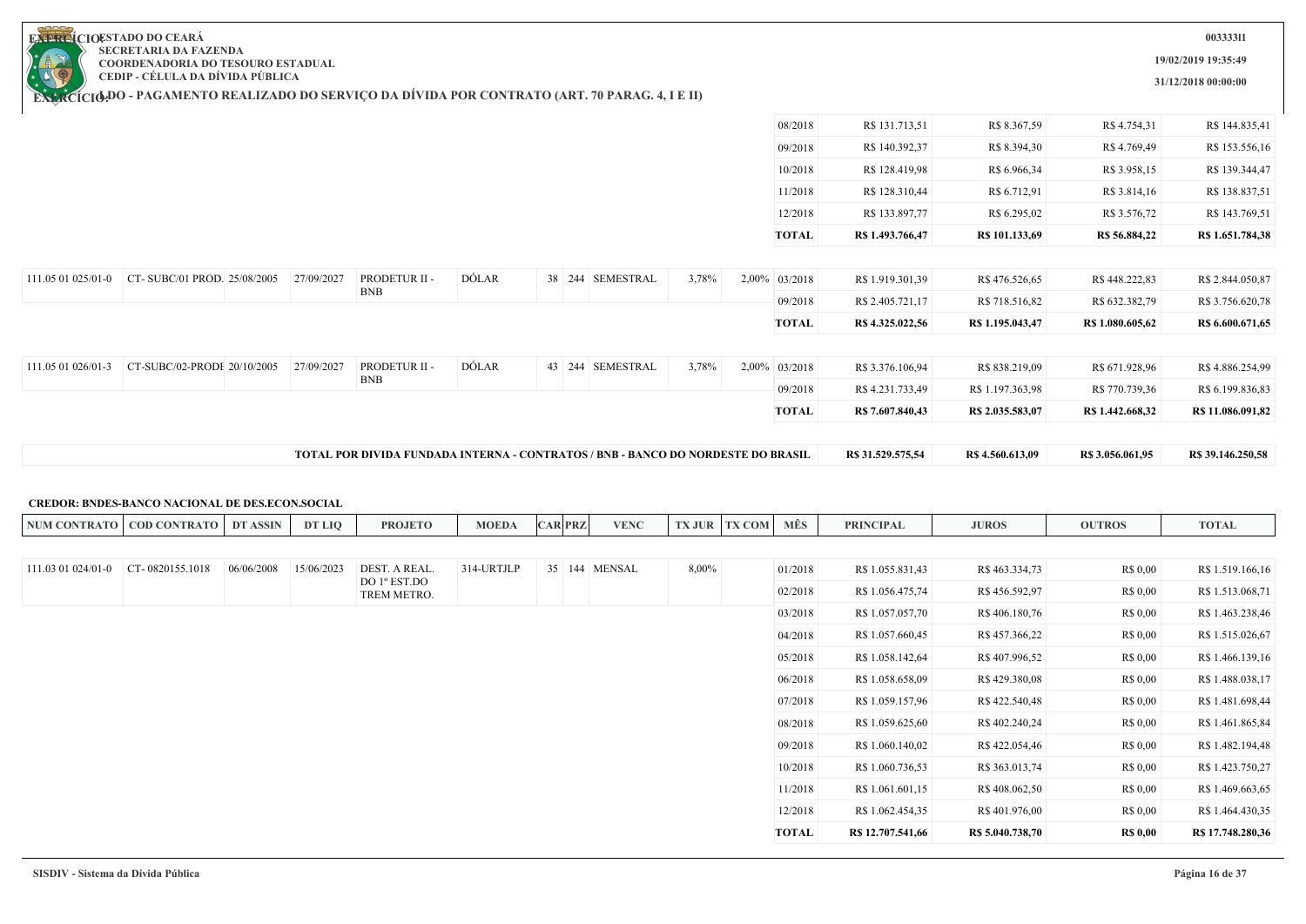**19/02/2019 19:35:49**

**31/12/2018 00:00:00**

**EXERCIOESTADO DO CEARA SECRETARIA DA FAZENDA COORDENADORIA DO TESOURO ESTADUAL CEDIP - CÉLULA DA DÍVIDA PÚBLICA**

**EXERCÍCIODO - PAGAMENTO REALIZADO DO SERVIÇO DA DIVIDA POR CONTRATO (ART. 70 PARAG. 4, I E II)** 

|                    |                             |            |                             |              | TOTAL POR DIVIDA FUNDADA INTERNA - CONTRATOS / BNB - BANCO DO NORDESTE DO BRASIL |       |               | R\$ 31.529.575,54 | R\$ 4.560.613,09 | R\$ 3.056.061,95 | R\$ 39.146.250,58 |
|--------------------|-----------------------------|------------|-----------------------------|--------------|----------------------------------------------------------------------------------|-------|---------------|-------------------|------------------|------------------|-------------------|
|                    |                             |            |                             |              |                                                                                  |       |               |                   |                  |                  |                   |
|                    |                             |            |                             |              |                                                                                  |       | <b>TOTAL</b>  | R\$ 7.607.840,43  | R\$ 2.035.583,07 | R\$ 1.442.668,32 | R\$ 11.086.091,82 |
|                    |                             |            | <b>BNB</b>                  |              |                                                                                  |       | 09/2018       | R\$ 4.231.733,49  | R\$ 1.197.363,98 | R\$ 770.739,36   | R\$ 6.199.836,83  |
| 111.05 01 026/01-3 | CT-SUBC/02-PRODE 20/10/2005 | 27/09/2027 | PRODETUR II -               | <b>DÓLAR</b> | 43 244 SEMESTRAL                                                                 | 3,78% | 2,00% 03/2018 | R\$ 3.376.106,94  | R\$ 838.219,09   | R\$ 671.928,96   | R\$4.886.254,99   |
|                    |                             |            |                             |              |                                                                                  |       | <b>TOTAL</b>  | R\$ 4.325.022,56  | R\$ 1.195.043,47 | R\$ 1.080.605,62 | R\$ 6.600.671,65  |
|                    |                             |            |                             |              |                                                                                  |       | 09/2018       | R\$ 2.405.721,17  | R\$ 718.516,82   | R\$ 632.382,79   | R\$ 3.756.620,78  |
| 111.05 01 025/01-0 | CT-SUBC/01 PROD. 25/08/2005 | 27/09/2027 | PRODETUR II -<br><b>BNB</b> | DÓLAR        | 38 244 SEMESTRAL                                                                 | 3,78% | 2,00% 03/2018 | R\$ 1.919.301,39  | R\$476.526,65    | R\$448.222,83    | R\$ 2.844.050,87  |
|                    |                             |            |                             |              |                                                                                  |       |               |                   |                  |                  |                   |
|                    |                             |            |                             |              |                                                                                  |       | <b>TOTAL</b>  | R\$ 1.493.766,47  | R\$ 101.133,69   | R\$ 56.884,22    | R\$ 1.651.784,38  |
|                    |                             |            |                             |              |                                                                                  |       | 12/2018       | R\$ 133.897,77    | R\$ 6.295,02     | R\$ 3.576,72     | R\$ 143.769,51    |
|                    |                             |            |                             |              |                                                                                  |       | 11/2018       | R\$ 128.310,44    | R\$ 6.712,91     | R\$ 3.814,16     | R\$ 138.837,51    |
|                    |                             |            |                             |              |                                                                                  |       | 10/2018       | R\$ 128.419,98    | R\$ 6.966,34     | R\$ 3.958,15     | R\$ 139.344,47    |
|                    |                             |            |                             |              |                                                                                  |       | 09/2018       | R\$ 140.392,37    | R\$ 8.394,30     | R\$ 4.769,49     | R\$ 153.556,16    |
|                    |                             |            |                             |              |                                                                                  |       | 08/2018       | R\$ 131.713,51    | R\$ 8.367,59     | R\$ 4.754,31     | R\$ 144.835,41    |

#### **CREDOR: BNDES-BANCO NACIONAL DE DES.ECON.SOCIAL**

| <b>NUM CONTRATO</b> | <b>COD CONTRATO</b> | DT ASSIN   | DT LIQ     | <b>PROJETO</b>              | <b>MOEDA</b> | <b>CAR PRZ</b> | <b>VENC</b>   | <b>TX JUR</b> | <b>TX COM</b> | MÊS     | <b>PRINCIPAL</b>  | <b>JUROS</b>     | <b>OUTROS</b>   | <b>TOTAL</b>      |
|---------------------|---------------------|------------|------------|-----------------------------|--------------|----------------|---------------|---------------|---------------|---------|-------------------|------------------|-----------------|-------------------|
|                     |                     |            |            |                             |              |                |               |               |               |         |                   |                  |                 |                   |
| 111.03 01 024/01-0  | CT-0820155.1018     | 06/06/2008 | 15/06/2023 | DEST. A REAL.               | 314-URTJLP   |                | 35 144 MENSAL | 8,00%         |               | 01/2018 | R\$ 1.055.831,43  | R\$463.334,73    | R\$ 0,00        | R\$ 1.519.166,16  |
|                     |                     |            |            | DO 1º EST.DO<br>TREM METRO. |              |                |               |               |               | 02/2018 | R\$ 1.056.475,74  | R\$456.592,97    | R\$ 0,00        | R\$ 1.513.068,71  |
|                     |                     |            |            |                             |              |                |               |               |               | 03/2018 | R\$ 1.057.057,70  | R\$ 406.180,76   | R\$ 0,00        | R\$ 1.463.238,46  |
|                     |                     |            |            |                             |              |                |               |               |               | 04/2018 | R\$ 1.057.660,45  | R\$457.366,22    | R\$ 0,00        | R\$ 1.515.026,67  |
|                     |                     |            |            |                             |              |                |               |               |               | 05/2018 | R\$ 1.058.142,64  | R\$407.996,52    | R\$ 0,00        | R\$ 1.466.139,16  |
|                     |                     |            |            |                             |              |                |               |               |               | 06/2018 | R\$ 1.058.658,09  | R\$429.380,08    | R\$ 0,00        | R\$ 1.488.038,17  |
|                     |                     |            |            |                             |              |                |               |               |               | 07/2018 | R\$ 1.059.157,96  | R\$422.540,48    | R\$ 0,00        | R\$ 1.481.698,44  |
|                     |                     |            |            |                             |              |                |               |               |               | 08/2018 | R\$ 1.059.625,60  | R\$402.240,24    | R\$ 0,00        | R\$ 1.461.865,84  |
|                     |                     |            |            |                             |              |                |               |               |               | 09/2018 | R\$ 1.060.140,02  | R\$422.054,46    | R\$ 0,00        | R\$ 1.482.194,48  |
|                     |                     |            |            |                             |              |                |               |               |               | 10/2018 | R\$ 1.060.736,53  | R\$ 363.013,74   | R\$ 0,00        | R\$ 1.423.750,27  |
|                     |                     |            |            |                             |              |                |               |               |               | 11/2018 | R\$ 1.061.601,15  | R\$ 408.062,50   | R\$ 0,00        | R\$ 1.469.663,65  |
|                     |                     |            |            |                             |              |                |               |               |               | 12/2018 | R\$ 1.062.454,35  | R\$401.976,00    | R\$ 0,00        | R\$ 1.464.430,35  |
|                     |                     |            |            |                             |              |                |               |               |               | TOTAL   | R\$ 12.707.541,66 | R\$ 5.040.738,70 | <b>R\$ 0,00</b> | R\$ 17.748.280,36 |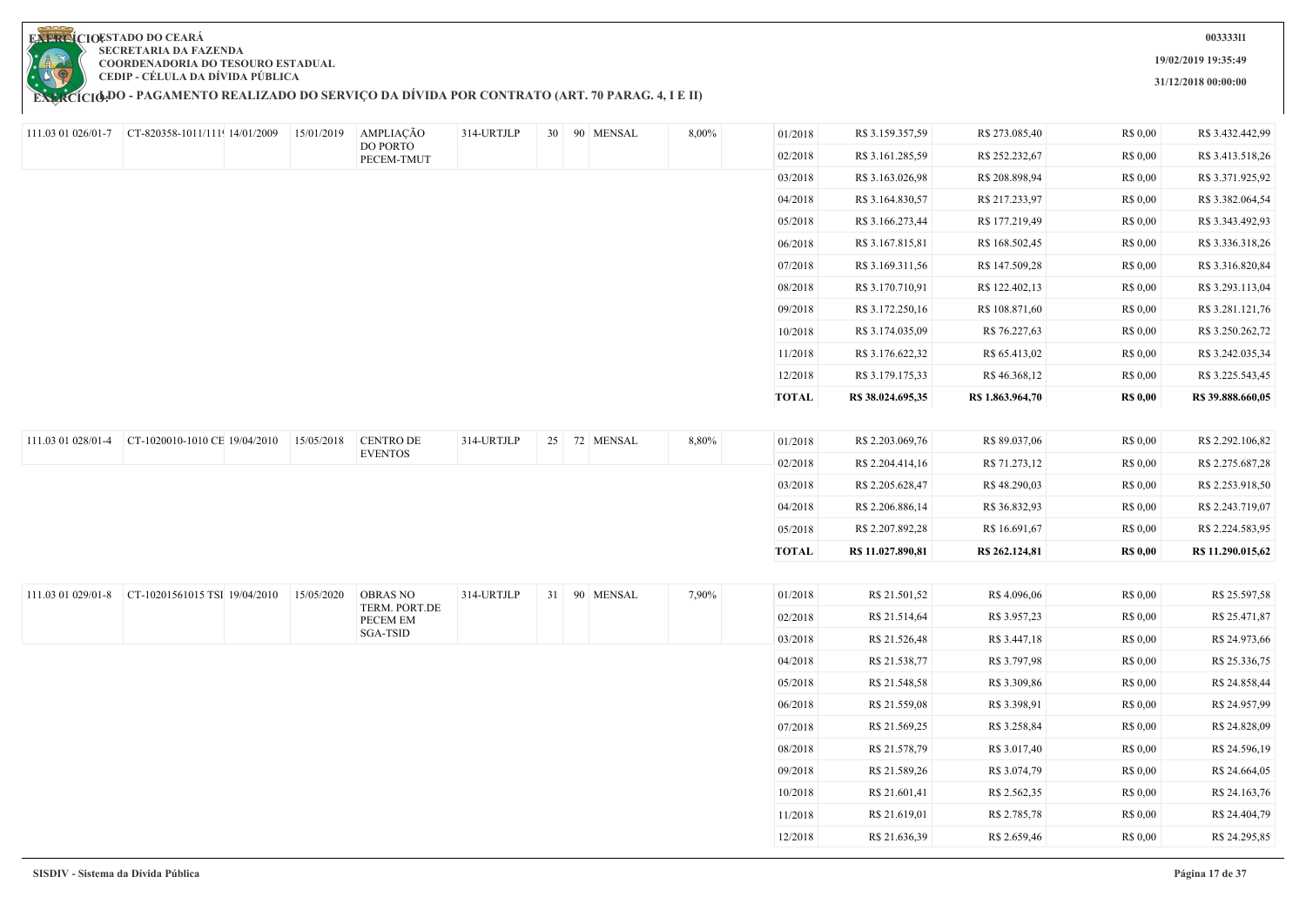**EXERCÍCIODO - PAGAMENTO REALIZADO DO SERVIÇO DA DIVIDA POR CONTRATO (ART. 70 PARAG. 4, I E II)** 

**003333l1**

**19/02/2019 19:35:49**

**31/12/2018 00:00:00**

|                    | 111.03 01 026/01-7 $\vert$ CT-820358-1011/111 14/01/2009 |            | 15/01/2019 AMPLIAÇÃO      | 314-URTJLP |  | 30 90 MENSAL | 8,00% | 01/2018      | R\$ 3.159.357,59  | R\$ 273.085,40   | R\$ 0,00        | R\$ 3.432.442,99  |
|--------------------|----------------------------------------------------------|------------|---------------------------|------------|--|--------------|-------|--------------|-------------------|------------------|-----------------|-------------------|
|                    |                                                          |            | DO PORTO<br>PECEM-TMUT    |            |  |              |       | 02/2018      | R\$ 3.161.285,59  | R\$ 252.232,67   | R\$ 0,00        | R\$ 3.413.518,26  |
|                    |                                                          |            |                           |            |  |              |       | 03/2018      | R\$ 3.163.026,98  | R\$ 208.898,94   | R\$ 0,00        | R\$ 3.371.925,92  |
|                    |                                                          |            |                           |            |  |              |       | 04/2018      | R\$ 3.164.830,57  | R\$ 217.233,97   | R\$ 0,00        | R\$ 3.382.064,54  |
|                    |                                                          |            |                           |            |  |              |       | 05/2018      | R\$ 3.166.273,44  | R\$ 177.219,49   | R\$ 0,00        | R\$ 3.343.492,93  |
|                    |                                                          |            |                           |            |  |              |       | 06/2018      | R\$ 3.167.815,81  | R\$ 168.502,45   | R\$ 0,00        | R\$ 3.336.318,26  |
|                    |                                                          |            |                           |            |  |              |       | 07/2018      | R\$ 3.169.311,56  | R\$ 147.509,28   | R\$ 0,00        | R\$ 3.316.820,84  |
|                    |                                                          |            |                           |            |  |              |       | 08/2018      | R\$ 3.170.710,91  | R\$ 122.402,13   | R\$ 0,00        | R\$ 3.293.113,04  |
|                    |                                                          |            |                           |            |  |              |       | 09/2018      | R\$ 3.172.250,16  | R\$ 108.871,60   | R\$ 0,00        | R\$ 3.281.121,76  |
|                    |                                                          |            |                           |            |  |              |       | 10/2018      | R\$ 3.174.035,09  | R\$ 76.227,63    | R\$ 0,00        | R\$ 3.250.262,72  |
|                    |                                                          |            |                           |            |  |              |       | 11/2018      | R\$ 3.176.622,32  | R\$ 65.413,02    | R\$ 0,00        | R\$ 3.242.035,34  |
|                    |                                                          |            |                           |            |  |              |       | 12/2018      | R\$ 3.179.175,33  | R\$46.368,12     | R\$ 0,00        | R\$ 3.225.543,45  |
|                    |                                                          |            |                           |            |  |              |       | <b>TOTAL</b> | R\$ 38.024.695,35 | R\$ 1.863.964,70 | <b>R\$ 0,00</b> | R\$ 39.888.660,05 |
|                    |                                                          |            |                           |            |  |              |       |              |                   |                  |                 |                   |
| 111.03 01 028/01-4 | CT-1020010-1010 CE 19/04/2010                            | 15/05/2018 | <b>CENTRO DE</b>          | 314-URTJLP |  | 25 72 MENSAL | 8,80% | 01/2018      | R\$ 2.203.069,76  | R\$ 89.037,06    | R\$ 0,00        | R\$ 2.292.106,82  |
|                    |                                                          |            | <b>EVENTOS</b>            |            |  |              |       | 02/2018      | R\$ 2.204.414,16  | R\$ 71.273,12    | R\$ 0,00        | R\$ 2.275.687,28  |
|                    |                                                          |            |                           |            |  |              |       | 03/2018      | R\$ 2.205.628,47  | R\$48.290,03     | R\$ 0,00        | R\$ 2.253.918,50  |
|                    |                                                          |            |                           |            |  |              |       | 04/2018      | R\$ 2.206.886,14  | R\$ 36.832,93    | R\$ 0,00        | R\$ 2.243.719,07  |
|                    |                                                          |            |                           |            |  |              |       | 05/2018      | R\$ 2.207.892,28  | R\$ 16.691,67    | R\$ 0,00        | R\$ 2.224.583,95  |
|                    |                                                          |            |                           |            |  |              |       | <b>TOTAL</b> | R\$ 11.027.890,81 | R\$ 262.124,81   | <b>R\$ 0,00</b> | R\$ 11.290.015,62 |
|                    |                                                          |            |                           |            |  |              |       |              |                   |                  |                 |                   |
| 111.03 01 029/01-8 | CT-10201561015 TSI 19/04/2010                            | 15/05/2020 | <b>OBRAS NO</b>           | 314-URTJLP |  | 31 90 MENSAL | 7,90% | 01/2018      | R\$ 21.501,52     | R\$4.096,06      | R\$ 0,00        | R\$ 25.597,58     |
|                    |                                                          |            | TERM. PORT.DE<br>PECEM EM |            |  |              |       | 02/2018      | R\$ 21.514,64     | R\$ 3.957,23     | R\$ 0,00        | R\$ 25.471,87     |
|                    |                                                          |            | <b>SGA-TSID</b>           |            |  |              |       | 03/2018      | R\$ 21.526,48     | R\$ 3.447,18     | R\$ 0,00        | R\$ 24.973,66     |
|                    |                                                          |            |                           |            |  |              |       | 04/2018      | R\$ 21.538,77     | R\$ 3.797,98     | R\$ 0,00        | R\$ 25.336,75     |
|                    |                                                          |            |                           |            |  |              |       | 05/2018      | R\$ 21.548,58     | R\$ 3.309,86     | R\$ 0,00        | R\$ 24.858,44     |
|                    |                                                          |            |                           |            |  |              |       | 06/2018      | R\$ 21.559,08     | R\$ 3.398,91     | R\$ 0,00        | R\$ 24.957,99     |
|                    |                                                          |            |                           |            |  |              |       | 07/2018      | R\$ 21.569,25     | R\$ 3.258,84     | R\$ 0,00        | R\$ 24.828,09     |
|                    |                                                          |            |                           |            |  |              |       | 08/2018      | R\$ 21.578,79     | R\$ 3.017,40     | R\$ 0,00        | R\$ 24.596,19     |
|                    |                                                          |            |                           |            |  |              |       | 09/2018      | R\$ 21.589,26     | R\$ 3.074,79     | R\$ 0,00        | R\$ 24.664,05     |
|                    |                                                          |            |                           |            |  |              |       | 10/2018      | R\$ 21.601,41     | R\$ 2.562,35     | R\$ 0,00        | R\$ 24.163,76     |
|                    |                                                          |            |                           |            |  |              |       | 11/2018      | R\$ 21.619,01     | R\$ 2.785,78     | R\$ 0,00        | R\$ 24.404,79     |
|                    |                                                          |            |                           |            |  |              |       | 12/2018      | R\$ 21.636,39     | R\$ 2.659,46     | R\$ 0,00        | R\$ 24.295,85     |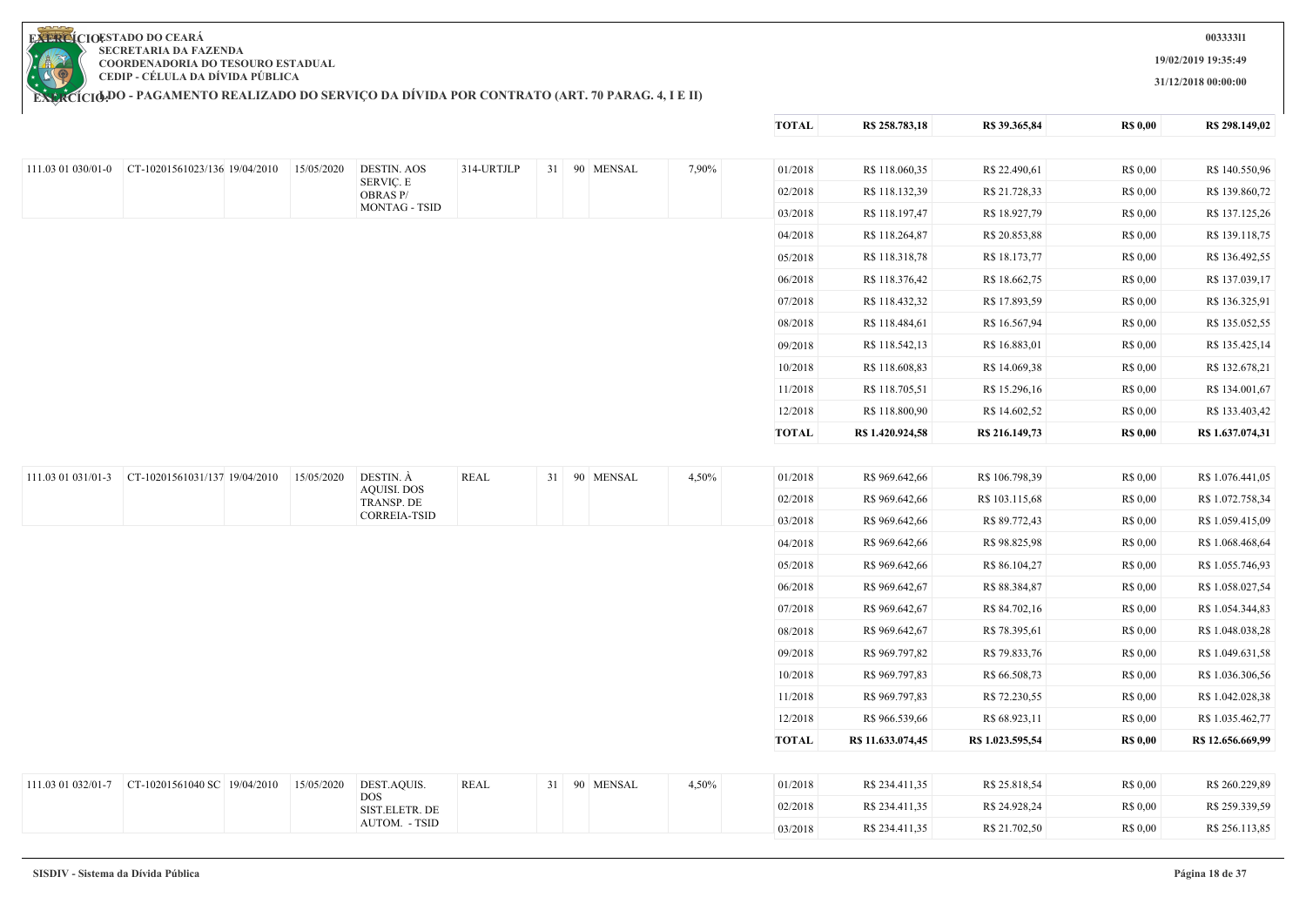**19/02/2019 19:35:49**

**31/12/2018 00:00:00**

**TOTAL R\$ 258.783,18 R\$ 39.365,84 R\$ 0,00 R\$ 298.149,02**

**EXERCIOESTADO DO CEARA SECRETARIA DA FAZENDA COORDENADORIA DO TESOURO ESTADUAL CEDIP - CÉLULA DA DÍVIDA PÚBLICA**

| 314-URTJLP<br>31 90 MENSAL<br>7,90%<br>01/2018<br>R\$ 118.060,35<br>R\$ 22.490,61<br>111.03 01 030/01-0<br>CT-10201561023/136 19/04/2010<br>15/05/2020<br><b>DESTIN. AOS</b><br>SERVIÇ. E<br>02/2018<br>R\$ 21.728,33<br>R\$ 118.132,39<br><b>OBRAS P/</b><br><b>MONTAG - TSID</b><br>03/2018<br>R\$ 118.197,47<br>R\$ 18.927,79<br>04/2018<br>R\$ 118.264,87<br>R\$ 20.853,88<br>05/2018<br>R\$ 118.318,78<br>R\$ 18.173,77<br>06/2018<br>R\$ 118.376,42<br>R\$ 18.662,75<br>07/2018<br>R\$ 118.432,32<br>R\$ 17.893,59<br>08/2018<br>R\$ 118.484,61<br>R\$ 16.567,94<br>R\$ 118.542,13<br>R\$ 16.883,01<br>09/2018<br>10/2018<br>R\$ 118.608,83<br>R\$ 14.069,38<br>11/2018<br>R\$ 118.705,51<br>R\$ 15.296,16<br>R\$ 118.800,90<br>R\$ 14.602,52<br>12/2018<br><b>TOTAL</b><br>R\$ 1.420.924,58<br>R\$ 216.149,73<br>DESTIN. À<br><b>REAL</b><br>111.03 01 031/01-3<br>CT-10201561031/137 19/04/2010<br>15/05/2020<br>31 90 MENSAL<br>4,50%<br>01/2018<br>R\$ 969.642,66<br>R\$ 106.798,39<br><b>AQUISI. DOS</b><br>02/2018<br>R\$ 969.642,66<br>R\$ 103.115,68<br><b>TRANSP. DE</b><br><b>CORREIA-TSID</b><br>03/2018<br>R\$ 969.642,66<br>R\$ 89.772,43<br>R\$ 969.642,66<br>R\$ 98.825,98<br>04/2018<br>05/2018<br>R\$ 969.642,66<br>R\$ 86.104,27 | R\$ 0,00<br>R\$ 140.550,96           |
|----------------------------------------------------------------------------------------------------------------------------------------------------------------------------------------------------------------------------------------------------------------------------------------------------------------------------------------------------------------------------------------------------------------------------------------------------------------------------------------------------------------------------------------------------------------------------------------------------------------------------------------------------------------------------------------------------------------------------------------------------------------------------------------------------------------------------------------------------------------------------------------------------------------------------------------------------------------------------------------------------------------------------------------------------------------------------------------------------------------------------------------------------------------------------------------------------------------------------------------------------------|--------------------------------------|
|                                                                                                                                                                                                                                                                                                                                                                                                                                                                                                                                                                                                                                                                                                                                                                                                                                                                                                                                                                                                                                                                                                                                                                                                                                                          |                                      |
|                                                                                                                                                                                                                                                                                                                                                                                                                                                                                                                                                                                                                                                                                                                                                                                                                                                                                                                                                                                                                                                                                                                                                                                                                                                          | R\$ 0,00<br>R\$ 139.860,72           |
|                                                                                                                                                                                                                                                                                                                                                                                                                                                                                                                                                                                                                                                                                                                                                                                                                                                                                                                                                                                                                                                                                                                                                                                                                                                          | R\$ 0,00<br>R\$ 137.125,26           |
|                                                                                                                                                                                                                                                                                                                                                                                                                                                                                                                                                                                                                                                                                                                                                                                                                                                                                                                                                                                                                                                                                                                                                                                                                                                          | R\$ 0,00<br>R\$ 139.118,75           |
|                                                                                                                                                                                                                                                                                                                                                                                                                                                                                                                                                                                                                                                                                                                                                                                                                                                                                                                                                                                                                                                                                                                                                                                                                                                          | R\$ 0,00<br>R\$ 136.492,55           |
|                                                                                                                                                                                                                                                                                                                                                                                                                                                                                                                                                                                                                                                                                                                                                                                                                                                                                                                                                                                                                                                                                                                                                                                                                                                          | R\$ 137.039,17<br>R\$ 0,00           |
|                                                                                                                                                                                                                                                                                                                                                                                                                                                                                                                                                                                                                                                                                                                                                                                                                                                                                                                                                                                                                                                                                                                                                                                                                                                          | R\$ 0,00<br>R\$ 136.325,91           |
|                                                                                                                                                                                                                                                                                                                                                                                                                                                                                                                                                                                                                                                                                                                                                                                                                                                                                                                                                                                                                                                                                                                                                                                                                                                          | R\$ 0,00<br>R\$ 135.052,55           |
|                                                                                                                                                                                                                                                                                                                                                                                                                                                                                                                                                                                                                                                                                                                                                                                                                                                                                                                                                                                                                                                                                                                                                                                                                                                          | R\$ 0,00<br>R\$ 135.425,14           |
|                                                                                                                                                                                                                                                                                                                                                                                                                                                                                                                                                                                                                                                                                                                                                                                                                                                                                                                                                                                                                                                                                                                                                                                                                                                          | R\$ 0,00<br>R\$ 132.678,21           |
|                                                                                                                                                                                                                                                                                                                                                                                                                                                                                                                                                                                                                                                                                                                                                                                                                                                                                                                                                                                                                                                                                                                                                                                                                                                          | R\$ 0.00<br>R\$ 134.001,67           |
|                                                                                                                                                                                                                                                                                                                                                                                                                                                                                                                                                                                                                                                                                                                                                                                                                                                                                                                                                                                                                                                                                                                                                                                                                                                          | R\$ 0,00<br>R\$ 133.403,42           |
|                                                                                                                                                                                                                                                                                                                                                                                                                                                                                                                                                                                                                                                                                                                                                                                                                                                                                                                                                                                                                                                                                                                                                                                                                                                          | <b>R\$ 0,00</b><br>R\$ 1.637.074,31  |
|                                                                                                                                                                                                                                                                                                                                                                                                                                                                                                                                                                                                                                                                                                                                                                                                                                                                                                                                                                                                                                                                                                                                                                                                                                                          |                                      |
|                                                                                                                                                                                                                                                                                                                                                                                                                                                                                                                                                                                                                                                                                                                                                                                                                                                                                                                                                                                                                                                                                                                                                                                                                                                          | R\$ 0,00<br>R\$ 1.076.441,05         |
|                                                                                                                                                                                                                                                                                                                                                                                                                                                                                                                                                                                                                                                                                                                                                                                                                                                                                                                                                                                                                                                                                                                                                                                                                                                          | R\$ 0,00<br>R\$ 1.072.758,34         |
|                                                                                                                                                                                                                                                                                                                                                                                                                                                                                                                                                                                                                                                                                                                                                                                                                                                                                                                                                                                                                                                                                                                                                                                                                                                          | R\$ 0,00<br>R\$ 1.059.415,09         |
|                                                                                                                                                                                                                                                                                                                                                                                                                                                                                                                                                                                                                                                                                                                                                                                                                                                                                                                                                                                                                                                                                                                                                                                                                                                          | R\$ 0.00<br>R\$ 1.068.468,64         |
|                                                                                                                                                                                                                                                                                                                                                                                                                                                                                                                                                                                                                                                                                                                                                                                                                                                                                                                                                                                                                                                                                                                                                                                                                                                          | R\$ 0,00<br>R\$ 1.055.746,93         |
| 06/2018<br>R\$ 969.642,67<br>R\$ 88.384,87                                                                                                                                                                                                                                                                                                                                                                                                                                                                                                                                                                                                                                                                                                                                                                                                                                                                                                                                                                                                                                                                                                                                                                                                               | R\$ 0,00<br>R\$ 1.058.027,54         |
| R\$ 84.702,16<br>07/2018<br>R\$ 969.642,67                                                                                                                                                                                                                                                                                                                                                                                                                                                                                                                                                                                                                                                                                                                                                                                                                                                                                                                                                                                                                                                                                                                                                                                                               | R\$ 0,00<br>R\$ 1.054.344,83         |
| R\$ 969.642,67<br>08/2018<br>R\$ 78.395,61                                                                                                                                                                                                                                                                                                                                                                                                                                                                                                                                                                                                                                                                                                                                                                                                                                                                                                                                                                                                                                                                                                                                                                                                               | R\$ 0,00<br>R\$ 1.048.038,28         |
| 09/2018<br>R\$ 969.797,82<br>R\$ 79.833,76                                                                                                                                                                                                                                                                                                                                                                                                                                                                                                                                                                                                                                                                                                                                                                                                                                                                                                                                                                                                                                                                                                                                                                                                               | R\$ 0,00<br>R\$ 1.049.631,58         |
| 10/2018<br>R\$ 969.797,83<br>R\$ 66.508,73                                                                                                                                                                                                                                                                                                                                                                                                                                                                                                                                                                                                                                                                                                                                                                                                                                                                                                                                                                                                                                                                                                                                                                                                               | R\$ 0,00<br>R\$ 1.036.306,56         |
| 11/2018<br>R\$ 969.797,83<br>R\$ 72.230,55                                                                                                                                                                                                                                                                                                                                                                                                                                                                                                                                                                                                                                                                                                                                                                                                                                                                                                                                                                                                                                                                                                                                                                                                               | R\$ 0,00<br>R\$ 1.042.028,38         |
| R\$ 966.539,66<br>12/2018<br>R\$ 68.923,11                                                                                                                                                                                                                                                                                                                                                                                                                                                                                                                                                                                                                                                                                                                                                                                                                                                                                                                                                                                                                                                                                                                                                                                                               | R\$ 0,00<br>R\$ 1.035.462,77         |
| <b>TOTAL</b><br>R\$ 11.633.074,45<br>R\$ 1.023.595,54                                                                                                                                                                                                                                                                                                                                                                                                                                                                                                                                                                                                                                                                                                                                                                                                                                                                                                                                                                                                                                                                                                                                                                                                    | <b>R\$ 0,00</b><br>R\$ 12.656.669,99 |
|                                                                                                                                                                                                                                                                                                                                                                                                                                                                                                                                                                                                                                                                                                                                                                                                                                                                                                                                                                                                                                                                                                                                                                                                                                                          |                                      |
| DEST.AQUIS.<br><b>REAL</b><br>31 90 MENSAL<br>111.03 01 032/01-7<br>CT-10201561040 SC 19/04/2010<br>15/05/2020<br>4,50%<br>01/2018<br>R\$ 234.411,35<br>R\$ 25.818,54                                                                                                                                                                                                                                                                                                                                                                                                                                                                                                                                                                                                                                                                                                                                                                                                                                                                                                                                                                                                                                                                                    | R\$ 0,00<br>R\$ 260.229,89           |
| <b>DOS</b><br>02/2018<br>R\$ 234.411,35<br>R\$ 24.928,24<br>SIST.ELETR. DE                                                                                                                                                                                                                                                                                                                                                                                                                                                                                                                                                                                                                                                                                                                                                                                                                                                                                                                                                                                                                                                                                                                                                                               | R\$ 259.339,59<br>R\$ 0,00           |
| AUTOM. - TSID<br>03/2018<br>R\$ 234.411,35<br>R\$ 21.702,50                                                                                                                                                                                                                                                                                                                                                                                                                                                                                                                                                                                                                                                                                                                                                                                                                                                                                                                                                                                                                                                                                                                                                                                              | R\$ 0,00<br>R\$ 256.113,85           |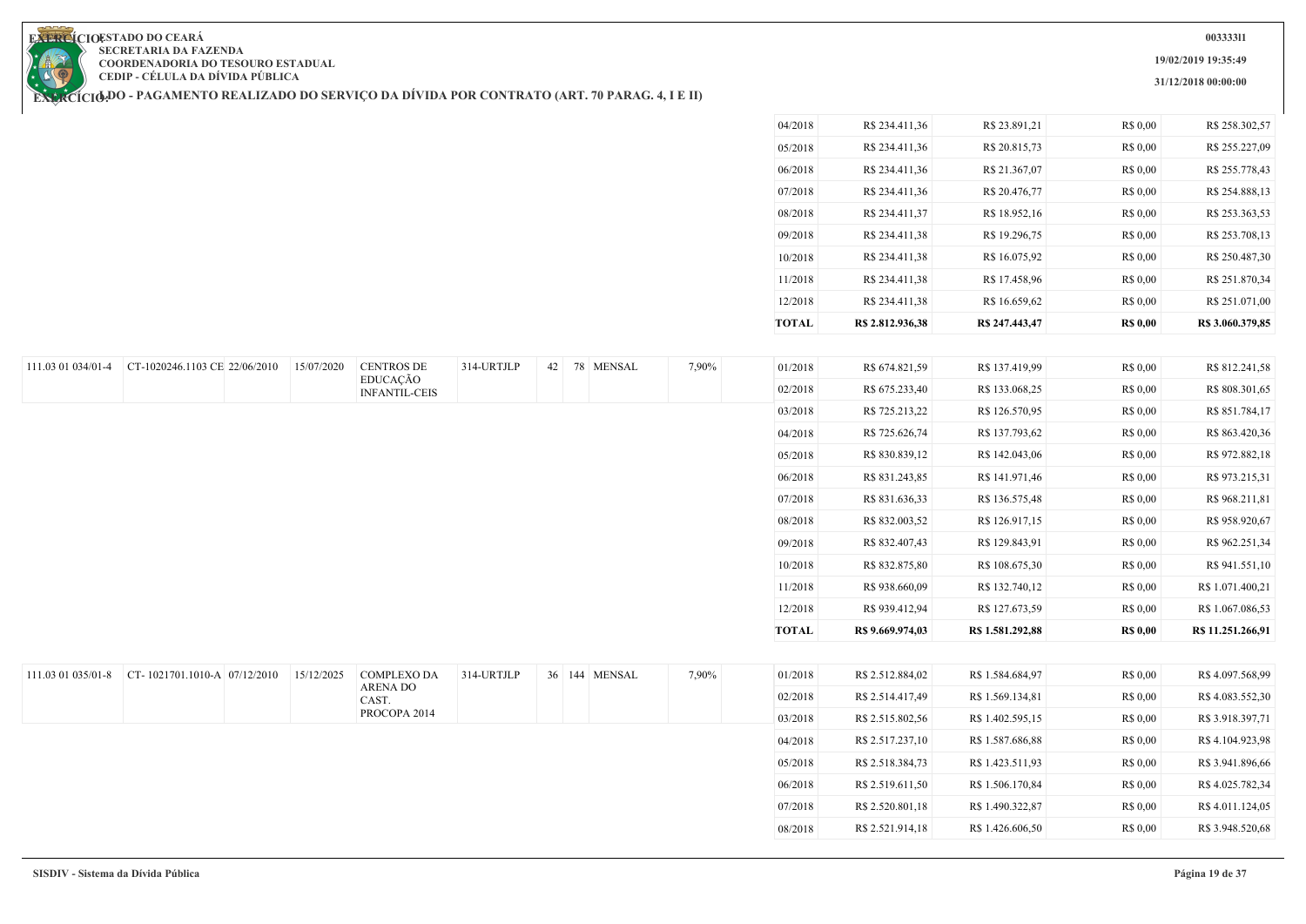**19/02/2019 19:35:49**

**31/12/2018 00:00:00**

**EXERCIOESTADO DO CEARA SECRETARIA DA FAZENDA COORDENADORIA DO TESOURO ESTADUAL CEDIP - CÉLULA DA DÍVIDA PÚBLICA**

111.03 01 034/01-4 CT-1020246.1103 CE 22/06/2010 15/07/2020 CENTROS DE

**EXERCÍCIODO - PAGAMENTO REALIZADO DO SERVIÇO DA DIVIDA POR CONTRATO (ART. 70 PARAG. 4, I E II)** 

EDUCAÇÃO INFANTIL-CEIS

| R\$ 20.815,73<br>R\$ 255.227,09<br>R\$ 0,00<br>R\$ 234,411,36<br>05/2018<br>R\$ 255.778,43<br>R\$ 234.411,36<br>R\$ 21.367,07<br>R\$ 0,00<br>06/2018<br>R\$ 0,00<br>07/2018<br>R\$ 20.476,77<br>R\$ 254.888,13<br>R\$ 234,411,36<br>R\$ 0,00<br>08/2018<br>R\$ 234.411,37<br>R\$ 18.952,16<br>R\$ 253.363,53<br>R\$ 234,411.38<br>R\$ 19.296,75<br>R\$ 253,708.13<br>R\$ 0,00<br>09/2018<br>R\$ 234,411.38<br>R\$ 16.075,92<br>R\$ 0,00<br>R\$ 250.487,30<br>10/2018<br>11/2018<br>R\$ 17.458,96<br>R\$ 0,00<br>R\$ 251.870,34<br>R\$ 234.411,38<br>12/2018<br>R\$ 234,411.38<br>R\$ 16.659.62<br>R\$ 0.00<br>R\$ 251,071.00 | R\$ 3.060.379.85 |
|------------------------------------------------------------------------------------------------------------------------------------------------------------------------------------------------------------------------------------------------------------------------------------------------------------------------------------------------------------------------------------------------------------------------------------------------------------------------------------------------------------------------------------------------------------------------------------------------------------------------------|------------------|
|                                                                                                                                                                                                                                                                                                                                                                                                                                                                                                                                                                                                                              |                  |
|                                                                                                                                                                                                                                                                                                                                                                                                                                                                                                                                                                                                                              |                  |
|                                                                                                                                                                                                                                                                                                                                                                                                                                                                                                                                                                                                                              |                  |
|                                                                                                                                                                                                                                                                                                                                                                                                                                                                                                                                                                                                                              |                  |
|                                                                                                                                                                                                                                                                                                                                                                                                                                                                                                                                                                                                                              |                  |
|                                                                                                                                                                                                                                                                                                                                                                                                                                                                                                                                                                                                                              |                  |
|                                                                                                                                                                                                                                                                                                                                                                                                                                                                                                                                                                                                                              |                  |
|                                                                                                                                                                                                                                                                                                                                                                                                                                                                                                                                                                                                                              |                  |
| R\$ 23.891,21<br>R\$ 0.00<br>R\$ 258.302,57<br>R\$ 234.411,36<br>04/2018                                                                                                                                                                                                                                                                                                                                                                                                                                                                                                                                                     |                  |

| <b>TOTAL</b> | R\$ 9.669.974,03 | R\$ 1.581.292,88 | <b>R\$ 0,00</b> | R\$ 11.251.266,91 |
|--------------|------------------|------------------|-----------------|-------------------|
| 12/2018      | R\$ 939.412,94   | R\$ 127.673,59   | R\$ 0.00        | R\$ 1.067.086,53  |
| 11/2018      | R\$ 938.660,09   | R\$ 132.740,12   | R\$ 0,00        | R\$ 1.071.400,21  |
| 10/2018      | R\$ 832.875,80   | R\$ 108.675,30   | R\$ 0,00        | R\$ 941.551,10    |
| 09/2018      | R\$ 832.407,43   | R\$ 129.843,91   | R\$ 0.00        | R\$ 962.251,34    |
| 08/2018      | R\$ 832.003,52   | R\$ 126.917,15   | R\$ 0.00        | R\$ 958.920,67    |
| 07/2018      | R\$ 831.636,33   | R\$ 136.575,48   | R\$ 0,00        | R\$ 968.211,81    |
| 06/2018      | R\$ 831.243,85   | R\$ 141.971,46   | R\$ 0.00        | R\$ 973.215,31    |
| 05/2018      | R\$ 830.839,12   | R\$ 142.043,06   | R\$ 0.00        | R\$ 972.882,18    |
| 04/2018      | R\$ 725.626,74   | R\$ 137.793,62   | R\$ 0,00        | R\$ 863.420,36    |
| 03/2018      | R\$ 725.213,22   | R\$ 126.570,95   | R\$ 0,00        | R\$ 851.784,17    |
| 02/2018      | R\$ 675.233,40   | R\$ 133.068,25   | R\$ 0.00        | R\$ 808.301,65    |
| 01/2018      | R\$ 674.821,59   | R\$ 137.419,99   | R\$ 0.00        | R\$ 812.241,58    |
|              |                  |                  |                 |                   |

| $111.03$ 01 035/01-8 CT-1021701.1010-A 07/12/2010 | 15/12/2025 | <b>COMPLEXO DA</b> | 314-URTJLP | 36 144 | <b>MENSAL</b> | 7,90% | 01/2018 | R\$ 2.512.884,02 | R\$ 1.584.684,97 | R\$ 0,00 | R\$4.097.568,99  |
|---------------------------------------------------|------------|--------------------|------------|--------|---------------|-------|---------|------------------|------------------|----------|------------------|
|                                                   |            | ARENA DO<br>CAST.  |            |        |               |       | 02/2018 | R\$ 2.514.417,49 | R\$ 1.569.134,81 | R\$ 0,00 | R\$ 4.083.552,30 |
|                                                   |            | PROCOPA 2014       |            |        |               |       | 03/2018 | R\$ 2.515.802,56 | R\$ 1.402.595,15 | R\$ 0,00 | R\$ 3.918.397,71 |
|                                                   |            |                    |            |        |               |       | 04/2018 | R\$ 2.517.237,10 | R\$ 1.587.686,88 | R\$ 0,00 | R\$4.104.923,98  |
|                                                   |            |                    |            |        |               |       | 05/2018 | R\$ 2.518.384,73 | R\$ 1.423.511,93 | R\$ 0.00 | R\$ 3.941.896,66 |
|                                                   |            |                    |            |        |               |       | 06/2018 | R\$ 2.519.611,50 | R\$ 1.506.170,84 | R\$ 0,00 | R\$ 4.025.782,34 |
|                                                   |            |                    |            |        |               |       | 07/2018 | R\$ 2.520.801,18 | R\$ 1.490.322,87 | R\$ 0,00 | R\$ 4.011.124,05 |
|                                                   |            |                    |            |        |               |       | 08/2018 | R\$ 2.521.914,18 | R\$ 1.426.606,50 | R\$ 0.00 | R\$ 3.948.520,68 |
|                                                   |            |                    |            |        |               |       |         |                  |                  |          |                  |

314-URTJLP 42 78 MENSAL 7,90%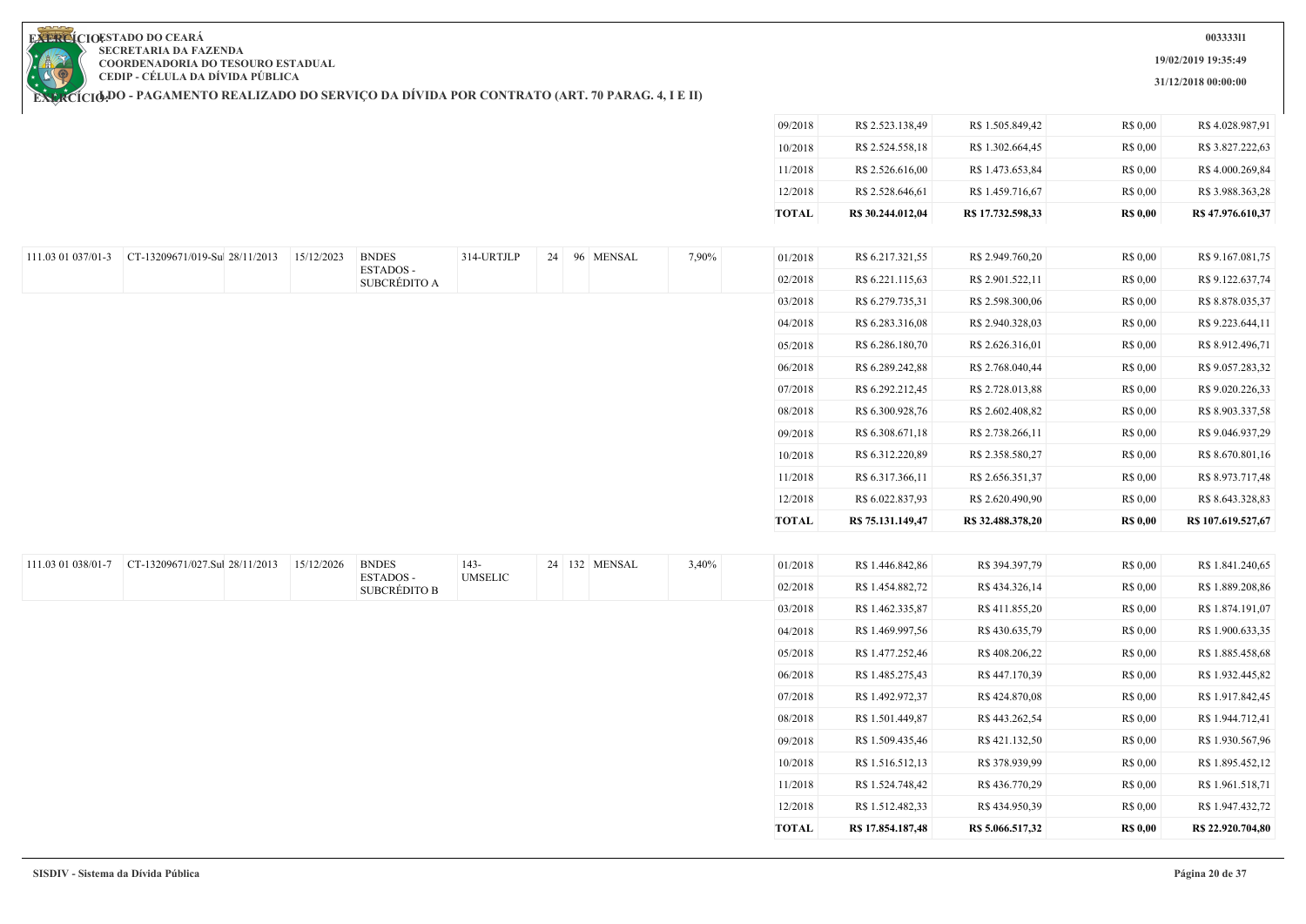**19/02/2019 19:35:49**

**31/12/2018 00:00:00**

**EXERCIOESTADO DO CEARA SECRETARIA DA FAZENDA COORDENADORIA DO TESOURO ESTADUAL CEDIP - CÉLULA DA DÍVIDA PÚBLICA**

|                    |                                |            |                                  |                |                   |       | 09/2018      | R\$ 2.523.138,49  | R\$ 1.505.849,42  | R\$ 0,00        | R\$4.028.987,91    |
|--------------------|--------------------------------|------------|----------------------------------|----------------|-------------------|-------|--------------|-------------------|-------------------|-----------------|--------------------|
|                    |                                |            |                                  |                |                   |       | 10/2018      | R\$ 2.524.558,18  | R\$ 1.302.664,45  | R\$ 0,00        | R\$ 3.827.222,63   |
|                    |                                |            |                                  |                |                   |       | 11/2018      | R\$ 2.526.616,00  | R\$ 1.473.653,84  | R\$ 0,00        | R\$4.000.269,84    |
|                    |                                |            |                                  |                |                   |       | 12/2018      | R\$ 2.528.646,61  | R\$ 1.459.716,67  | R\$ 0,00        | R\$ 3.988.363,28   |
|                    |                                |            |                                  |                |                   |       | <b>TOTAL</b> | R\$ 30.244.012,04 | R\$ 17.732.598,33 | <b>R\$ 0,00</b> | R\$ 47.976.610,37  |
|                    |                                |            |                                  |                |                   |       |              |                   |                   |                 |                    |
| 111.03 01 037/01-3 | CT-13209671/019-Sul 28/11/2013 | 15/12/2023 | <b>BNDES</b>                     | 314-URTJLP     | 24 96 MENSAL      | 7,90% | 01/2018      | R\$ 6.217.321,55  | R\$ 2.949.760,20  | R\$ 0,00        | R\$ 9.167.081,75   |
|                    |                                |            | ESTADOS-<br>SUBCRÉDITO A         |                |                   |       | 02/2018      | R\$ 6.221.115,63  | R\$ 2.901.522,11  | R\$ 0,00        | R\$ 9.122.637,74   |
|                    |                                |            |                                  |                |                   |       | 03/2018      | R\$ 6.279.735,31  | R\$ 2.598.300,06  | R\$ 0,00        | R\$ 8.878.035,37   |
|                    |                                |            |                                  |                |                   |       | 04/2018      | R\$ 6.283.316,08  | R\$ 2.940.328,03  | R\$ 0,00        | R\$ 9.223.644,11   |
|                    |                                |            |                                  |                |                   |       | 05/2018      | R\$ 6.286.180,70  | R\$ 2.626.316,01  | R\$ 0,00        | R\$ 8.912.496,71   |
|                    |                                |            |                                  |                |                   |       | 06/2018      | R\$ 6.289.242,88  | R\$ 2.768.040,44  | R\$ 0,00        | R\$ 9.057.283,32   |
|                    |                                |            |                                  |                |                   |       | 07/2018      | R\$ 6.292.212,45  | R\$ 2.728.013,88  | R\$ 0,00        | R\$ 9.020.226,33   |
|                    |                                |            |                                  |                |                   |       | 08/2018      | R\$ 6.300.928,76  | R\$ 2.602.408,82  | R\$ 0,00        | R\$ 8.903.337,58   |
|                    |                                |            |                                  |                |                   |       | 09/2018      | R\$ 6.308.671,18  | R\$ 2.738.266,11  | R\$ 0,00        | R\$ 9.046.937,29   |
|                    |                                |            |                                  |                |                   |       | 10/2018      | R\$ 6.312.220,89  | R\$ 2.358.580,27  | R\$ 0,00        | R\$ 8.670.801,16   |
|                    |                                |            |                                  |                |                   |       | 11/2018      | R\$ 6.317.366,11  | R\$ 2.656.351,37  | R\$ 0,00        | R\$ 8.973.717,48   |
|                    |                                |            |                                  |                |                   |       | 12/2018      | R\$ 6.022.837,93  | R\$ 2.620.490,90  | R\$ 0,00        | R\$ 8.643.328,83   |
|                    |                                |            |                                  |                |                   |       | <b>TOTAL</b> | R\$ 75.131.149,47 | R\$ 32.488.378,20 | <b>R\$ 0,00</b> | R\$ 107.619.527,67 |
|                    |                                |            |                                  |                |                   |       |              |                   |                   |                 |                    |
| 111.03 01 038/01-7 | CT-13209671/027.Sul 28/11/2013 | 15/12/2026 | <b>BNDES</b>                     | 143-           | 24   132   MENSAL | 3,40% | 01/2018      | R\$ 1.446.842,86  | R\$ 394.397,79    | R\$ 0,00        | R\$ 1.841.240,65   |
|                    |                                |            | ESTADOS -<br><b>SUBCRÉDITO B</b> | <b>UMSELIC</b> |                   |       | 02/2018      | R\$ 1.454.882,72  | R\$434.326,14     | R\$ 0,00        | R\$ 1.889.208,86   |
|                    |                                |            |                                  |                |                   |       | 03/2018      | R\$ 1.462.335,87  | R\$411.855,20     | R\$ 0,00        | R\$ 1.874.191,07   |
|                    |                                |            |                                  |                |                   |       | 04/2018      | R\$ 1.469.997,56  | R\$430.635,79     | R\$ 0,00        | R\$ 1.900.633,35   |
|                    |                                |            |                                  |                |                   |       | 05/2018      | R\$ 1.477.252,46  | R\$408.206,22     | R\$ 0,00        | R\$ 1.885.458,68   |
|                    |                                |            |                                  |                |                   |       | 06/2018      | R\$ 1.485.275,43  | R\$447.170,39     | R\$ 0,00        | R\$ 1.932.445,82   |
|                    |                                |            |                                  |                |                   |       | 07/2018      | R\$ 1.492.972,37  | R\$424.870,08     | R\$ 0,00        | R\$ 1.917.842,45   |
|                    |                                |            |                                  |                |                   |       | 08/2018      | R\$ 1.501.449,87  | R\$443.262,54     | R\$ 0,00        | R\$ 1.944.712,41   |
|                    |                                |            |                                  |                |                   |       | 09/2018      | R\$ 1.509.435,46  | R\$421.132,50     | R\$ 0,00        | R\$ 1.930.567,96   |
|                    |                                |            |                                  |                |                   |       | 10/2018      | R\$ 1.516.512,13  | R\$ 378.939,99    | R\$ 0,00        | R\$ 1.895.452,12   |
|                    |                                |            |                                  |                |                   |       | 11/2018      | R\$ 1.524.748,42  | R\$436.770,29     | R\$ 0,00        | R\$ 1.961.518,71   |
|                    |                                |            |                                  |                |                   |       | 12/2018      | R\$ 1.512.482,33  | R\$434.950,39     | R\$ 0,00        | R\$ 1.947.432,72   |
|                    |                                |            |                                  |                |                   |       | <b>TOTAL</b> | R\$ 17.854.187,48 | R\$5.066.517,32   | <b>R\$ 0,00</b> | R\$ 22.920.704,80  |
|                    |                                |            |                                  |                |                   |       |              |                   |                   |                 |                    |

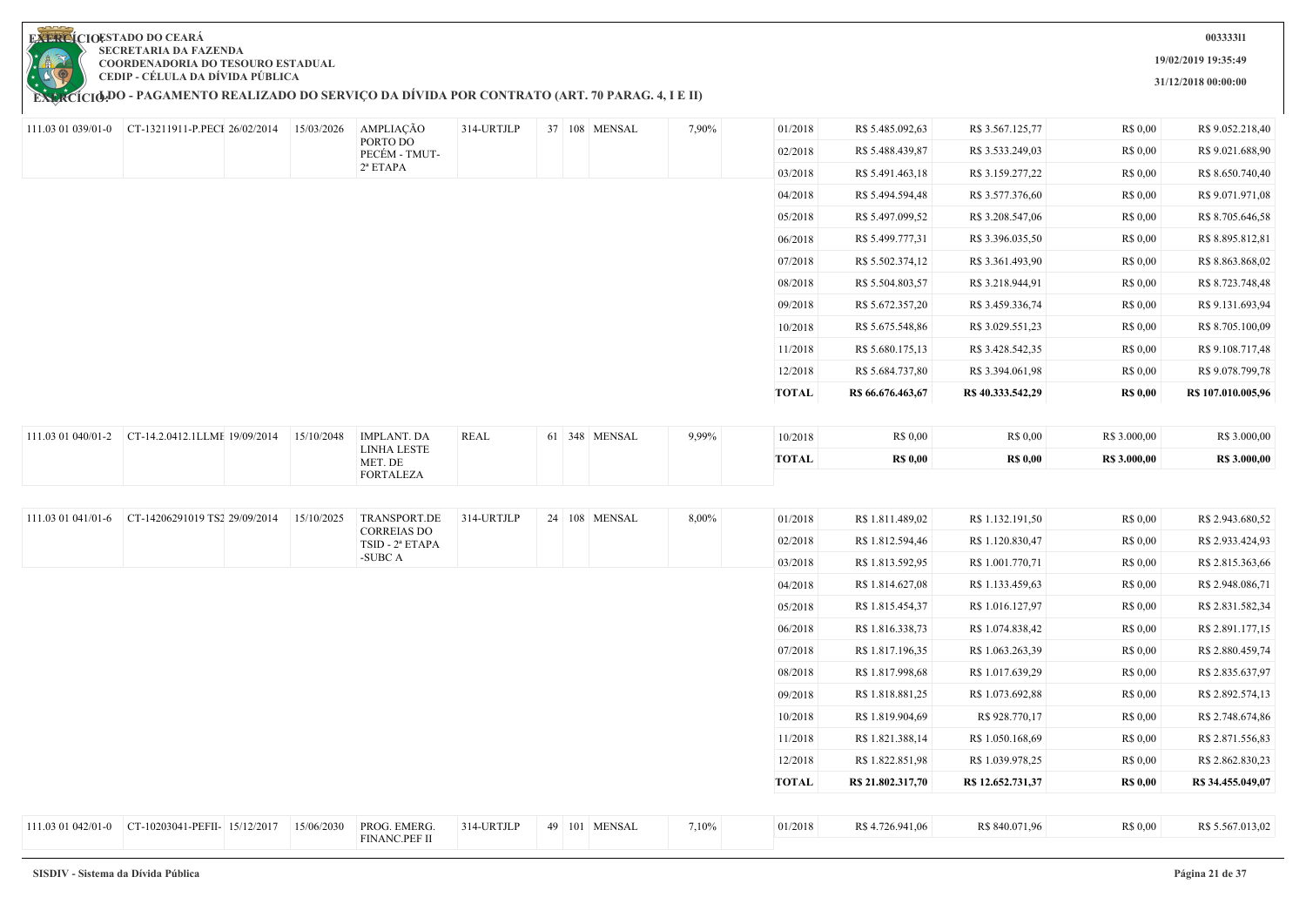

**003333l1**

**19/02/2019 19:35:49**

**31/12/2018 00:00:00**

|                    | 111.03 01 039/01-0 CT-13211911-P.PECI 26/02/2014 15/03/2026 |            | AMPLIAÇÃO<br>PORTO DO              | 314-URTJLP  |  | 37 108 MENSAL | 7,90% | 01/2018      | R\$ 5.485.092,63  | R\$ 3.567.125,77  | R\$ 0,00        | R\$ 9.052.218,40   |
|--------------------|-------------------------------------------------------------|------------|------------------------------------|-------------|--|---------------|-------|--------------|-------------------|-------------------|-----------------|--------------------|
|                    |                                                             |            | PECÉM - TMUT-                      |             |  |               |       | 02/2018      | R\$ 5.488.439,87  | R\$ 3.533.249,03  | R\$ 0,00        | R\$ 9.021.688,90   |
|                    |                                                             |            | $2^a$ ETAPA                        |             |  |               |       | 03/2018      | R\$ 5.491.463,18  | R\$ 3.159.277,22  | R\$ 0,00        | R\$ 8.650.740,40   |
|                    |                                                             |            |                                    |             |  |               |       | 04/2018      | R\$ 5.494.594,48  | R\$ 3.577.376,60  | R\$ 0,00        | R\$ 9.071.971,08   |
|                    |                                                             |            |                                    |             |  |               |       | 05/2018      | R\$ 5.497.099,52  | R\$ 3.208.547,06  | R\$ 0,00        | R\$ 8.705.646,58   |
|                    |                                                             |            |                                    |             |  |               |       | 06/2018      | R\$ 5.499.777,31  | R\$ 3.396.035,50  | R\$ 0,00        | R\$ 8.895.812,81   |
|                    |                                                             |            |                                    |             |  |               |       | 07/2018      | R\$ 5.502.374,12  | R\$ 3.361.493,90  | R\$ 0,00        | R\$ 8.863.868,02   |
|                    |                                                             |            |                                    |             |  |               |       | 08/2018      | R\$ 5.504.803,57  | R\$ 3.218.944,91  | R\$ 0,00        | R\$ 8.723.748,48   |
|                    |                                                             |            |                                    |             |  |               |       | 09/2018      | R\$ 5.672.357,20  | R\$ 3.459.336,74  | R\$ 0,00        | R\$ 9.131.693,94   |
|                    |                                                             |            |                                    |             |  |               |       | 10/2018      | R\$ 5.675.548,86  | R\$ 3.029.551,23  | R\$ 0,00        | R\$ 8.705.100,09   |
|                    |                                                             |            |                                    |             |  |               |       | 11/2018      | R\$ 5.680.175,13  | R\$ 3.428.542,35  | R\$ 0,00        | R\$ 9.108.717,48   |
|                    |                                                             |            |                                    |             |  |               |       | 12/2018      | R\$ 5.684.737,80  | R\$ 3.394.061,98  | R\$ 0,00        | R\$ 9.078.799,78   |
|                    |                                                             |            |                                    |             |  |               |       | <b>TOTAL</b> | R\$ 66.676.463,67 | R\$40.333.542,29  | <b>R\$ 0,00</b> | R\$ 107.010.005,96 |
|                    |                                                             |            |                                    |             |  |               |       |              |                   |                   |                 |                    |
| 111.03 01 040/01-2 | CT-14.2.0412.1LLME 19/09/2014                               | 15/10/2048 | <b>IMPLANT. DA</b><br>LINHA LESTE  | <b>REAL</b> |  | 61 348 MENSAL | 9,99% | 10/2018      | R\$ 0,00          | R\$ 0,00          | R\$ 3.000,00    | R\$ 3.000,00       |
|                    |                                                             |            | MET. DE                            |             |  |               |       | <b>TOTAL</b> | <b>R\$ 0,00</b>   | <b>R\$ 0,00</b>   | R\$ 3.000,00    | R\$ 3.000,00       |
|                    |                                                             |            | <b>FORTALEZA</b>                   |             |  |               |       |              |                   |                   |                 |                    |
|                    | CT-14206291019 TS2 29/09/2014                               |            |                                    | 314-URTJLP  |  |               |       |              |                   |                   |                 | R\$ 2.943.680,52   |
| 111.03 01 041/01-6 |                                                             | 15/10/2025 | TRANSPORT.DE<br><b>CORREIAS DO</b> |             |  | 24 108 MENSAL | 8,00% | 01/2018      | R\$ 1.811.489,02  | R\$ 1.132.191,50  | R\$ 0,00        |                    |
|                    |                                                             |            | TSID - 2ª ETAPA<br>-SUBC A         |             |  |               |       | 02/2018      | R\$ 1.812.594,46  | R\$ 1.120.830,47  | R\$ 0,00        | R\$ 2.933.424,93   |
|                    |                                                             |            |                                    |             |  |               |       | 03/2018      | R\$ 1.813.592,95  | R\$ 1.001.770,71  | R\$ 0,00        | R\$ 2.815.363,66   |
|                    |                                                             |            |                                    |             |  |               |       | 04/2018      | R\$ 1.814.627,08  | R\$ 1.133.459,63  | R\$ 0,00        | R\$ 2.948.086,71   |
|                    |                                                             |            |                                    |             |  |               |       | 05/2018      | R\$ 1.815.454,37  | R\$ 1.016.127,97  | R\$ 0,00        | R\$ 2.831.582,34   |
|                    |                                                             |            |                                    |             |  |               |       | 06/2018      | R\$ 1.816.338,73  | R\$ 1.074.838,42  | R\$ 0,00        | R\$ 2.891.177,15   |
|                    |                                                             |            |                                    |             |  |               |       | 07/2018      | R\$ 1.817.196,35  | R\$ 1.063.263,39  | R\$ 0,00        | R\$ 2.880.459,74   |
|                    |                                                             |            |                                    |             |  |               |       | 08/2018      | R\$ 1.817.998,68  | R\$ 1.017.639,29  | R\$ 0,00        | R\$ 2.835.637,97   |
|                    |                                                             |            |                                    |             |  |               |       | 09/2018      | R\$ 1.818.881,25  | R\$ 1.073.692,88  | R\$ 0,00        | R\$ 2.892.574,13   |
|                    |                                                             |            |                                    |             |  |               |       | 10/2018      | R\$ 1.819.904,69  | R\$ 928.770,17    | R\$ 0,00        | R\$ 2.748.674,86   |
|                    |                                                             |            |                                    |             |  |               |       | 11/2018      | R\$ 1.821.388,14  | R\$ 1.050.168,69  | R\$ 0,00        | R\$ 2.871.556,83   |
|                    |                                                             |            |                                    |             |  |               |       | 12/2018      | R\$ 1.822.851,98  | R\$ 1.039.978,25  | R\$ 0,00        | R\$ 2.862.830,23   |
|                    |                                                             |            |                                    |             |  |               |       | <b>TOTAL</b> | R\$ 21.802.317,70 | R\$ 12.652.731,37 | <b>R\$ 0,00</b> | R\$ 34.455.049,07  |
|                    |                                                             |            |                                    |             |  |               |       |              |                   |                   |                 |                    |
| 111.03 01 042/01-0 | CT-10203041-PEFII- 15/12/2017                               | 15/06/2030 | PROG. EMERG.<br>FINANC.PEF II      | 314-URTJLP  |  | 49 101 MENSAL | 7,10% | 01/2018      | R\$4.726.941,06   | R\$ 840.071,96    | R\$ 0,00        | R\$ 5.567.013,02   |
|                    |                                                             |            |                                    |             |  |               |       |              |                   |                   |                 |                    |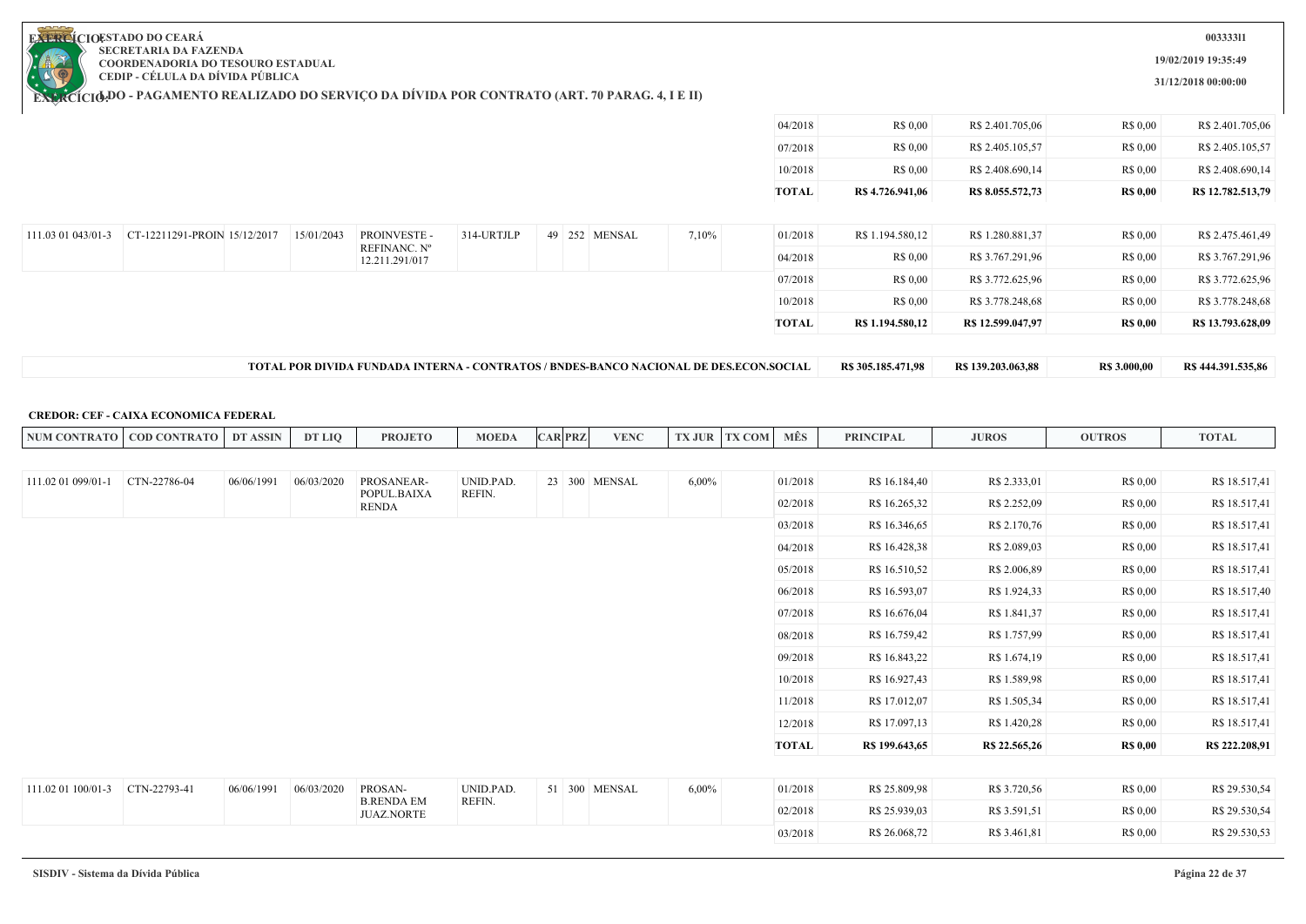**19/02/2019 19:35:49**

**31/12/2018 00:00:00**

**EXERCIOESTADO DO CEARA SECRETARIA DA FAZENDA COORDENADORIA DO TESOURO ESTADUAL CEDIP - CÉLULA DA DÍVIDA PÚBLICA**

**EXERCÍCIODO - PAGAMENTO REALIZADO DO SERVIÇO DA DIVIDA POR CONTRATO (ART. 70 PARAG. 4, I E II)** 

| R\$ 0,00<br>R\$ 2.401.705,06<br>04/2018<br>R\$ 0.00<br>R\$ 0,00<br>R\$ 2.405.105,57<br>R\$ 0.00<br>07/2018<br>10/2018<br>R\$ 0.00<br>R\$ 2.408.690,14<br>R\$ 0.00<br><b>TOTAL</b><br>R\$ 4.726.941,06<br>R\$ 8.055.572,73<br><b>R\$</b> 0,00<br>CT-12211291-PROIN 15/12/2017<br>314-URTJLP<br>7,10%<br>R\$ 1.280.881,37<br>15/01/2043<br><b>PROINVESTE -</b><br>49 252 MENSAL<br>R\$ 1.194.580,12<br>R\$ 0.00<br>111.03 01 043/01-3<br>01/2018<br>REFINANC. Nº<br>04/2018<br>R\$ 0,00<br>R\$ 3.767.291,96<br>R\$ 0.00<br>12.211.291/017<br>R\$ 0,00<br>R\$ 3.772.625,96<br>07/2018<br>R\$ 0,00<br>10/2018<br>R\$ 3.778.248,68<br>R\$ 0.00<br>R\$ 0.00<br><b>TOTAL</b><br>R\$ 1.194.580,12<br>R\$ 12.599.047,97<br><b>R\$ 0,00</b> | R\$444.391.535,86 | <b>R\$</b> 3.000,00 | R\$ 139.203.063,88 | R\$ 305.185.471,98 |  |  | TOTAL POR DIVIDA FUNDADA INTERNA - CONTRATOS / BNDES-BANCO NACIONAL DE DES.ECON.SOCIAL |  |  |
|-----------------------------------------------------------------------------------------------------------------------------------------------------------------------------------------------------------------------------------------------------------------------------------------------------------------------------------------------------------------------------------------------------------------------------------------------------------------------------------------------------------------------------------------------------------------------------------------------------------------------------------------------------------------------------------------------------------------------------------|-------------------|---------------------|--------------------|--------------------|--|--|----------------------------------------------------------------------------------------|--|--|
|                                                                                                                                                                                                                                                                                                                                                                                                                                                                                                                                                                                                                                                                                                                                   | R\$ 13.793.628,09 |                     |                    |                    |  |  |                                                                                        |  |  |
|                                                                                                                                                                                                                                                                                                                                                                                                                                                                                                                                                                                                                                                                                                                                   | R\$ 3.778.248,68  |                     |                    |                    |  |  |                                                                                        |  |  |
|                                                                                                                                                                                                                                                                                                                                                                                                                                                                                                                                                                                                                                                                                                                                   | R\$ 3.772.625,96  |                     |                    |                    |  |  |                                                                                        |  |  |
|                                                                                                                                                                                                                                                                                                                                                                                                                                                                                                                                                                                                                                                                                                                                   | R\$ 3.767.291,96  |                     |                    |                    |  |  |                                                                                        |  |  |
|                                                                                                                                                                                                                                                                                                                                                                                                                                                                                                                                                                                                                                                                                                                                   | R\$ 2.475.461,49  |                     |                    |                    |  |  |                                                                                        |  |  |
|                                                                                                                                                                                                                                                                                                                                                                                                                                                                                                                                                                                                                                                                                                                                   | R\$ 12.782.513,79 |                     |                    |                    |  |  |                                                                                        |  |  |
|                                                                                                                                                                                                                                                                                                                                                                                                                                                                                                                                                                                                                                                                                                                                   | R\$ 2.408.690,14  |                     |                    |                    |  |  |                                                                                        |  |  |
|                                                                                                                                                                                                                                                                                                                                                                                                                                                                                                                                                                                                                                                                                                                                   | R\$ 2.405.105,57  |                     |                    |                    |  |  |                                                                                        |  |  |
|                                                                                                                                                                                                                                                                                                                                                                                                                                                                                                                                                                                                                                                                                                                                   | R\$ 2.401.705,06  |                     |                    |                    |  |  |                                                                                        |  |  |

#### **CREDOR: CEF - CAIXA ECONOMICA FEDERAL**

| <b>NUM CONTRATO</b> | <b>COD CONTRATO</b> | DT ASSIN   | DT LIO     | <b>PROJETO</b>                         | <b>MOEDA</b> | <b>CAR PRZ</b> | <b>VENC</b>   | <b>TX JUR</b> | <b>TX COM</b> | MÊS          | <b>PRINCIPAL</b> | <b>JUROS</b>  | <b>OUTROS</b>   | <b>TOTAL</b>   |
|---------------------|---------------------|------------|------------|----------------------------------------|--------------|----------------|---------------|---------------|---------------|--------------|------------------|---------------|-----------------|----------------|
|                     |                     |            |            |                                        |              |                |               |               |               |              |                  |               |                 |                |
| 111.02 01 099/01-1  | CTN-22786-04        | 06/06/1991 | 06/03/2020 | PROSANEAR-                             | UNID.PAD.    | 23 300 MENSAL  |               | $6,00\%$      |               | 01/2018      | R\$ 16.184,40    | R\$ 2.333,01  | R\$ 0,00        | R\$ 18.517,41  |
|                     |                     |            |            | POPUL.BAIXA<br><b>RENDA</b>            | REFIN.       |                |               |               |               | 02/2018      | R\$ 16.265,32    | R\$ 2.252,09  | R\$ 0,00        | R\$ 18.517,41  |
|                     |                     |            |            |                                        |              |                |               |               |               | 03/2018      | R\$ 16.346,65    | R\$ 2.170,76  | R\$ 0,00        | R\$ 18.517,41  |
|                     |                     |            |            |                                        |              |                |               |               |               | 04/2018      | R\$ 16.428,38    | R\$ 2.089,03  | R\$ 0,00        | R\$ 18.517,41  |
|                     |                     |            |            |                                        |              |                |               |               |               | 05/2018      | R\$ 16.510,52    | R\$ 2.006,89  | R\$ 0,00        | R\$ 18.517,41  |
|                     |                     |            |            |                                        |              |                |               |               |               | 06/2018      | R\$ 16.593,07    | R\$ 1.924,33  | R\$ 0,00        | R\$ 18.517,40  |
|                     |                     |            |            |                                        |              |                |               |               |               | 07/2018      | R\$ 16.676,04    | R\$ 1.841,37  | R\$ 0,00        | R\$ 18.517,41  |
|                     |                     |            |            |                                        |              |                |               |               |               | 08/2018      | R\$ 16.759,42    | R\$ 1.757,99  | R\$ 0,00        | R\$ 18.517,41  |
|                     |                     |            |            |                                        |              |                |               |               |               | 09/2018      | R\$ 16.843,22    | R\$ 1.674,19  | R\$ 0,00        | R\$ 18.517,41  |
|                     |                     |            |            |                                        |              |                |               |               |               | 10/2018      | R\$ 16.927,43    | R\$ 1.589,98  | R\$ 0.00        | R\$ 18.517,41  |
|                     |                     |            |            |                                        |              |                |               |               |               | 11/2018      | R\$ 17.012,07    | R\$ 1.505,34  | R\$ 0.00        | R\$ 18.517,41  |
|                     |                     |            |            |                                        |              |                |               |               |               | 12/2018      | R\$ 17.097,13    | R\$ 1.420,28  | R\$ 0.00        | R\$ 18.517,41  |
|                     |                     |            |            |                                        |              |                |               |               |               | <b>TOTAL</b> | R\$ 199.643,65   | R\$ 22.565,26 | <b>R\$ 0,00</b> | R\$ 222.208,91 |
|                     |                     |            |            |                                        |              |                |               |               |               |              |                  |               |                 |                |
| 111.02 01 100/01-3  | CTN-22793-41        | 06/06/1991 | 06/03/2020 | PROSAN-                                | UNID.PAD.    |                | 51 300 MENSAL | 6,00%         |               | 01/2018      | R\$ 25.809,98    | R\$ 3.720,56  | R\$ 0,00        | R\$ 29.530,54  |
|                     |                     |            |            | <b>B.RENDA EM</b><br><b>JUAZ.NORTE</b> | REFIN.       |                |               |               |               | 02/2018      | R\$ 25.939,03    | R\$ 3.591,51  | R\$ 0.00        | R\$ 29.530,54  |
|                     |                     |            |            |                                        |              |                |               |               |               | 03/2018      | R\$ 26.068,72    | R\$ 3.461,81  | R\$ 0.00        | R\$ 29.530,53  |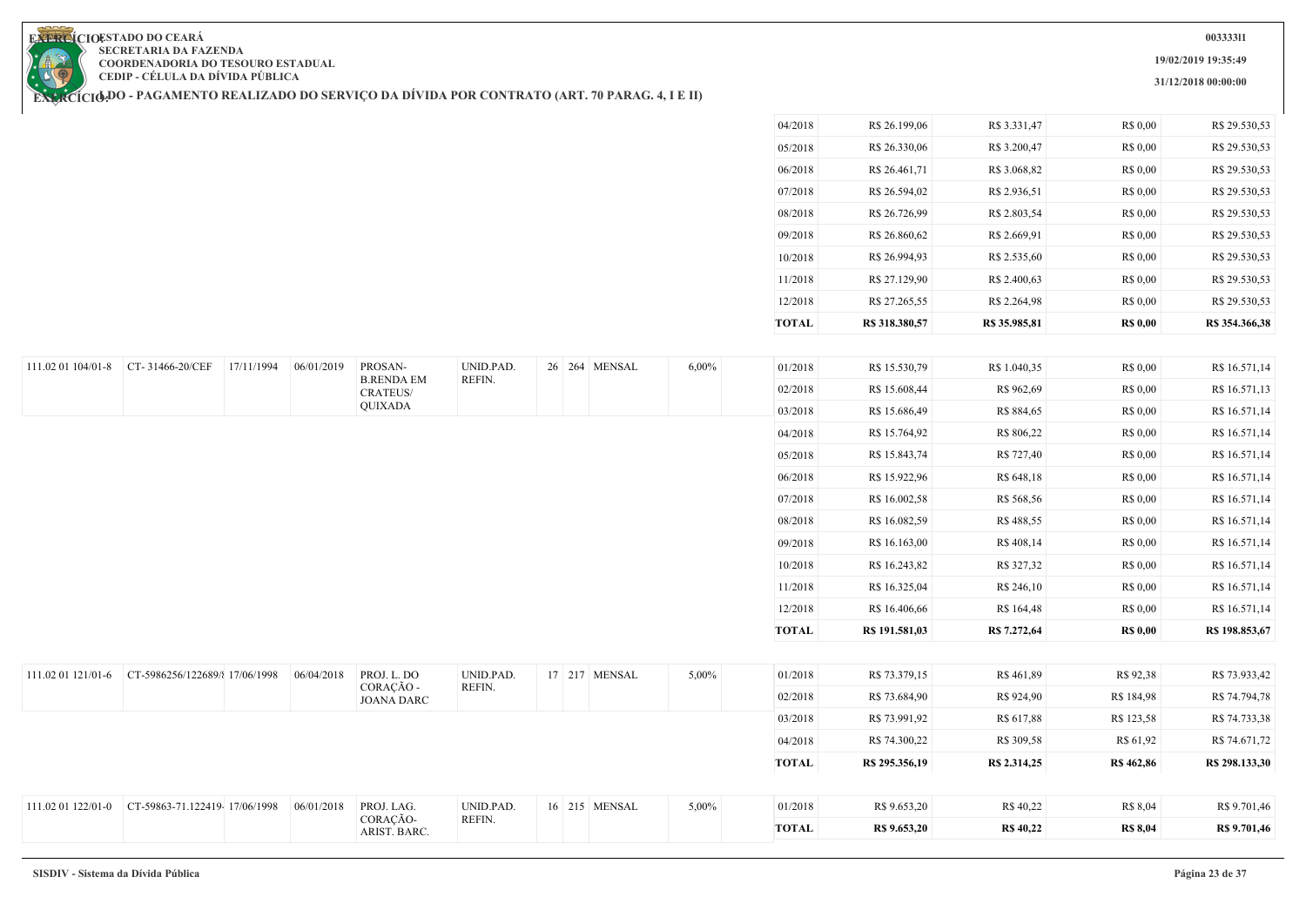**19/02/2019 19:35:49**

**31/12/2018 00:00:00**

**EXERCIOESTADO DO CEARA SECRETARIA DA FAZENDA COORDENADORIA DO TESOURO ESTADUAL CEDIP - CÉLULA DA DÍVIDA PÚBLICA**

| <b>TOTAL</b> | R\$ 318.380,57 | R\$ 35.985.81 | <b>R\$ 0,00</b> | R\$ 354.366.38 |
|--------------|----------------|---------------|-----------------|----------------|
| 12/2018      | R\$ 27.265,55  | R\$ 2.264,98  | R\$ 0,00        | R\$ 29.530,53  |
| 11/2018      | R\$ 27.129,90  | R\$ 2.400,63  | R\$ 0,00        | R\$ 29.530,53  |
| 10/2018      | R\$ 26.994,93  | R\$ 2.535,60  | R\$ 0,00        | R\$ 29.530,53  |
| 09/2018      | R\$ 26.860,62  | R\$ 2.669,91  | R\$ 0,00        | R\$ 29.530,53  |
| 08/2018      | R\$ 26.726,99  | R\$ 2.803,54  | R\$ 0,00        | R\$ 29.530,53  |
| 07/2018      | R\$ 26.594,02  | R\$ 2.936,51  | R\$ 0,00        | R\$ 29.530,53  |
| 06/2018      | R\$ 26.461,71  | R\$ 3.068,82  | R\$ 0,00        | R\$ 29.530,53  |
| 05/2018      | R\$ 26.330,06  | R\$ 3.200.47  | R\$ 0,00        | R\$ 29.530,53  |
| 04/2018      | R\$ 26.199,06  | R\$ 3.331,47  | R\$ 0,00        | R\$ 29.530,53  |
|              |                |               |                 |                |

| 111.02 01 104/01-8 CT-31466-20/CEF |                                                   | 17/11/1994 | 06/01/2019 | PROSAN-<br><b>B.RENDA EM</b>   | UNID.PAD.<br>REFIN. |  | 26 264 MENSAL | $6,00\%$ | 01/2018      | R\$ 15.530,79  | R\$ 1.040,35     | R\$ 0,00        | R\$ 16.571,14  |
|------------------------------------|---------------------------------------------------|------------|------------|--------------------------------|---------------------|--|---------------|----------|--------------|----------------|------------------|-----------------|----------------|
|                                    |                                                   |            |            | <b>CRATEUS/</b>                |                     |  |               |          | 02/2018      | R\$ 15.608,44  | R\$ 962,69       | R\$ 0,00        | R\$ 16.571,13  |
|                                    |                                                   |            |            | QUIXADA                        |                     |  |               |          | 03/2018      | R\$ 15.686,49  | R\$ 884,65       | R\$ 0,00        | R\$ 16.571,14  |
|                                    |                                                   |            |            |                                |                     |  |               |          | 04/2018      | R\$ 15.764,92  | R\$ 806,22       | R\$ 0,00        | R\$ 16.571,14  |
|                                    |                                                   |            |            |                                |                     |  |               |          | 05/2018      | R\$ 15.843,74  | R\$ 727,40       | R\$ 0,00        | R\$ 16.571,14  |
|                                    |                                                   |            |            |                                |                     |  |               |          | 06/2018      | R\$ 15.922,96  | R\$ 648,18       | R\$ 0,00        | R\$ 16.571,14  |
|                                    |                                                   |            |            |                                |                     |  |               |          | 07/2018      | R\$ 16.002,58  | R\$ 568,56       | R\$ 0,00        | R\$ 16.571,14  |
|                                    |                                                   |            |            |                                |                     |  |               |          | 08/2018      | R\$ 16.082,59  | R\$ 488,55       | R\$ 0,00        | R\$ 16.571,14  |
|                                    |                                                   |            |            |                                |                     |  |               |          | 09/2018      | R\$ 16.163,00  | R\$ 408,14       | R\$ 0,00        | R\$ 16.571,14  |
|                                    |                                                   |            |            |                                |                     |  |               |          | 10/2018      | R\$ 16.243,82  | R\$ 327,32       | R\$ 0,00        | R\$ 16.571,14  |
|                                    |                                                   |            |            |                                |                     |  |               |          | 11/2018      | R\$ 16.325,04  | R\$ 246,10       | R\$ 0,00        | R\$ 16.571,14  |
|                                    |                                                   |            |            |                                |                     |  |               |          | 12/2018      | R\$ 16.406,66  | R\$ 164,48       | R\$ 0,00        | R\$ 16.571,14  |
|                                    |                                                   |            |            |                                |                     |  |               |          | <b>TOTAL</b> | R\$ 191.581,03 | R\$ 7.272,64     | <b>R\$ 0,00</b> | R\$ 198.853,67 |
|                                    |                                                   |            |            |                                |                     |  |               |          |              |                |                  |                 |                |
|                                    | 111.02 01 121/01-6 CT-5986256/122689/{ 17/06/1998 |            | 06/04/2018 | PROJ. L. DO                    | UNID.PAD.           |  | 17 217 MENSAL | 5,00%    | 01/2018      | R\$ 73.379,15  | R\$461,89        | R\$ 92,38       | R\$ 73.933,42  |
|                                    |                                                   |            |            | CORAÇÃO -<br><b>JOANA DARC</b> | REFIN.              |  |               |          | 02/2018      | R\$ 73.684,90  | R\$ 924,90       | R\$ 184,98      | R\$ 74.794,78  |
|                                    |                                                   |            |            |                                |                     |  |               |          | 03/2018      | R\$ 73.991,92  | R\$ 617,88       | R\$ 123,58      | R\$ 74.733,38  |
|                                    |                                                   |            |            |                                |                     |  |               |          | 04/2018      | R\$ 74.300,22  | R\$ 309,58       | R\$ 61,92       | R\$ 74.671,72  |
|                                    |                                                   |            |            |                                |                     |  |               |          | <b>TOTAL</b> | R\$ 295.356,19 | R\$ 2.314,25     | R\$ 462,86      | R\$ 298.133,30 |
|                                    |                                                   |            |            |                                |                     |  |               |          |              |                |                  |                 |                |
|                                    | 111.02 01 122/01-0 CT-59863-71.122419-17/06/1998  |            | 06/01/2018 | PROJ. LAG.                     | UNID.PAD.           |  | 16 215 MENSAL | 5,00%    | 01/2018      | R\$ 9.653,20   | R\$ 40,22        | R\$ 8,04        | R\$ 9.701,46   |
|                                    |                                                   |            |            | CORAÇÃO-<br>ARIST. BARC.       | REFIN.              |  |               |          | <b>TOTAL</b> | R\$ 9.653,20   | <b>R\$ 40,22</b> | <b>R\$ 8,04</b> | R\$ 9.701,46   |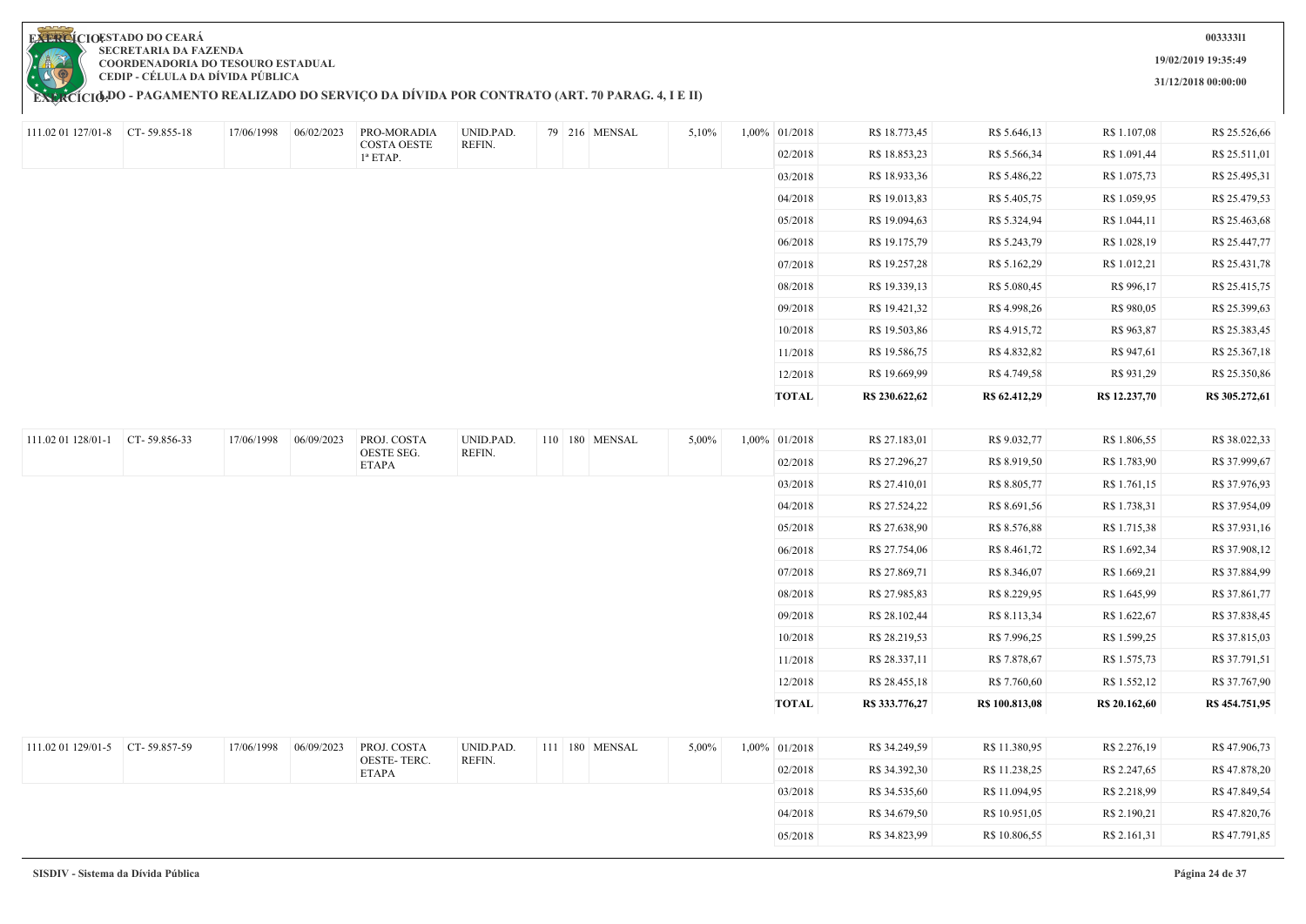

**EXERCÍCIODO - PAGAMENTO REALIZADO DO SERVIÇO DA DIVIDA POR CONTRATO (ART. 70 PARAG. 4, I E II)** 

**003333l1**

**19/02/2019 19:35:49**

**31/12/2018 00:00:00**

| 111.02 01 127/01-8 CT-59.855-18 | 17/06/1998 | 06/02/2023 | PRO-MORADIA                | UNID.PAD.           | 79 216 MENSAL  | 5,10% | 1,00% 01/2018 | R\$ 18.773,45  | R\$ 5.646,13   | R\$ 1.107,08  | R\$ 25.526,66  |
|---------------------------------|------------|------------|----------------------------|---------------------|----------------|-------|---------------|----------------|----------------|---------------|----------------|
|                                 |            |            | COSTA OESTE<br>$1^a$ ETAP. | REFIN.              |                |       | 02/2018       | R\$ 18.853,23  | R\$ 5.566,34   | R\$ 1.091,44  | R\$ 25.511,01  |
|                                 |            |            |                            |                     |                |       | 03/2018       | R\$ 18.933,36  | R\$ 5.486,22   | R\$ 1.075,73  | R\$ 25.495,31  |
|                                 |            |            |                            |                     |                |       | 04/2018       | R\$ 19.013,83  | R\$ 5.405,75   | R\$ 1.059,95  | R\$ 25.479,53  |
|                                 |            |            |                            |                     |                |       | 05/2018       | R\$ 19.094,63  | R\$ 5.324,94   | R\$ 1.044,11  | R\$ 25.463,68  |
|                                 |            |            |                            |                     |                |       | 06/2018       | R\$ 19.175,79  | R\$ 5.243,79   | R\$ 1.028,19  | R\$ 25.447,77  |
|                                 |            |            |                            |                     |                |       | 07/2018       | R\$ 19.257,28  | R\$ 5.162,29   | R\$ 1.012,21  | R\$ 25.431,78  |
|                                 |            |            |                            |                     |                |       | 08/2018       | R\$ 19.339,13  | R\$ 5.080,45   | R\$ 996,17    | R\$ 25.415,75  |
|                                 |            |            |                            |                     |                |       | 09/2018       | R\$ 19.421,32  | R\$4.998,26    | R\$ 980,05    | R\$ 25.399,63  |
|                                 |            |            |                            |                     |                |       | 10/2018       | R\$ 19.503,86  | R\$ 4.915,72   | R\$ 963,87    | R\$ 25.383,45  |
|                                 |            |            |                            |                     |                |       | 11/2018       | R\$ 19.586,75  | R\$4.832,82    | R\$ 947,61    | R\$ 25.367,18  |
|                                 |            |            |                            |                     |                |       | 12/2018       | R\$ 19.669,99  | R\$ 4.749,58   | R\$ 931,29    | R\$ 25.350,86  |
|                                 |            |            |                            |                     |                |       | <b>TOTAL</b>  | R\$ 230.622,62 | R\$ 62.412,29  | R\$ 12.237,70 | R\$ 305.272,61 |
|                                 |            |            |                            |                     |                |       |               |                |                |               |                |
| 111.02 01 128/01-1 CT-59.856-33 | 17/06/1998 | 06/09/2023 | PROJ. COSTA<br>OESTE SEG.  | UNID.PAD.<br>REFIN. | 110 180 MENSAL | 5,00% | 1,00% 01/2018 | R\$ 27.183,01  | R\$ 9.032,77   | R\$ 1.806,55  | R\$ 38.022,33  |
|                                 |            |            | <b>ETAPA</b>               |                     |                |       | 02/2018       | R\$ 27.296,27  | R\$ 8.919,50   | R\$ 1.783,90  | R\$ 37.999,67  |
|                                 |            |            |                            |                     |                |       | 03/2018       | R\$ 27.410,01  | R\$ 8.805,77   | R\$ 1.761,15  | R\$ 37.976,93  |
|                                 |            |            |                            |                     |                |       | 04/2018       | R\$ 27.524,22  | R\$ 8.691,56   | R\$ 1.738,31  | R\$ 37.954,09  |
|                                 |            |            |                            |                     |                |       | 05/2018       | R\$ 27.638,90  | R\$ 8.576,88   | R\$ 1.715,38  | R\$ 37.931,16  |
|                                 |            |            |                            |                     |                |       | 06/2018       | R\$ 27.754,06  | R\$ 8.461,72   | R\$ 1.692,34  | R\$ 37.908,12  |
|                                 |            |            |                            |                     |                |       | 07/2018       | R\$ 27.869,71  | R\$ 8.346,07   | R\$ 1.669,21  | R\$ 37.884,99  |
|                                 |            |            |                            |                     |                |       | 08/2018       | R\$ 27.985,83  | R\$ 8.229,95   | R\$ 1.645,99  | R\$ 37.861,77  |
|                                 |            |            |                            |                     |                |       | 09/2018       | R\$ 28.102,44  | R\$ 8.113,34   | R\$ 1.622,67  | R\$ 37.838,45  |
|                                 |            |            |                            |                     |                |       | 10/2018       | R\$ 28.219,53  | R\$ 7.996,25   | R\$ 1.599,25  | R\$ 37.815,03  |
|                                 |            |            |                            |                     |                |       | 11/2018       | R\$ 28.337,11  | R\$ 7.878,67   | R\$ 1.575,73  | R\$ 37.791,51  |
|                                 |            |            |                            |                     |                |       | 12/2018       | R\$ 28.455,18  | R\$ 7.760,60   | R\$ 1.552,12  | R\$ 37.767,90  |
|                                 |            |            |                            |                     |                |       | <b>TOTAL</b>  | R\$ 333,776,27 | R\$ 100.813,08 | R\$ 20.162,60 | R\$ 454.751,95 |
|                                 |            |            |                            |                     |                |       |               |                |                |               |                |
| 111.02 01 129/01-5 CT-59.857-59 | 17/06/1998 | 06/09/2023 | PROJ. COSTA<br>OESTE-TERC. | UNID.PAD.<br>REFIN. | 111 180 MENSAL | 5,00% | 1,00% 01/2018 | R\$ 34.249,59  | R\$ 11.380,95  | R\$ 2.276,19  | R\$47.906,73   |
|                                 |            |            | ETAPA                      |                     |                |       | 02/2018       | R\$ 34.392,30  | R\$ 11.238,25  | R\$ 2.247,65  | R\$47.878,20   |
|                                 |            |            |                            |                     |                |       | 03/2018       | R\$ 34.535,60  | R\$ 11.094,95  | R\$ 2.218,99  | R\$47.849,54   |
|                                 |            |            |                            |                     |                |       | 04/2018       | R\$ 34.679,50  | R\$ 10.951,05  | R\$ 2.190,21  | R\$47.820,76   |
|                                 |            |            |                            |                     |                |       | 05/2018       | R\$ 34.823,99  | R\$ 10.806,55  | R\$ 2.161,31  | R\$47.791,85   |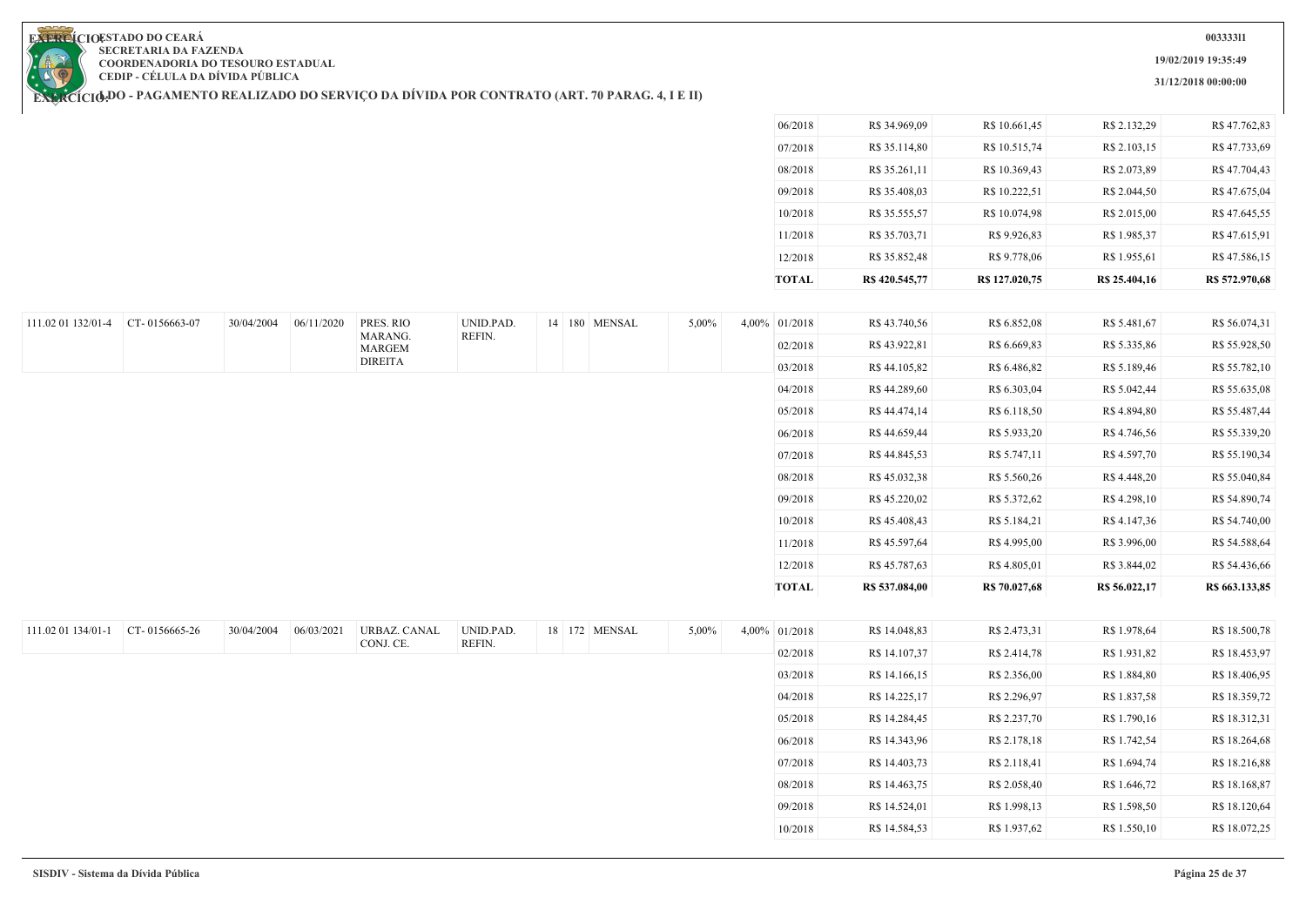**19/02/2019 19:35:49**

**31/12/2018 00:00:00**

**EXERCIOESTADO DO CEARA SECRETARIA DA FAZENDA COORDENADORIA DO TESOURO ESTADUAL CEDIP - CÉLULA DA DÍVIDA PÚBLICA**

| <b>TOTAL</b> | R\$420.545,77 | R\$ 127,020,75 | R\$ 25.404,16 | R\$ 572,970,68 |
|--------------|---------------|----------------|---------------|----------------|
| 12/2018      | R\$ 35.852,48 | R\$ 9.778,06   | R\$ 1.955,61  | R\$47.586,15   |
| 11/2018      | R\$ 35.703,71 | R\$ 9.926,83   | R\$ 1.985,37  | R\$47.615,91   |
| 10/2018      | R\$ 35.555,57 | R\$ 10.074,98  | R\$ 2.015,00  | R\$47.645,55   |
| 09/2018      | R\$ 35.408,03 | R\$ 10.222,51  | R\$ 2.044.50  | R\$47.675,04   |
| 08/2018      | R\$ 35.261,11 | R\$ 10.369,43  | R\$ 2.073,89  | R\$47.704,43   |
| 07/2018      | R\$ 35.114,80 | R\$ 10.515,74  | R\$ 2.103,15  | R\$47.733,69   |
| 06/2018      | R\$ 34.969,09 | R\$ 10.661,45  | R\$ 2.132,29  | R\$47.762,83   |
|              |               |                |               |                |

| 111.02 01 132/01-4 CT-0156663-07 |               | 30/04/2004 | 06/11/2020 | PRES. RIO           | UNID.PAD. |  | 14 180 MENSAL | 5,00% | 4,00% 01/2018 | R\$43.740,56   | R\$ 6.852,08  | R\$ 5.481,67  | R\$ 56.074,31                                   |
|----------------------------------|---------------|------------|------------|---------------------|-----------|--|---------------|-------|---------------|----------------|---------------|---------------|-------------------------------------------------|
|                                  |               |            |            | MARANG.<br>MARGEM   | REFIN.    |  |               |       | 02/2018       | R\$43.922,81   | R\$ 6.669,83  | R\$ 5.335,86  | R\$ 55.928,50                                   |
|                                  |               |            |            | <b>DIREITA</b>      |           |  |               |       | 03/2018       | R\$ 44.105,82  | R\$ 6.486,82  | R\$ 5.189,46  | R\$ 55.782,10                                   |
|                                  |               |            |            |                     |           |  |               |       | 04/2018       | R\$44.289,60   | R\$ 6.303,04  | R\$ 5.042,44  | R\$ 55.635,08                                   |
|                                  |               |            |            |                     |           |  |               |       | 05/2018       | R\$44.474,14   | R\$ 6.118,50  | R\$ 4.894,80  | R\$ 55.487,44                                   |
|                                  |               |            |            |                     |           |  |               |       | 06/2018       | R\$44.659,44   | R\$ 5.933,20  | R\$ 4.746,56  | R\$ 55.339,20                                   |
|                                  |               |            |            |                     |           |  |               |       | 07/2018       | R\$ 44.845,53  | R\$ 5.747,11  | R\$ 4.597,70  | R\$ 55.190,34                                   |
|                                  |               |            |            |                     |           |  |               |       | 08/2018       | R\$ 45.032,38  | R\$ 5.560,26  | R\$ 4.448,20  | R\$ 55.040,84                                   |
|                                  |               |            |            |                     |           |  |               |       | 09/2018       | R\$45.220,02   | R\$ 5.372,62  | R\$ 4.298,10  | R\$ 54.890,74                                   |
|                                  |               |            |            |                     |           |  |               |       | 10/2018       | R\$45.408,43   | R\$ 5.184,21  | R\$ 4.147,36  | R\$ 54.740,00                                   |
|                                  |               |            |            |                     |           |  |               |       | 11/2018       | R\$ 45.597,64  | R\$ 4.995,00  | R\$ 3.996,00  | R\$ 54.588,64                                   |
|                                  |               |            |            |                     |           |  |               |       | 12/2018       | R\$45.787,63   | R\$ 4.805,01  | R\$ 3.844,02  | R\$ 54.436,66                                   |
|                                  |               |            |            |                     |           |  |               |       | <b>TOTAL</b>  | R\$ 537.084,00 | R\$ 70.027,68 | R\$ 56.022,17 | R\$ 663.133,85                                  |
|                                  |               |            |            |                     |           |  |               |       |               |                |               |               |                                                 |
| 111.02 01 134/01-1               | CT-0156665-26 |            |            |                     |           |  |               |       |               |                |               |               |                                                 |
|                                  |               | 30/04/2004 | 06/03/2021 | <b>URBAZ. CANAL</b> | UNID.PAD. |  | 18 172 MENSAL | 5,00% | 4,00% 01/2018 | R\$ 14.048,83  | R\$ 2.473,31  | R\$ 1.978,64  | R\$ 18.500,78                                   |
|                                  |               |            |            | CONJ. CE.           | REFIN.    |  |               |       | 02/2018       | R\$ 14.107,37  | R\$ 2.414,78  | R\$ 1.931,82  | R\$ 18.453,97                                   |
|                                  |               |            |            |                     |           |  |               |       | 03/2018       | R\$ 14.166,15  | R\$ 2.356,00  | R\$ 1.884,80  |                                                 |
|                                  |               |            |            |                     |           |  |               |       | 04/2018       | R\$ 14.225,17  | R\$ 2.296,97  | R\$ 1.837,58  |                                                 |
|                                  |               |            |            |                     |           |  |               |       | 05/2018       | R\$ 14.284,45  | R\$ 2.237,70  | R\$ 1.790,16  | R\$ 18.406,95<br>R\$ 18.359,72<br>R\$ 18.312,31 |
|                                  |               |            |            |                     |           |  |               |       | 06/2018       | R\$ 14.343,96  | R\$ 2.178,18  | R\$ 1.742,54  | R\$ 18.264,68                                   |
|                                  |               |            |            |                     |           |  |               |       | 07/2018       | R\$ 14.403,73  | R\$ 2.118,41  | R\$ 1.694,74  | R\$ 18.216,88                                   |
|                                  |               |            |            |                     |           |  |               |       | 08/2018       | R\$ 14.463,75  | R\$ 2.058,40  | R\$ 1.646,72  | R\$ 18.168,87                                   |
|                                  |               |            |            |                     |           |  |               |       | 09/2018       | R\$ 14.524,01  | R\$ 1.998,13  | R\$ 1.598,50  | R\$ 18.120,64                                   |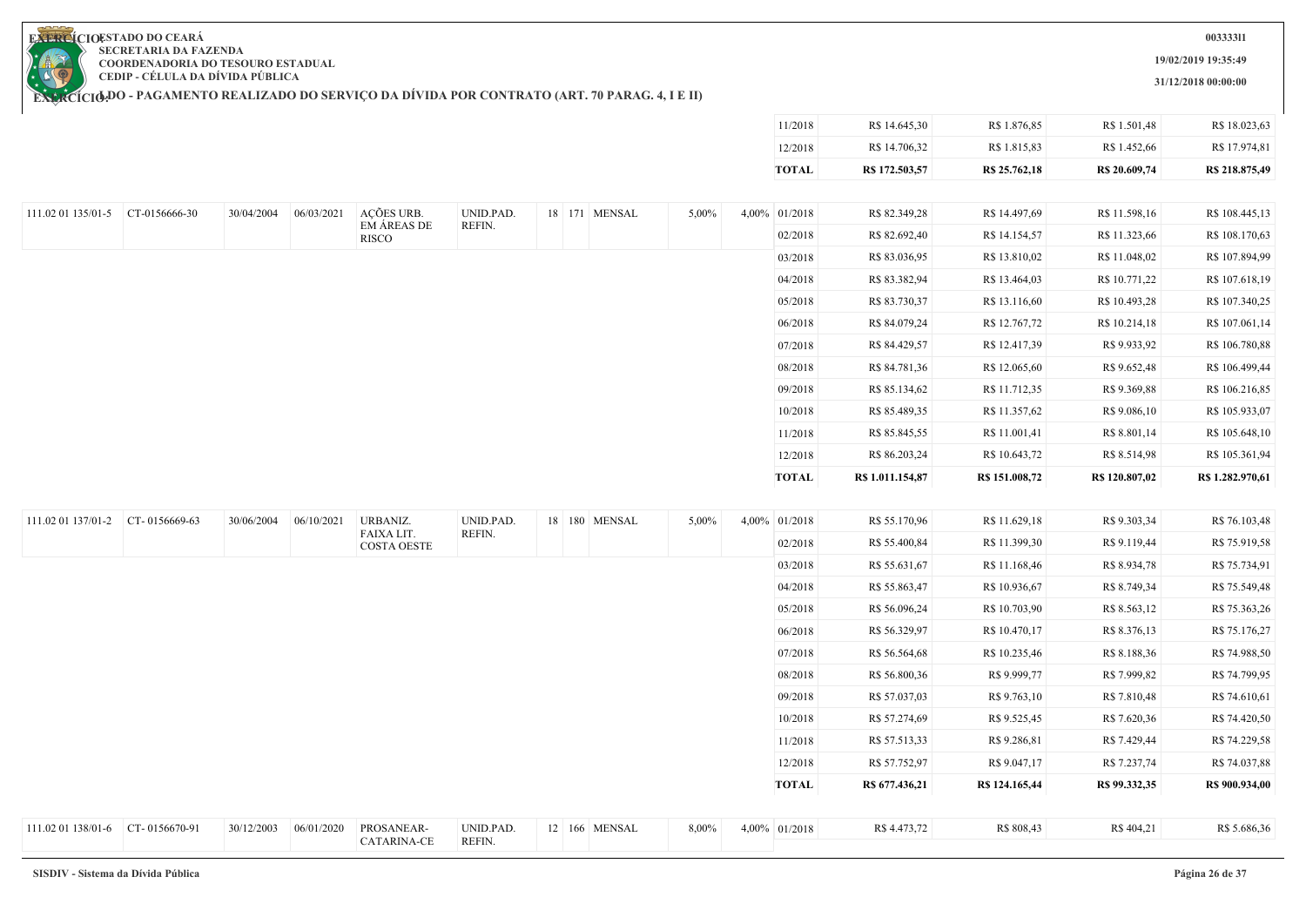**19/02/2019 19:35:49**

**31/12/2018 00:00:00**

11/2018 R\$ 14.645,30 R\$ 1.876,85 R\$ 1.501,48 R\$ 18.023,63

**EXERCIOESTADO DO CEARA SECRETARIA DA FAZENDA COORDENADORIA DO TESOURO ESTADUAL CEDIP - CÉLULA DA DÍVIDA PÚBLICA**

| ACÕES URB.<br>06/03/2021<br><b>EM ÁREAS DE</b><br><b>RISCO</b> | UNID.PAD.<br>REFIN. | 18 171 MENSAL | 5,00% | 12/2018<br><b>TOTAL</b><br>4,00% 01/2018<br>02/2018<br>03/2018<br>04/2018<br>05/2018<br>06/2018<br>07/2018 | R\$ 14.706,32<br>R\$ 172.503,57<br>R\$ 82.349,28<br>R\$ 82.692,40<br>R\$ 83.036,95<br>R\$ 83.382,94<br>R\$ 83.730,37<br>R\$ 84.079,24<br>R\$ 84.429,57 | R\$ 1.815,83<br>R\$ 25.762,18<br>R\$ 14.497,69<br>R\$ 14.154,57<br>R\$ 13.810,02<br>R\$ 13.464,03<br>R\$ 13.116,60<br>R\$ 12.767,72 | R\$ 1.452,66<br>R\$ 20.609,74<br>R\$ 11.598,16<br>R\$ 11.323,66<br>R\$ 11.048,02<br>R\$ 10.771,22<br>R\$ 10.493,28<br>R\$ 10.214,18 | R\$ 17.974,81<br>R\$ 218.875,49<br>R\$ 108.445,13<br>R\$ 108.170,63<br>R\$ 107.894,99<br>R\$ 107.618,19<br>R\$ 107.340,25<br>R\$ 107.061,14 |
|----------------------------------------------------------------|---------------------|---------------|-------|------------------------------------------------------------------------------------------------------------|--------------------------------------------------------------------------------------------------------------------------------------------------------|-------------------------------------------------------------------------------------------------------------------------------------|-------------------------------------------------------------------------------------------------------------------------------------|---------------------------------------------------------------------------------------------------------------------------------------------|
|                                                                |                     |               |       |                                                                                                            |                                                                                                                                                        |                                                                                                                                     |                                                                                                                                     |                                                                                                                                             |
|                                                                |                     |               |       |                                                                                                            |                                                                                                                                                        |                                                                                                                                     |                                                                                                                                     |                                                                                                                                             |
|                                                                |                     |               |       |                                                                                                            |                                                                                                                                                        |                                                                                                                                     |                                                                                                                                     |                                                                                                                                             |
|                                                                |                     |               |       |                                                                                                            |                                                                                                                                                        |                                                                                                                                     |                                                                                                                                     |                                                                                                                                             |
|                                                                |                     |               |       |                                                                                                            |                                                                                                                                                        |                                                                                                                                     |                                                                                                                                     |                                                                                                                                             |
|                                                                |                     |               |       |                                                                                                            |                                                                                                                                                        |                                                                                                                                     |                                                                                                                                     |                                                                                                                                             |
|                                                                |                     |               |       |                                                                                                            |                                                                                                                                                        |                                                                                                                                     |                                                                                                                                     |                                                                                                                                             |
|                                                                |                     |               |       |                                                                                                            |                                                                                                                                                        |                                                                                                                                     |                                                                                                                                     |                                                                                                                                             |
|                                                                |                     |               |       |                                                                                                            |                                                                                                                                                        | R\$ 12.417,39                                                                                                                       | R\$ 9.933,92                                                                                                                        | R\$ 106.780,88                                                                                                                              |
|                                                                |                     |               |       | 08/2018                                                                                                    | R\$ 84.781,36                                                                                                                                          | R\$ 12.065,60                                                                                                                       | R\$ 9.652,48                                                                                                                        | R\$ 106.499,44                                                                                                                              |
|                                                                |                     |               |       | 09/2018                                                                                                    | R\$ 85.134,62                                                                                                                                          | R\$ 11.712,35                                                                                                                       | R\$ 9.369,88                                                                                                                        | R\$ 106.216,85                                                                                                                              |
|                                                                |                     |               |       | 10/2018                                                                                                    | R\$ 85.489,35                                                                                                                                          | R\$ 11.357,62                                                                                                                       | R\$ 9.086,10                                                                                                                        | R\$ 105.933,07                                                                                                                              |
|                                                                |                     |               |       | 11/2018                                                                                                    | R\$ 85.845,55                                                                                                                                          | R\$ 11.001,41                                                                                                                       | R\$ 8.801,14                                                                                                                        | R\$ 105.648,10                                                                                                                              |
|                                                                |                     |               |       | 12/2018                                                                                                    | R\$ 86.203,24                                                                                                                                          | R\$ 10.643,72                                                                                                                       | R\$ 8.514,98                                                                                                                        | R\$ 105.361,94                                                                                                                              |
|                                                                |                     |               |       | <b>TOTAL</b>                                                                                               | R\$ 1.011.154,87                                                                                                                                       | R\$ 151.008,72                                                                                                                      | R\$ 120.807,02                                                                                                                      | R\$ 1.282.970,61                                                                                                                            |
|                                                                |                     |               |       |                                                                                                            |                                                                                                                                                        |                                                                                                                                     |                                                                                                                                     |                                                                                                                                             |
| 06/10/2021<br>URBANIZ.                                         | UNID.PAD.           | 18 180 MENSAL | 5,00% | 4,00% 01/2018                                                                                              | R\$ 55.170,96                                                                                                                                          | R\$ 11.629,18                                                                                                                       | R\$ 9.303,34                                                                                                                        | R\$ 76.103,48                                                                                                                               |
| <b>FAIXA LIT.</b><br><b>COSTA OESTE</b>                        | REFIN.              |               |       | 02/2018                                                                                                    | R\$ 55.400,84                                                                                                                                          | R\$ 11.399,30                                                                                                                       | R\$ 9.119,44                                                                                                                        | R\$ 75.919,58                                                                                                                               |
|                                                                |                     |               |       | 03/2018                                                                                                    | R\$ 55.631,67                                                                                                                                          | R\$ 11.168,46                                                                                                                       | R\$ 8.934,78                                                                                                                        | R\$ 75.734,91                                                                                                                               |
|                                                                |                     |               |       | 04/2018                                                                                                    | R\$ 55.863,47                                                                                                                                          | R\$ 10.936,67                                                                                                                       | R\$ 8.749,34                                                                                                                        | R\$ 75.549,48                                                                                                                               |
|                                                                |                     |               |       | 05/2018                                                                                                    | R\$ 56.096,24                                                                                                                                          | R\$ 10.703,90                                                                                                                       | R\$ 8.563,12                                                                                                                        | R\$ 75.363,26                                                                                                                               |
|                                                                |                     |               |       | 06/2018                                                                                                    | R\$ 56.329,97                                                                                                                                          | R\$ 10.470,17                                                                                                                       | R\$ 8.376,13                                                                                                                        | R\$ 75.176,27                                                                                                                               |
|                                                                |                     |               |       | 07/2018                                                                                                    | R\$ 56.564,68                                                                                                                                          | R\$ 10.235,46                                                                                                                       | R\$ 8.188,36                                                                                                                        | R\$ 74.988,50                                                                                                                               |
|                                                                |                     |               |       | 08/2018                                                                                                    | R\$ 56.800,36                                                                                                                                          | R\$ 9.999,77                                                                                                                        | R\$ 7.999,82                                                                                                                        | R\$ 74.799,95                                                                                                                               |
|                                                                |                     |               |       | 09/2018                                                                                                    | R\$ 57.037,03                                                                                                                                          | R\$ 9.763,10                                                                                                                        | R\$ 7.810,48                                                                                                                        | R\$ 74.610,61                                                                                                                               |
|                                                                |                     |               |       | 10/2018                                                                                                    | R\$ 57.274,69                                                                                                                                          | R\$ 9.525,45                                                                                                                        | R\$ 7.620,36                                                                                                                        | R\$ 74.420,50                                                                                                                               |
|                                                                |                     |               |       | 11/2018                                                                                                    | R\$ 57.513,33                                                                                                                                          | R\$ 9.286,81                                                                                                                        | R\$ 7.429,44                                                                                                                        | R\$ 74.229,58                                                                                                                               |
|                                                                |                     |               |       | 12/2018                                                                                                    | R\$ 57.752,97                                                                                                                                          | R\$ 9.047,17                                                                                                                        | R\$ 7.237,74                                                                                                                        | R\$ 74.037,88                                                                                                                               |
|                                                                |                     |               |       |                                                                                                            | R\$ 677.436,21                                                                                                                                         | R\$ 124.165,44                                                                                                                      | R\$ 99.332,35                                                                                                                       | R\$ 900.934,00                                                                                                                              |
|                                                                |                     |               |       |                                                                                                            |                                                                                                                                                        |                                                                                                                                     |                                                                                                                                     | R\$ 5.686,36                                                                                                                                |
|                                                                |                     |               |       |                                                                                                            | <b>TOTAL</b>                                                                                                                                           |                                                                                                                                     |                                                                                                                                     | PROSANEAR-<br>UNID.PAD.<br>06/01/2020<br>12 166 MENSAL<br>8,00%<br>4,00% 01/2018<br>R\$ 4.473,72<br>R\$ 808,43<br>R\$404,21                 |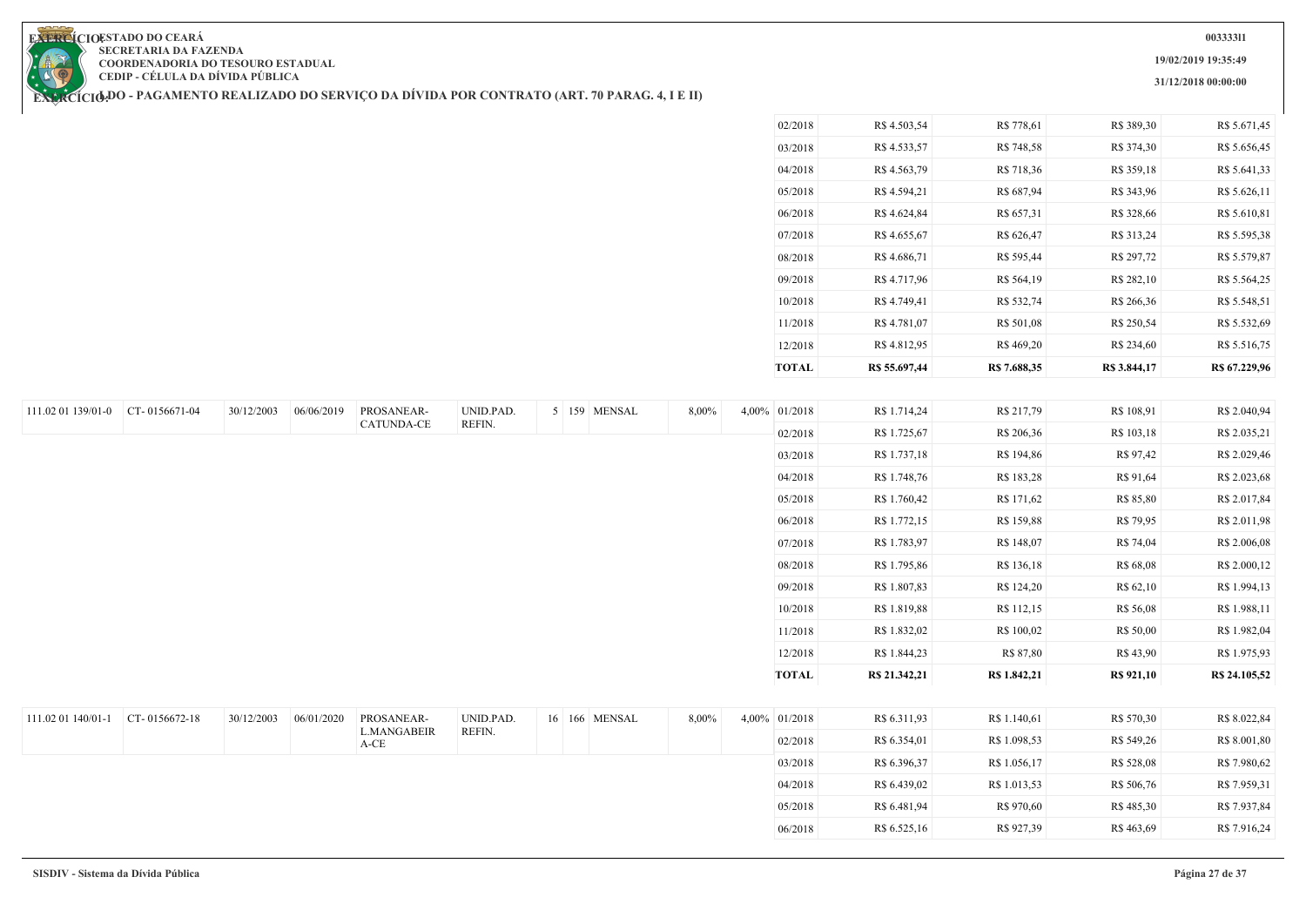**19/02/2019 19:35:49**

**31/12/2018 00:00:00**

**EXERCIOESTADO DO CEARA SECRETARIA DA FAZENDA COORDENADORIA DO TESOURO ESTADUAL CEDIP - CÉLULA DA DÍVIDA PÚBLICA**

111.02 01 139/01-0 CT- 0156671-04 30/12/2003 06/06/2019 PROSANEAR-

**EXERCÍCIODO - PAGAMENTO REALIZADO DO SERVIÇO DA DIVIDA POR CONTRATO (ART. 70 PARAG. 4, I E II)** 

CATUNDA-CE

UNID.PAD. REFIN.

| <b>TOTAL</b> | R\$ 55.697,44 | R\$ 7.688,35 | R\$ 3.844,17 | R\$ 67.229,96 |
|--------------|---------------|--------------|--------------|---------------|
| 12/2018      | R\$4.812,95   | R\$469,20    | R\$ 234,60   | R\$ 5.516,75  |
| 11/2018      | R\$ 4.781,07  | R\$ 501,08   | R\$ 250,54   | R\$ 5.532,69  |
| 10/2018      | R\$ 4.749,41  | R\$ 532,74   | R\$ 266,36   | R\$ 5.548,51  |
| 09/2018      | R\$4.717,96   | R\$ 564,19   | R\$ 282,10   | R\$ 5.564,25  |
| 08/2018      | R\$4.686,71   | R\$ 595,44   | R\$ 297,72   | R\$ 5.579,87  |
| 07/2018      | R\$ 4.655,67  | R\$ 626,47   | R\$ 313,24   | R\$ 5.595,38  |
| 06/2018      | R\$ 4.624,84  | R\$ 657,31   | R\$ 328,66   | R\$ 5.610,81  |
| 05/2018      | R\$4.594,21   | R\$ 687,94   | R\$ 343,96   | R\$ 5.626,11  |
| 04/2018      | R\$ 4.563,79  | R\$ 718,36   | R\$ 359,18   | R\$ 5.641,33  |
| 03/2018      | R\$4.533,57   | R\$ 748,58   | R\$ 374,30   | R\$ 5.656,45  |
| 02/2018      | R\$ 4.503,54  | R\$ 778,61   | R\$ 389,30   | R\$ 5.671,45  |

|       | <b>TOTAL</b> | R\$ 21.342,21 | R\$ 1.842,21 | <b>R\$</b> 921,10 | R\$ 24.105,52 |
|-------|--------------|---------------|--------------|-------------------|---------------|
|       | 12/2018      | R\$ 1.844,23  | R\$ 87,80    | R\$43,90          | R\$ 1.975,93  |
|       | 11/2018      | R\$ 1.832,02  | R\$ 100,02   | R\$ 50,00         | R\$ 1.982,04  |
|       | 10/2018      | R\$ 1.819,88  | R\$ 112,15   | R\$ 56,08         | R\$ 1.988,11  |
|       | 09/2018      | R\$ 1.807,83  | R\$ 124,20   | R\$ 62,10         | R\$ 1.994,13  |
|       | 08/2018      | R\$ 1.795,86  | R\$ 136,18   | R\$ 68,08         | R\$ 2.000,12  |
|       | 07/2018      | R\$ 1.783,97  | R\$ 148,07   | R\$ 74,04         | R\$ 2.006,08  |
|       | 06/2018      | R\$ 1.772,15  | R\$ 159,88   | R\$ 79,95         | R\$ 2.011,98  |
|       | 05/2018      | R\$ 1.760,42  | R\$ 171,62   | R\$ 85,80         | R\$ 2.017,84  |
|       | 04/2018      | R\$ 1.748,76  | R\$ 183,28   | R\$ 91,64         | R\$ 2.023,68  |
|       | 03/2018      | R\$ 1.737,18  | R\$ 194,86   | R\$ 97,42         | R\$ 2.029,46  |
|       | 02/2018      | R\$ 1.725,67  | R\$ 206,36   | R\$ 103,18        | R\$ 2.035,21  |
| 4,00% | 01/2018      | R\$ 1.714,24  | R\$ 217,79   | R\$ 108,91        | R\$ 2.040,94  |

| 111.02 01 140/01-1 | $CT - 0156672 - 18$ | 30/12/2003 | 06/01/2020 | PROSANEAR-                 | UNID.PAD. |  | 16 166 MENSAL | 8,00% | 4,00% 01/2018 | R\$ 6.311,93 | R\$ 1.140,61 | R\$ 570,30 | R\$ 8.022,84 |
|--------------------|---------------------|------------|------------|----------------------------|-----------|--|---------------|-------|---------------|--------------|--------------|------------|--------------|
|                    |                     |            |            | <b>L.MANGABEIR</b><br>A-CE | REFIN.    |  |               |       | 02/2018       | R\$ 6.354,01 | R\$ 1.098,53 | R\$ 549,26 | R\$ 8.001,80 |
|                    |                     |            |            |                            |           |  |               |       | 03/2018       | R\$ 6.396,37 | R\$ 1.056,17 | R\$ 528,08 | R\$ 7.980,62 |
|                    |                     |            |            |                            |           |  |               |       | 04/2018       | R\$ 6.439,02 | R\$ 1.013,53 | R\$ 506,76 | R\$ 7.959,31 |
|                    |                     |            |            |                            |           |  |               |       | 05/2018       | R\$ 6.481,94 | R\$ 970,60   | R\$485,30  | R\$ 7.937,84 |
|                    |                     |            |            |                            |           |  |               |       | 06/2018       | R\$ 6.525,16 | R\$ 927,39   | R\$ 463,69 | R\$ 7.916,24 |

5 159 MENSAL 8,00%

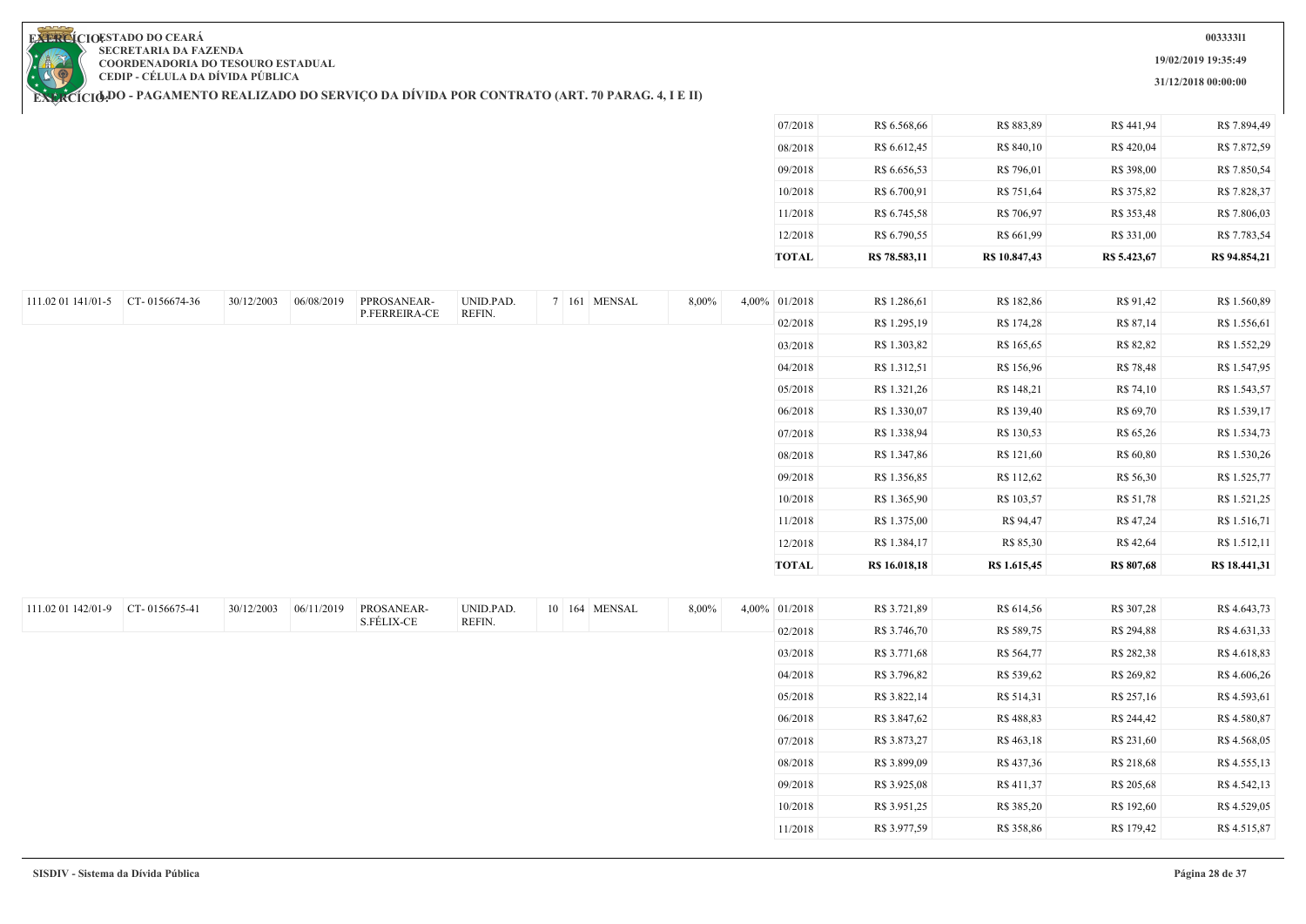**19/02/2019 19:35:49**

**31/12/2018 00:00:00**

**EXERCIOESTADO DO CEARA SECRETARIA DA FAZENDA COORDENADORIA DO TESOURO ESTADUAL CEDIP - CÉLULA DA DÍVIDA PÚBLICA**

| 08/2018<br>R\$ 6.612,45<br>R\$ 840,10<br>R\$ 420,04<br>09/2018<br>R\$ 6.656,53<br>R\$ 796,01<br>R\$ 398,00<br>10/2018<br>R\$ 6.700,91<br>R\$ 751,64<br>R\$ 375,82<br>11/2018<br>R\$ 706,97<br>R\$ 353,48<br>R\$ 6.745,58<br>12/2018<br>R\$ 6.790,55<br>R\$ 661,99<br>R\$ 331,00<br><b>TOTAL</b><br>R\$ 78.583,11<br>R\$ 10.847,43<br>R\$ 5.423,67<br>30/12/2003<br>06/08/2019<br>UNID.PAD.<br>7 161 MENSAL<br>111.02 01 141/01-5 CT- 0156674-36<br>PPROSANEAR-<br>8,00%<br>4,00% 01/2018<br>R\$ 1.286,61<br>R\$ 182,86<br>R\$ 91,42<br>P.FERREIRA-CE<br>REFIN.<br>02/2018<br>R\$ 1.295,19<br>R\$ 174,28<br>R\$ 87,14<br>R\$ 1.303,82<br>R\$ 82,82<br>03/2018<br>R\$ 165,65<br>04/2018<br>R\$ 1.312,51<br>R\$ 156,96<br>R\$ 78,48<br>05/2018<br>R\$ 148,21<br>R\$ 1.321,26<br>R\$ 74,10<br>R\$ 1.330,07<br>R\$ 139,40<br>R\$ 69,70<br>06/2018<br>R\$ 130,53<br>07/2018<br>R\$ 1.338,94<br>R\$ 65,26<br>08/2018<br>R\$ 121,60<br>R\$ 1.347,86<br>R\$ 60,80<br>09/2018<br>R\$ 112,62<br>R\$ 1.356,85<br>R\$ 56,30<br>10/2018<br>R\$ 1.365,90<br>R\$ 103,57<br>R\$ 51,78<br>R\$ 1.375,00<br>R\$ 94,47<br>R\$ 47,24<br>11/2018<br>12/2018<br>R\$ 1.384,17<br>R\$ 85,30<br>R\$ 42,64<br><b>TOTAL</b><br>R\$ 16.018,18<br>R\$ 1.615,45<br><b>R\$ 807,68</b><br>30/12/2003<br>06/11/2019<br>PROSANEAR-<br>UNID.PAD.<br>CT-0156675-41<br>10 164 MENSAL<br>8,00%<br>4,00% 01/2018<br>R\$ 3.721,89<br>R\$ 614,56<br>R\$ 307,28<br>S.FÉLIX-CE<br>REFIN.<br>02/2018<br>R\$ 3.746,70<br>R\$ 589,75<br>R\$ 294,88<br>03/2018<br>R\$ 3.771,68<br>R\$ 564,77<br>R\$ 282,38<br>04/2018<br>R\$ 3.796,82<br>R\$ 539,62<br>R\$ 269,82<br>05/2018<br>R\$ 3.822,14<br>R\$ 514,31<br>R\$ 257,16<br>06/2018<br>R\$ 3.847,62<br>R\$488,83<br>R\$ 244,42<br>07/2018<br>R\$ 3.873,27<br>R\$ 463,18<br>R\$ 231,60<br>08/2018<br>R\$ 3.899,09<br>R\$ 437,36<br>R\$ 218,68<br>09/2018<br>R\$ 411,37<br>R\$ 3.925,08<br>R\$ 205,68<br>R\$ 3.951,25<br>R\$ 385,20<br>R\$ 192,60<br>10/2018<br>11/2018<br>R\$ 3.977,59<br>R\$ 358,86<br>R\$ 179,42 |                    |  |  |  |  | 07/2018 | R\$ 6.568,66 | R\$ 883,89 | R\$441,94 | R\$ 7.894,49  |
|------------------------------------------------------------------------------------------------------------------------------------------------------------------------------------------------------------------------------------------------------------------------------------------------------------------------------------------------------------------------------------------------------------------------------------------------------------------------------------------------------------------------------------------------------------------------------------------------------------------------------------------------------------------------------------------------------------------------------------------------------------------------------------------------------------------------------------------------------------------------------------------------------------------------------------------------------------------------------------------------------------------------------------------------------------------------------------------------------------------------------------------------------------------------------------------------------------------------------------------------------------------------------------------------------------------------------------------------------------------------------------------------------------------------------------------------------------------------------------------------------------------------------------------------------------------------------------------------------------------------------------------------------------------------------------------------------------------------------------------------------------------------------------------------------------------------------------------------------------------------------------------------------------------------------------------------------------------------------------------------------------------|--------------------|--|--|--|--|---------|--------------|------------|-----------|---------------|
|                                                                                                                                                                                                                                                                                                                                                                                                                                                                                                                                                                                                                                                                                                                                                                                                                                                                                                                                                                                                                                                                                                                                                                                                                                                                                                                                                                                                                                                                                                                                                                                                                                                                                                                                                                                                                                                                                                                                                                                                                  |                    |  |  |  |  |         |              |            |           | R\$ 7.872,59  |
|                                                                                                                                                                                                                                                                                                                                                                                                                                                                                                                                                                                                                                                                                                                                                                                                                                                                                                                                                                                                                                                                                                                                                                                                                                                                                                                                                                                                                                                                                                                                                                                                                                                                                                                                                                                                                                                                                                                                                                                                                  |                    |  |  |  |  |         |              |            |           | R\$ 7.850,54  |
|                                                                                                                                                                                                                                                                                                                                                                                                                                                                                                                                                                                                                                                                                                                                                                                                                                                                                                                                                                                                                                                                                                                                                                                                                                                                                                                                                                                                                                                                                                                                                                                                                                                                                                                                                                                                                                                                                                                                                                                                                  |                    |  |  |  |  |         |              |            |           | R\$ 7.828,37  |
|                                                                                                                                                                                                                                                                                                                                                                                                                                                                                                                                                                                                                                                                                                                                                                                                                                                                                                                                                                                                                                                                                                                                                                                                                                                                                                                                                                                                                                                                                                                                                                                                                                                                                                                                                                                                                                                                                                                                                                                                                  |                    |  |  |  |  |         |              |            |           | R\$ 7.806,03  |
|                                                                                                                                                                                                                                                                                                                                                                                                                                                                                                                                                                                                                                                                                                                                                                                                                                                                                                                                                                                                                                                                                                                                                                                                                                                                                                                                                                                                                                                                                                                                                                                                                                                                                                                                                                                                                                                                                                                                                                                                                  |                    |  |  |  |  |         |              |            |           | R\$ 7.783,54  |
|                                                                                                                                                                                                                                                                                                                                                                                                                                                                                                                                                                                                                                                                                                                                                                                                                                                                                                                                                                                                                                                                                                                                                                                                                                                                                                                                                                                                                                                                                                                                                                                                                                                                                                                                                                                                                                                                                                                                                                                                                  |                    |  |  |  |  |         |              |            |           | R\$ 94.854,21 |
|                                                                                                                                                                                                                                                                                                                                                                                                                                                                                                                                                                                                                                                                                                                                                                                                                                                                                                                                                                                                                                                                                                                                                                                                                                                                                                                                                                                                                                                                                                                                                                                                                                                                                                                                                                                                                                                                                                                                                                                                                  |                    |  |  |  |  |         |              |            |           |               |
|                                                                                                                                                                                                                                                                                                                                                                                                                                                                                                                                                                                                                                                                                                                                                                                                                                                                                                                                                                                                                                                                                                                                                                                                                                                                                                                                                                                                                                                                                                                                                                                                                                                                                                                                                                                                                                                                                                                                                                                                                  |                    |  |  |  |  |         |              |            |           | R\$ 1.560,89  |
|                                                                                                                                                                                                                                                                                                                                                                                                                                                                                                                                                                                                                                                                                                                                                                                                                                                                                                                                                                                                                                                                                                                                                                                                                                                                                                                                                                                                                                                                                                                                                                                                                                                                                                                                                                                                                                                                                                                                                                                                                  |                    |  |  |  |  |         |              |            |           | R\$ 1.556,61  |
|                                                                                                                                                                                                                                                                                                                                                                                                                                                                                                                                                                                                                                                                                                                                                                                                                                                                                                                                                                                                                                                                                                                                                                                                                                                                                                                                                                                                                                                                                                                                                                                                                                                                                                                                                                                                                                                                                                                                                                                                                  |                    |  |  |  |  |         |              |            |           | R\$ 1.552,29  |
|                                                                                                                                                                                                                                                                                                                                                                                                                                                                                                                                                                                                                                                                                                                                                                                                                                                                                                                                                                                                                                                                                                                                                                                                                                                                                                                                                                                                                                                                                                                                                                                                                                                                                                                                                                                                                                                                                                                                                                                                                  |                    |  |  |  |  |         |              |            |           | R\$ 1.547,95  |
|                                                                                                                                                                                                                                                                                                                                                                                                                                                                                                                                                                                                                                                                                                                                                                                                                                                                                                                                                                                                                                                                                                                                                                                                                                                                                                                                                                                                                                                                                                                                                                                                                                                                                                                                                                                                                                                                                                                                                                                                                  |                    |  |  |  |  |         |              |            |           | R\$ 1.543,57  |
|                                                                                                                                                                                                                                                                                                                                                                                                                                                                                                                                                                                                                                                                                                                                                                                                                                                                                                                                                                                                                                                                                                                                                                                                                                                                                                                                                                                                                                                                                                                                                                                                                                                                                                                                                                                                                                                                                                                                                                                                                  |                    |  |  |  |  |         |              |            |           | R\$ 1.539,17  |
|                                                                                                                                                                                                                                                                                                                                                                                                                                                                                                                                                                                                                                                                                                                                                                                                                                                                                                                                                                                                                                                                                                                                                                                                                                                                                                                                                                                                                                                                                                                                                                                                                                                                                                                                                                                                                                                                                                                                                                                                                  |                    |  |  |  |  |         |              |            |           | R\$ 1.534,73  |
|                                                                                                                                                                                                                                                                                                                                                                                                                                                                                                                                                                                                                                                                                                                                                                                                                                                                                                                                                                                                                                                                                                                                                                                                                                                                                                                                                                                                                                                                                                                                                                                                                                                                                                                                                                                                                                                                                                                                                                                                                  |                    |  |  |  |  |         |              |            |           | R\$ 1.530,26  |
|                                                                                                                                                                                                                                                                                                                                                                                                                                                                                                                                                                                                                                                                                                                                                                                                                                                                                                                                                                                                                                                                                                                                                                                                                                                                                                                                                                                                                                                                                                                                                                                                                                                                                                                                                                                                                                                                                                                                                                                                                  |                    |  |  |  |  |         |              |            |           | R\$ 1.525,77  |
|                                                                                                                                                                                                                                                                                                                                                                                                                                                                                                                                                                                                                                                                                                                                                                                                                                                                                                                                                                                                                                                                                                                                                                                                                                                                                                                                                                                                                                                                                                                                                                                                                                                                                                                                                                                                                                                                                                                                                                                                                  |                    |  |  |  |  |         |              |            |           | R\$ 1.521,25  |
|                                                                                                                                                                                                                                                                                                                                                                                                                                                                                                                                                                                                                                                                                                                                                                                                                                                                                                                                                                                                                                                                                                                                                                                                                                                                                                                                                                                                                                                                                                                                                                                                                                                                                                                                                                                                                                                                                                                                                                                                                  |                    |  |  |  |  |         |              |            |           | R\$ 1.516,71  |
|                                                                                                                                                                                                                                                                                                                                                                                                                                                                                                                                                                                                                                                                                                                                                                                                                                                                                                                                                                                                                                                                                                                                                                                                                                                                                                                                                                                                                                                                                                                                                                                                                                                                                                                                                                                                                                                                                                                                                                                                                  |                    |  |  |  |  |         |              |            |           | R\$ 1.512,11  |
|                                                                                                                                                                                                                                                                                                                                                                                                                                                                                                                                                                                                                                                                                                                                                                                                                                                                                                                                                                                                                                                                                                                                                                                                                                                                                                                                                                                                                                                                                                                                                                                                                                                                                                                                                                                                                                                                                                                                                                                                                  |                    |  |  |  |  |         |              |            |           | R\$ 18.441,31 |
|                                                                                                                                                                                                                                                                                                                                                                                                                                                                                                                                                                                                                                                                                                                                                                                                                                                                                                                                                                                                                                                                                                                                                                                                                                                                                                                                                                                                                                                                                                                                                                                                                                                                                                                                                                                                                                                                                                                                                                                                                  |                    |  |  |  |  |         |              |            |           |               |
|                                                                                                                                                                                                                                                                                                                                                                                                                                                                                                                                                                                                                                                                                                                                                                                                                                                                                                                                                                                                                                                                                                                                                                                                                                                                                                                                                                                                                                                                                                                                                                                                                                                                                                                                                                                                                                                                                                                                                                                                                  | 111.02 01 142/01-9 |  |  |  |  |         |              |            |           | R\$ 4.643,73  |
|                                                                                                                                                                                                                                                                                                                                                                                                                                                                                                                                                                                                                                                                                                                                                                                                                                                                                                                                                                                                                                                                                                                                                                                                                                                                                                                                                                                                                                                                                                                                                                                                                                                                                                                                                                                                                                                                                                                                                                                                                  |                    |  |  |  |  |         |              |            |           | R\$4.631,33   |
|                                                                                                                                                                                                                                                                                                                                                                                                                                                                                                                                                                                                                                                                                                                                                                                                                                                                                                                                                                                                                                                                                                                                                                                                                                                                                                                                                                                                                                                                                                                                                                                                                                                                                                                                                                                                                                                                                                                                                                                                                  |                    |  |  |  |  |         |              |            |           | R\$ 4.618,83  |
|                                                                                                                                                                                                                                                                                                                                                                                                                                                                                                                                                                                                                                                                                                                                                                                                                                                                                                                                                                                                                                                                                                                                                                                                                                                                                                                                                                                                                                                                                                                                                                                                                                                                                                                                                                                                                                                                                                                                                                                                                  |                    |  |  |  |  |         |              |            |           | R\$4.606,26   |
|                                                                                                                                                                                                                                                                                                                                                                                                                                                                                                                                                                                                                                                                                                                                                                                                                                                                                                                                                                                                                                                                                                                                                                                                                                                                                                                                                                                                                                                                                                                                                                                                                                                                                                                                                                                                                                                                                                                                                                                                                  |                    |  |  |  |  |         |              |            |           | R\$ 4.593,61  |
|                                                                                                                                                                                                                                                                                                                                                                                                                                                                                                                                                                                                                                                                                                                                                                                                                                                                                                                                                                                                                                                                                                                                                                                                                                                                                                                                                                                                                                                                                                                                                                                                                                                                                                                                                                                                                                                                                                                                                                                                                  |                    |  |  |  |  |         |              |            |           | R\$ 4.580,87  |
|                                                                                                                                                                                                                                                                                                                                                                                                                                                                                                                                                                                                                                                                                                                                                                                                                                                                                                                                                                                                                                                                                                                                                                                                                                                                                                                                                                                                                                                                                                                                                                                                                                                                                                                                                                                                                                                                                                                                                                                                                  |                    |  |  |  |  |         |              |            |           | R\$ 4.568,05  |
|                                                                                                                                                                                                                                                                                                                                                                                                                                                                                                                                                                                                                                                                                                                                                                                                                                                                                                                                                                                                                                                                                                                                                                                                                                                                                                                                                                                                                                                                                                                                                                                                                                                                                                                                                                                                                                                                                                                                                                                                                  |                    |  |  |  |  |         |              |            |           | R\$ 4.555,13  |
|                                                                                                                                                                                                                                                                                                                                                                                                                                                                                                                                                                                                                                                                                                                                                                                                                                                                                                                                                                                                                                                                                                                                                                                                                                                                                                                                                                                                                                                                                                                                                                                                                                                                                                                                                                                                                                                                                                                                                                                                                  |                    |  |  |  |  |         |              |            |           | R\$ 4.542,13  |
|                                                                                                                                                                                                                                                                                                                                                                                                                                                                                                                                                                                                                                                                                                                                                                                                                                                                                                                                                                                                                                                                                                                                                                                                                                                                                                                                                                                                                                                                                                                                                                                                                                                                                                                                                                                                                                                                                                                                                                                                                  |                    |  |  |  |  |         |              |            |           | R\$ 4.529,05  |
|                                                                                                                                                                                                                                                                                                                                                                                                                                                                                                                                                                                                                                                                                                                                                                                                                                                                                                                                                                                                                                                                                                                                                                                                                                                                                                                                                                                                                                                                                                                                                                                                                                                                                                                                                                                                                                                                                                                                                                                                                  |                    |  |  |  |  |         |              |            |           | R\$ 4.515,87  |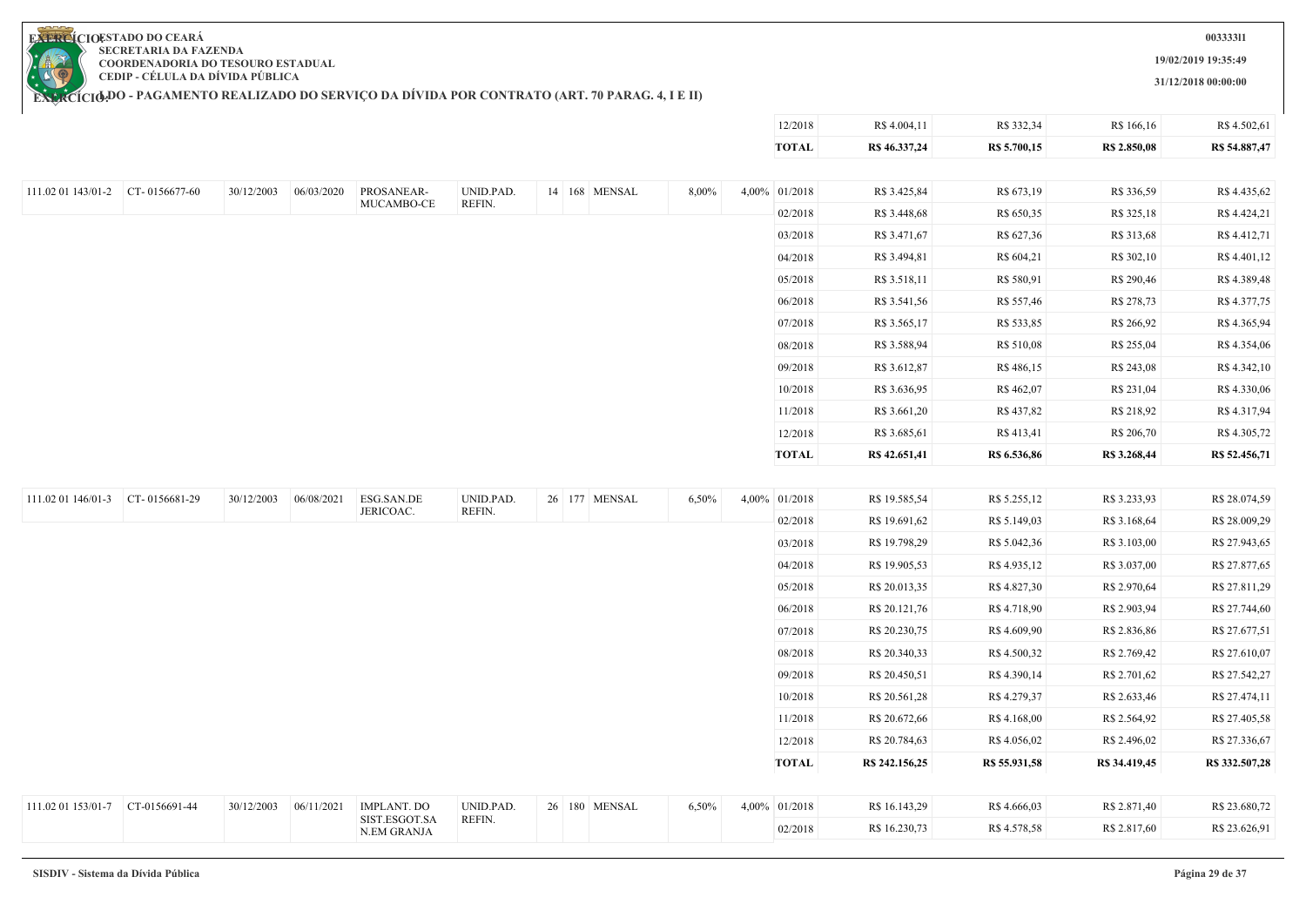

**19/02/2019 19:35:49**

**31/12/2018 00:00:00**

12/2018 R\$ 4.004,11 R\$ 332,34 R\$ 166,16 R\$ 4.502,61

**EXERCIOESTADO DO CEARA SECRETARIA DA FAZENDA COORDENADORIA DO TESOURO ESTADUAL CEDIP - CÉLULA DA DÍVIDA PÚBLICA**

|                                           |            |            |                              |                     |               |       | <b>TOTAL</b>  | R\$ 46.337,24  | R\$ 5.700,15  | R\$ 2.850,08  | R\$ 54.887,47  |
|-------------------------------------------|------------|------------|------------------------------|---------------------|---------------|-------|---------------|----------------|---------------|---------------|----------------|
|                                           |            |            |                              |                     |               |       |               |                |               |               |                |
| 111.02 01 143/01-2 $\vert$ CT- 0156677-60 | 30/12/2003 | 06/03/2020 | PROSANEAR-<br>MUCAMBO-CE     | UNID.PAD.<br>REFIN. | 14 168 MENSAL | 8,00% | 4,00% 01/2018 | R\$ 3.425,84   | R\$ 673,19    | R\$ 336,59    | R\$ 4.435,62   |
|                                           |            |            |                              |                     |               |       | 02/2018       | R\$ 3.448,68   | R\$ 650,35    | R\$ 325,18    | R\$ 4.424,21   |
|                                           |            |            |                              |                     |               |       | 03/2018       | R\$ 3.471,67   | R\$ 627,36    | R\$ 313,68    | R\$ 4.412,71   |
|                                           |            |            |                              |                     |               |       | 04/2018       | R\$ 3.494,81   | R\$ 604,21    | R\$ 302,10    | R\$4.401,12    |
|                                           |            |            |                              |                     |               |       | 05/2018       | R\$ 3.518,11   | R\$ 580,91    | R\$ 290,46    | R\$4.389,48    |
|                                           |            |            |                              |                     |               |       | 06/2018       | R\$ 3.541,56   | R\$ 557,46    | R\$ 278,73    | R\$4.377,75    |
|                                           |            |            |                              |                     |               |       | 07/2018       | R\$ 3.565,17   | R\$ 533,85    | R\$ 266,92    | R\$4.365,94    |
|                                           |            |            |                              |                     |               |       | 08/2018       | R\$ 3.588,94   | R\$ 510,08    | R\$ 255,04    | R\$ 4.354,06   |
|                                           |            |            |                              |                     |               |       | 09/2018       | R\$ 3.612,87   | R\$486,15     | R\$ 243,08    | R\$ 4.342,10   |
|                                           |            |            |                              |                     |               |       | 10/2018       | R\$ 3.636,95   | R\$462,07     | R\$ 231,04    | R\$4.330,06    |
|                                           |            |            |                              |                     |               |       | 11/2018       | R\$ 3.661,20   | R\$437,82     | R\$ 218,92    | R\$4.317,94    |
|                                           |            |            |                              |                     |               |       | 12/2018       | R\$ 3.685,61   | R\$ 413,41    | R\$ 206,70    | R\$4.305,72    |
|                                           |            |            |                              |                     |               |       | <b>TOTAL</b>  | R\$ 42.651,41  | R\$ 6.536,86  | R\$ 3.268,44  | R\$ 52.456,71  |
|                                           |            |            |                              |                     |               |       |               |                |               |               |                |
| 111.02 01 146/01-3 CT-0156681-29          | 30/12/2003 | 06/08/2021 | ESG.SAN.DE                   | UNID.PAD.           | 26 177 MENSAL | 6,50% | 4,00% 01/2018 | R\$ 19.585,54  | R\$ 5.255,12  | R\$ 3.233,93  | R\$ 28.074,59  |
|                                           |            |            | JERICOAC.                    | REFIN.              |               |       | 02/2018       | R\$ 19.691,62  | R\$ 5.149,03  | R\$ 3.168,64  | R\$ 28.009,29  |
|                                           |            |            |                              |                     |               |       | 03/2018       | R\$ 19.798,29  | R\$ 5.042,36  | R\$ 3.103,00  | R\$ 27.943,65  |
|                                           |            |            |                              |                     |               |       | 04/2018       | R\$ 19.905,53  | R\$4.935,12   | R\$ 3.037,00  | R\$ 27.877,65  |
|                                           |            |            |                              |                     |               |       | 05/2018       | R\$ 20.013,35  | R\$4.827,30   | R\$ 2.970,64  | R\$ 27.811,29  |
|                                           |            |            |                              |                     |               |       | 06/2018       | R\$ 20.121,76  | R\$4.718,90   | R\$ 2.903,94  | R\$ 27.744,60  |
|                                           |            |            |                              |                     |               |       | 07/2018       | R\$ 20.230,75  | R\$4.609,90   | R\$ 2.836,86  | R\$ 27.677,51  |
|                                           |            |            |                              |                     |               |       | 08/2018       | R\$ 20.340,33  | R\$4.500,32   | R\$ 2.769,42  | R\$ 27.610,07  |
|                                           |            |            |                              |                     |               |       | 09/2018       | R\$ 20.450,51  | R\$4.390,14   | R\$ 2.701,62  | R\$ 27.542,27  |
|                                           |            |            |                              |                     |               |       | 10/2018       | R\$ 20.561,28  | R\$4.279,37   | R\$ 2.633,46  | R\$ 27.474,11  |
|                                           |            |            |                              |                     |               |       | 11/2018       | R\$ 20.672,66  | R\$4.168,00   | R\$ 2.564,92  | R\$ 27.405,58  |
|                                           |            |            |                              |                     |               |       | 12/2018       | R\$ 20.784,63  | R\$4.056,02   | R\$ 2.496,02  | R\$ 27.336,67  |
|                                           |            |            |                              |                     |               |       | TOTAL         | R\$ 242.156,25 | R\$ 55.931,58 | R\$ 34.419,45 | R\$ 332.507,28 |
| 111.02 01 153/01-7 CT-0156691-44          | 30/12/2003 | 06/11/2021 | <b>IMPLANT. DO</b>           | UNID.PAD.           | 26 180 MENSAL | 6,50% | 4,00% 01/2018 | R\$ 16.143,29  | R\$4.666,03   | R\$ 2.871,40  | R\$ 23.680,72  |
|                                           |            |            | SIST.ESGOT.SA<br>N.EM GRANJA | REFIN.              |               |       | 02/2018       | R\$ 16.230,73  | R\$ 4.578,58  | R\$ 2.817,60  | R\$ 23.626,91  |
|                                           |            |            |                              |                     |               |       |               |                |               |               |                |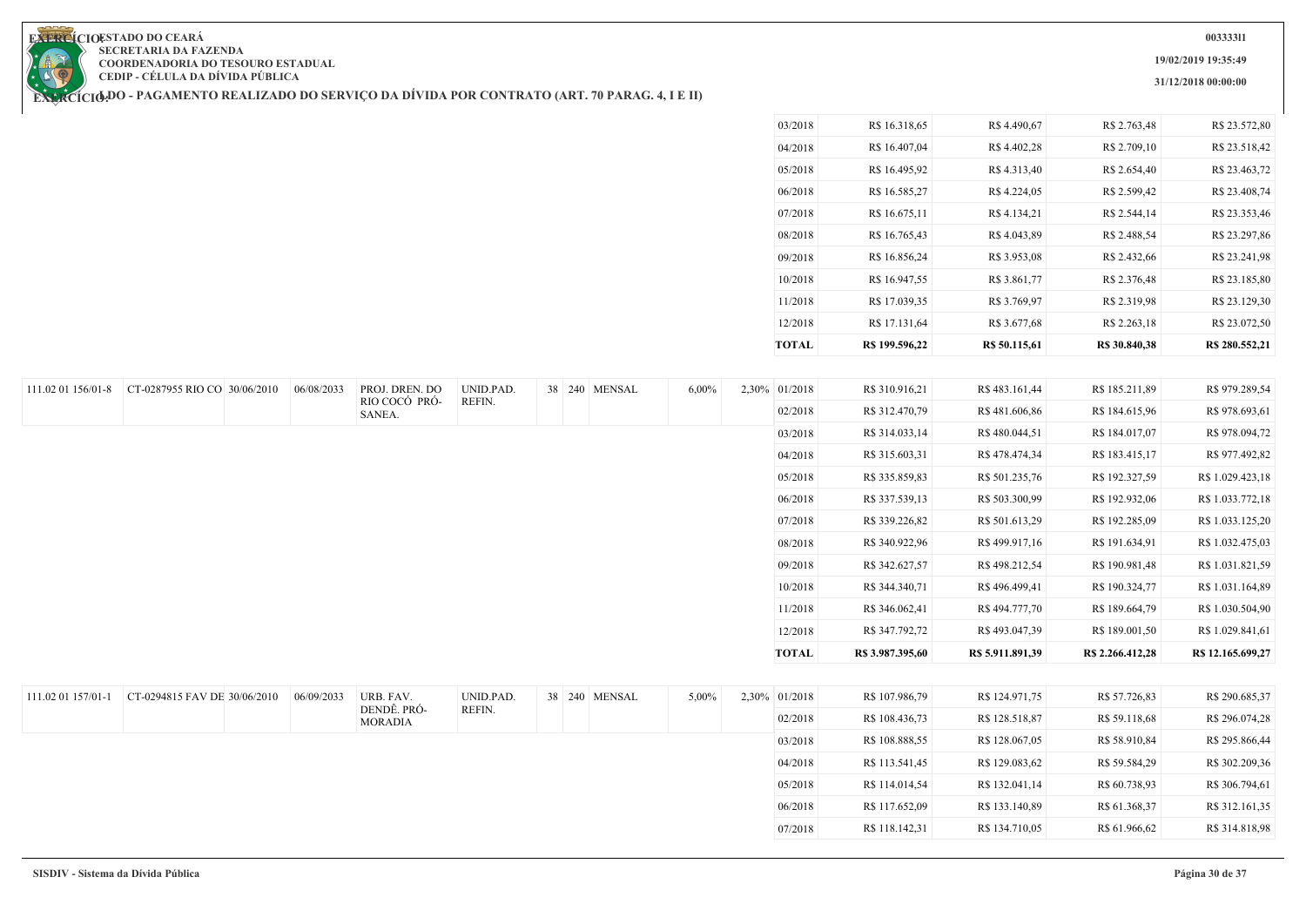**19/02/2019 19:35:49**

**31/12/2018 00:00:00**

**EXERCIOESTADO DO CEARA SECRETARIA DA FAZENDA COORDENADORIA DO TESOURO ESTADUAL CEDIP - CÉLULA DA DÍVIDA PÚBLICA**

| TOTAL   | R\$ 199.596,22 | R\$ 50.115,61 | R\$ 30.840,38 | R\$ 280.552,21 |
|---------|----------------|---------------|---------------|----------------|
| 12/2018 | R\$ 17.131,64  | R\$ 3.677,68  | R\$ 2.263,18  | R\$ 23.072,50  |
| 11/2018 | R\$ 17.039,35  | R\$ 3.769,97  | R\$ 2.319,98  | R\$ 23.129,30  |
| 10/2018 | R\$ 16.947,55  | R\$ 3.861,77  | R\$ 2.376,48  | R\$ 23.185,80  |
| 09/2018 | R\$ 16.856,24  | R\$ 3.953,08  | R\$ 2.432,66  | R\$ 23.241,98  |
| 08/2018 | R\$ 16.765,43  | R\$4.043,89   | R\$ 2.488,54  | R\$ 23.297,86  |
| 07/2018 | R\$ 16.675,11  | R\$4.134,21   | R\$ 2.544,14  | R\$ 23.353,46  |
| 06/2018 | R\$ 16.585,27  | R\$4.224,05   | R\$ 2.599,42  | R\$ 23.408,74  |
| 05/2018 | R\$ 16.495,92  | R\$4.313,40   | R\$ 2.654,40  | R\$ 23.463,72  |
| 04/2018 | R\$ 16.407,04  | R\$4.402,28   | R\$ 2.709,10  | R\$ 23.518,42  |
| 03/2018 | R\$ 16.318,65  | R\$4.490,67   | R\$ 2.763,48  | R\$ 23.572,80  |

|                    | 111.02 01 156/01-8 CT-0287955 RIO CO 30/06/2010 | 06/08/2033 | PROJ. DREN. DO                | UNID.PAD. |  | 38 240 MENSAL<br>$6,00\%$ | 2,30% 01/2018 | R\$ 310.916,21   | R\$ 483.161,44   | R\$ 185.211,89   | R\$ 979.289,54    |
|--------------------|-------------------------------------------------|------------|-------------------------------|-----------|--|---------------------------|---------------|------------------|------------------|------------------|-------------------|
|                    |                                                 |            | RIO COCÓ PRÓ-<br>SANEA.       | REFIN.    |  |                           | 02/2018       | R\$ 312.470,79   | R\$481.606,86    | R\$ 184.615,96   | R\$ 978.693,61    |
|                    |                                                 |            |                               |           |  |                           | 03/2018       | R\$ 314.033,14   | R\$480.044,51    | R\$ 184.017,07   | R\$ 978.094,72    |
|                    |                                                 |            |                               |           |  |                           | 04/2018       | R\$ 315.603,31   | R\$478.474,34    | R\$ 183.415,17   | R\$ 977.492,82    |
|                    |                                                 |            |                               |           |  |                           | 05/2018       | R\$ 335.859,83   | R\$ 501.235,76   | R\$ 192.327,59   | R\$ 1.029.423,18  |
|                    |                                                 |            |                               |           |  |                           | 06/2018       | R\$ 337.539,13   | R\$ 503.300,99   | R\$ 192.932,06   | R\$ 1.033.772,18  |
|                    |                                                 |            |                               |           |  |                           | 07/2018       | R\$ 339.226,82   | R\$ 501.613,29   | R\$ 192.285,09   | R\$ 1.033.125,20  |
|                    |                                                 |            |                               |           |  |                           | 08/2018       | R\$ 340.922,96   | R\$499.917,16    | R\$ 191.634,91   | R\$ 1.032.475,03  |
|                    |                                                 |            |                               |           |  |                           | 09/2018       | R\$ 342.627,57   | R\$498.212,54    | R\$ 190.981,48   | R\$ 1.031.821,59  |
|                    |                                                 |            |                               |           |  |                           | 10/2018       | R\$ 344.340,71   | R\$496.499,41    | R\$ 190.324,77   | R\$ 1.031.164,89  |
|                    |                                                 |            |                               |           |  |                           | 11/2018       | R\$ 346.062,41   | R\$494.777,70    | R\$ 189.664,79   | R\$ 1.030.504,90  |
|                    |                                                 |            |                               |           |  |                           | 12/2018       | R\$ 347.792,72   | R\$493.047,39    | R\$ 189.001,50   | R\$ 1.029.841,61  |
|                    |                                                 |            |                               |           |  |                           | <b>TOTAL</b>  | R\$ 3.987.395,60 | R\$ 5.911.891,39 | R\$ 2.266.412,28 | R\$ 12.165.699,27 |
|                    |                                                 |            |                               |           |  |                           |               |                  |                  |                  |                   |
| 111.02 01 157/01-1 | CT-0294815 FAV DE 30/06/2010                    | 06/09/2033 | URB. FAV.                     | UNID.PAD. |  | 5,00%<br>38 240 MENSAL    | 2,30% 01/2018 | R\$ 107.986,79   | R\$ 124.971,75   | R\$ 57.726,83    | R\$ 290.685,37    |
|                    |                                                 |            | DENDÊ. PRÓ-<br><b>MORADIA</b> | REFIN.    |  |                           | 02/2018       | R\$ 108.436,73   | R\$ 128.518,87   | R\$ 59.118,68    | R\$ 296.074,28    |
|                    |                                                 |            |                               |           |  |                           | 03/2018       | R\$ 108.888,55   | R\$ 128.067,05   | R\$ 58.910,84    | R\$ 295.866,44    |
|                    |                                                 |            |                               |           |  |                           | 04/2018       | R\$ 113.541,45   | R\$ 129.083,62   | R\$ 59.584,29    | R\$ 302.209,36    |
|                    |                                                 |            |                               |           |  |                           | 05/2018       | R\$ 114.014,54   | R\$ 132.041,14   | R\$ 60.738,93    | R\$ 306.794,61    |
|                    |                                                 |            |                               |           |  |                           | 06/2018       | R\$ 117.652,09   | R\$ 133.140,89   | R\$ 61.368,37    | R\$ 312.161,35    |
|                    |                                                 |            |                               |           |  |                           | 07/2018       | R\$ 118.142,31   | R\$ 134.710,05   | R\$ 61.966,62    | R\$ 314.818,98    |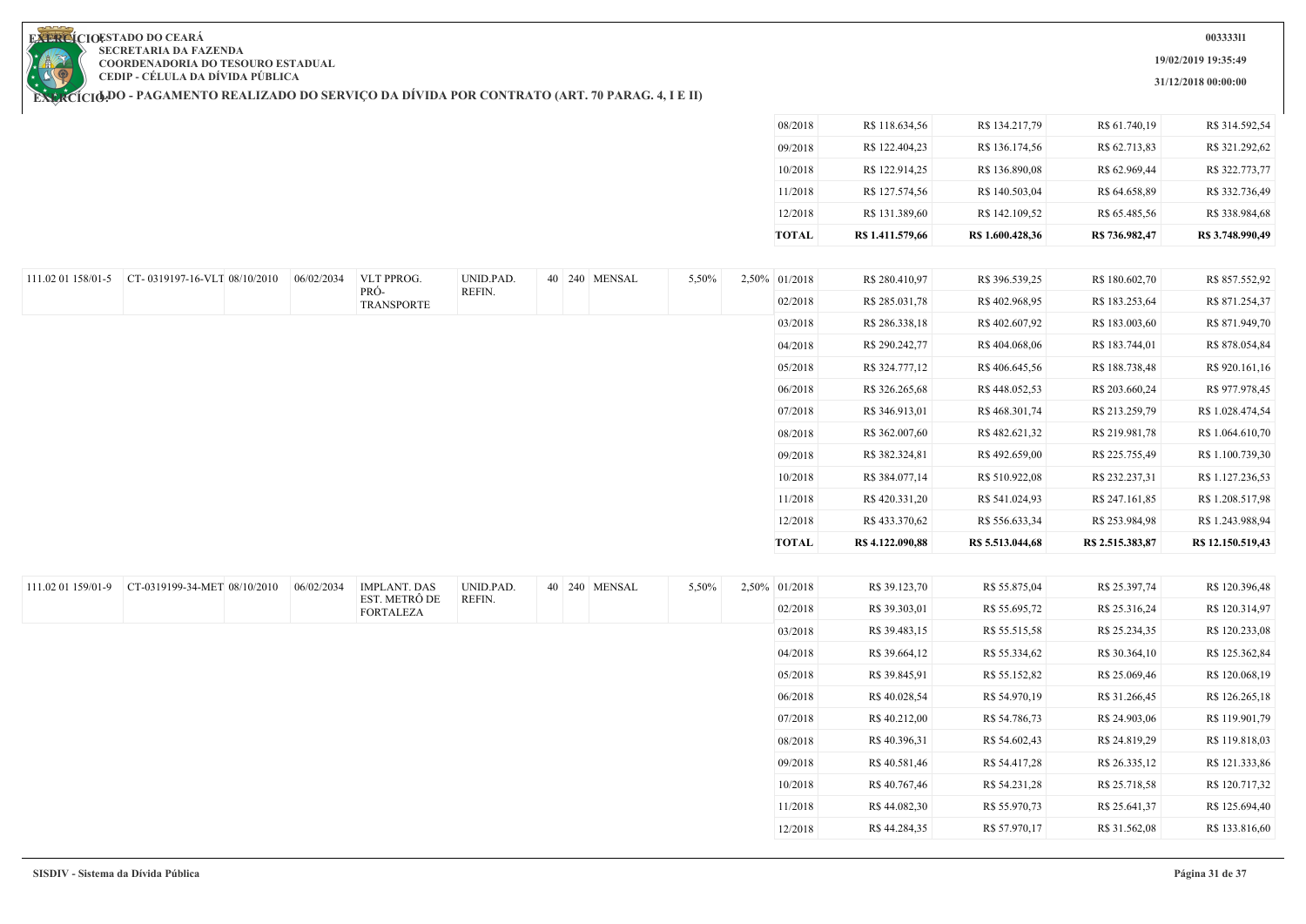**19/02/2019 19:35:49**

**31/12/2018 00:00:00**

**EXERCIOESTADO DO CEARA SECRETARIA DA FAZENDA COORDENADORIA DO TESOURO ESTADUAL CEDIP - CÉLULA DA DÍVIDA PÚBLICA**

|                    |                                                 |            |                                   |           |               |       | 08/2018       | R\$ 118.634,56   | R\$ 134.217,79   | R\$ 61.740,19    | R\$ 314.592,54    |
|--------------------|-------------------------------------------------|------------|-----------------------------------|-----------|---------------|-------|---------------|------------------|------------------|------------------|-------------------|
|                    |                                                 |            |                                   |           |               |       | 09/2018       | R\$ 122.404,23   | R\$ 136.174,56   | R\$ 62.713,83    | R\$ 321.292,62    |
|                    |                                                 |            |                                   |           |               |       | 10/2018       | R\$ 122.914,25   | R\$ 136.890,08   | R\$ 62.969,44    | R\$ 322.773,77    |
|                    |                                                 |            |                                   |           |               |       | 11/2018       | R\$ 127.574,56   | R\$ 140.503,04   | R\$ 64.658,89    | R\$ 332.736,49    |
|                    |                                                 |            |                                   |           |               |       | 12/2018       | R\$ 131.389,60   | R\$ 142.109,52   | R\$ 65.485,56    | R\$ 338.984,68    |
|                    |                                                 |            |                                   |           |               |       | <b>TOTAL</b>  | R\$ 1.411.579,66 | R\$ 1.600.428,36 | R\$ 736.982,47   | R\$ 3.748.990,49  |
|                    |                                                 |            |                                   |           |               |       |               |                  |                  |                  |                   |
|                    | 111.02 01 158/01-5 CT-0319197-16-VLT 08/10/2010 | 06/02/2034 | VLT PPROG.                        | UNID.PAD. | 40 240 MENSAL | 5,50% | 2,50% 01/2018 | R\$ 280.410,97   | R\$ 396.539,25   | R\$ 180.602,70   | R\$ 857.552,92    |
|                    |                                                 |            | PRÓ-<br><b>TRANSPORTE</b>         | REFIN.    |               |       | 02/2018       | R\$ 285.031,78   | R\$402.968,95    | R\$ 183.253,64   | R\$ 871.254,37    |
|                    |                                                 |            |                                   |           |               |       | 03/2018       | R\$ 286.338,18   | R\$402.607,92    | R\$ 183.003,60   | R\$ 871.949,70    |
|                    |                                                 |            |                                   |           |               |       | 04/2018       | R\$ 290.242,77   | R\$404.068,06    | R\$ 183.744,01   | R\$ 878.054,84    |
|                    |                                                 |            |                                   |           |               |       | 05/2018       | R\$ 324.777,12   | R\$406.645,56    | R\$ 188.738,48   | R\$ 920.161,16    |
|                    |                                                 |            |                                   |           |               |       | 06/2018       | R\$ 326.265,68   | R\$448.052,53    | R\$ 203.660,24   | R\$ 977.978,45    |
|                    |                                                 |            |                                   |           |               |       | 07/2018       | R\$ 346.913,01   | R\$468.301,74    | R\$ 213.259,79   | R\$ 1.028.474,54  |
|                    |                                                 |            |                                   |           |               |       | 08/2018       | R\$ 362.007,60   | R\$482.621,32    | R\$ 219.981,78   | R\$ 1.064.610,70  |
|                    |                                                 |            |                                   |           |               |       | 09/2018       | R\$ 382.324,81   | R\$492.659,00    | R\$ 225.755,49   | R\$ 1.100.739,30  |
|                    |                                                 |            |                                   |           |               |       | 10/2018       | R\$ 384.077,14   | R\$ 510.922,08   | R\$ 232.237,31   | R\$ 1.127.236,53  |
|                    |                                                 |            |                                   |           |               |       | 11/2018       | R\$420.331,20    | R\$ 541.024,93   | R\$ 247.161,85   | R\$ 1.208.517,98  |
|                    |                                                 |            |                                   |           |               |       |               |                  |                  |                  |                   |
|                    |                                                 |            |                                   |           |               |       | 12/2018       | R\$433.370,62    | R\$ 556.633,34   | R\$ 253.984,98   | R\$ 1.243.988,94  |
|                    |                                                 |            |                                   |           |               |       | <b>TOTAL</b>  | R\$ 4.122.090,88 | R\$ 5.513.044,68 | R\$ 2.515.383,87 | R\$ 12.150.519,43 |
|                    |                                                 |            |                                   |           |               |       |               |                  |                  |                  |                   |
| 111.02 01 159/01-9 | CT-0319199-34-MET 08/10/2010                    | 06/02/2034 | <b>IMPLANT. DAS</b>               | UNID.PAD. | 40 240 MENSAL | 5,50% | 2,50% 01/2018 | R\$ 39.123,70    | R\$ 55.875,04    | R\$ 25.397,74    | R\$ 120.396,48    |
|                    |                                                 |            | EST. METRÔ DE<br><b>FORTALEZA</b> | REFIN.    |               |       | 02/2018       | R\$ 39.303,01    | R\$ 55.695,72    | R\$ 25.316,24    | R\$ 120.314,97    |
|                    |                                                 |            |                                   |           |               |       | 03/2018       | R\$ 39.483,15    | R\$ 55.515,58    | R\$ 25.234,35    | R\$ 120.233,08    |
|                    |                                                 |            |                                   |           |               |       | 04/2018       | R\$ 39.664,12    | R\$ 55.334,62    | R\$ 30.364,10    | R\$ 125.362,84    |
|                    |                                                 |            |                                   |           |               |       | 05/2018       | R\$ 39.845,91    | R\$ 55.152,82    | R\$ 25.069,46    | R\$ 120.068,19    |
|                    |                                                 |            |                                   |           |               |       | 06/2018       | R\$40.028,54     | R\$ 54.970,19    | R\$ 31.266,45    | R\$ 126.265,18    |
|                    |                                                 |            |                                   |           |               |       | 07/2018       | R\$40.212,00     | R\$ 54.786,73    | R\$ 24.903,06    | R\$ 119.901,79    |
|                    |                                                 |            |                                   |           |               |       | 08/2018       | R\$40.396,31     | R\$ 54.602,43    | R\$ 24.819,29    | R\$ 119.818,03    |
|                    |                                                 |            |                                   |           |               |       | 09/2018       | R\$40.581,46     | R\$ 54.417,28    | R\$ 26.335,12    | R\$ 121.333,86    |
|                    |                                                 |            |                                   |           |               |       | 10/2018       | R\$40.767,46     | R\$ 54.231,28    | R\$ 25.718,58    | R\$ 120.717,32    |
|                    |                                                 |            |                                   |           |               |       | 11/2018       | R\$44.082,30     | R\$ 55.970,73    | R\$ 25.641,37    | R\$ 125.694,40    |
|                    |                                                 |            |                                   |           |               |       | 12/2018       | R\$44.284,35     | R\$ 57.970,17    | R\$ 31.562,08    | R\$ 133.816,60    |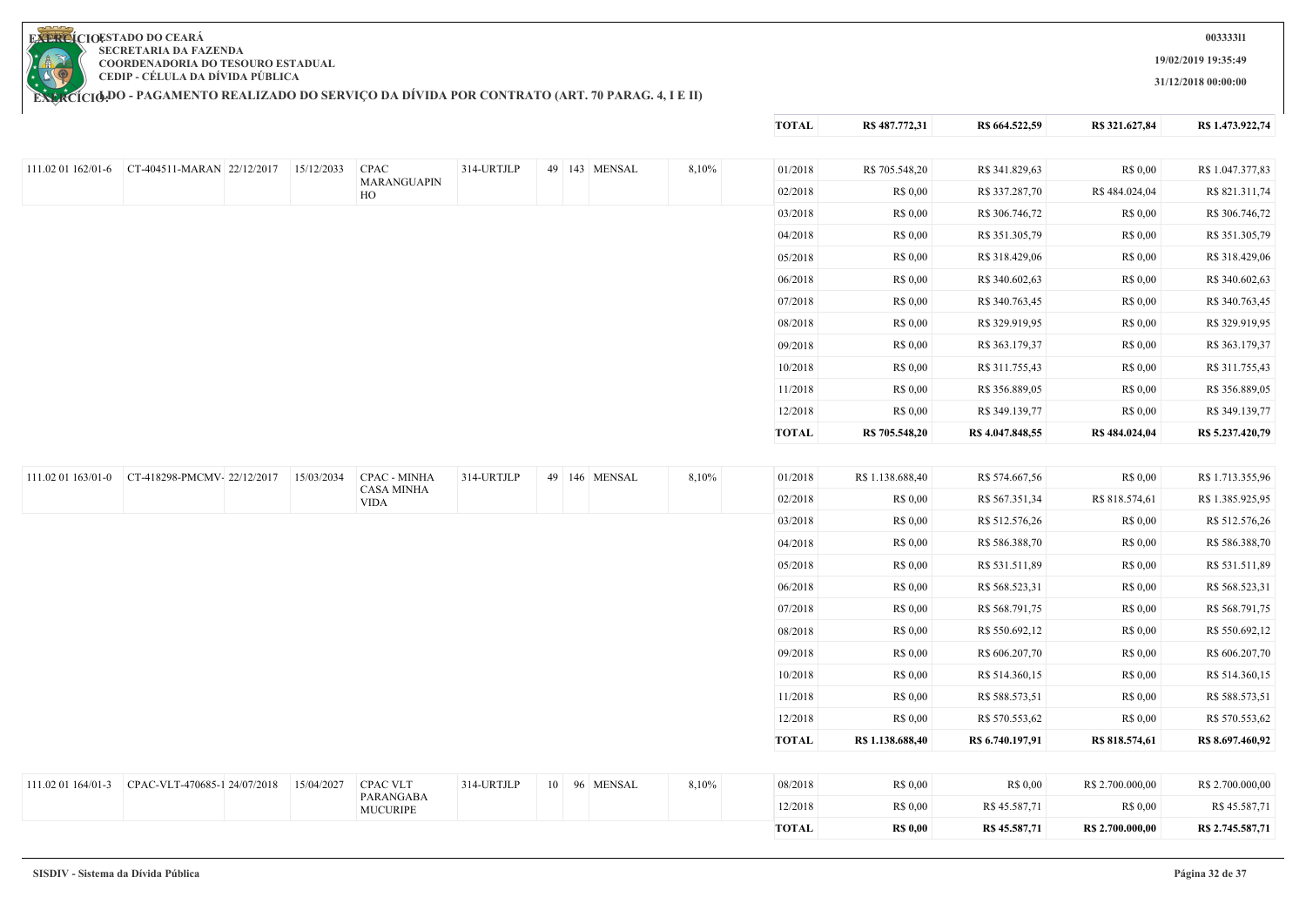**19/02/2019 19:35:49**

**31/12/2018 00:00:00**

**TOTAL R\$ 487.772,31 R\$ 664.522,59 R\$ 321.627,84 R\$ 1.473.922,74**

**COORDENADORIA DO TESOURO ESTADUAL CEDIP - CÉLULA DA DÍVIDA PÚBLICA**

**SECRETARIA DA FAZENDA**

| 111.02 01 162/01-6 | CT-404511-MARAN 22/12/2017   | 15/12/2033 | <b>CPAC</b>                      | 314-URTJLP | 49 143 MENSAL | 8,10% | 01/2018      | R\$ 705.548,20   | R\$ 341.829,63   | R\$ 0,00         | R\$ 1.047.377,83 |
|--------------------|------------------------------|------------|----------------------------------|------------|---------------|-------|--------------|------------------|------------------|------------------|------------------|
|                    |                              |            | MARANGUAPIN<br>HO                |            |               |       | 02/2018      | R\$ 0,00         | R\$ 337.287,70   | R\$484.024,04    | R\$ 821.311,74   |
|                    |                              |            |                                  |            |               |       | 03/2018      | R\$ 0,00         | R\$ 306.746,72   | R\$ 0,00         | R\$ 306.746,72   |
|                    |                              |            |                                  |            |               |       | 04/2018      | R\$ 0,00         | R\$ 351.305,79   | R\$ 0,00         | R\$ 351.305,79   |
|                    |                              |            |                                  |            |               |       | 05/2018      | R\$ 0,00         | R\$ 318.429,06   | R\$ 0,00         | R\$ 318.429,06   |
|                    |                              |            |                                  |            |               |       | 06/2018      | R\$ 0,00         | R\$ 340.602,63   | R\$ 0,00         | R\$ 340.602,63   |
|                    |                              |            |                                  |            |               |       | 07/2018      | R\$ 0,00         | R\$ 340.763,45   | R\$ 0,00         | R\$ 340.763,45   |
|                    |                              |            |                                  |            |               |       | 08/2018      | R\$ 0,00         | R\$ 329.919,95   | R\$ 0,00         | R\$ 329.919,95   |
|                    |                              |            |                                  |            |               |       | 09/2018      | R\$ 0,00         | R\$ 363.179,37   | R\$ 0.00         | R\$ 363.179,37   |
|                    |                              |            |                                  |            |               |       | 10/2018      | R\$ 0,00         | R\$ 311.755,43   | R\$ 0,00         | R\$ 311.755,43   |
|                    |                              |            |                                  |            |               |       | 11/2018      | R\$ 0,00         | R\$ 356.889,05   | R\$ 0,00         | R\$ 356.889,05   |
|                    |                              |            |                                  |            |               |       | 12/2018      | R\$ 0,00         | R\$ 349.139,77   | R\$ 0,00         | R\$ 349.139,77   |
|                    |                              |            |                                  |            |               |       | <b>TOTAL</b> | R\$ 705.548,20   | R\$ 4.047.848,55 | R\$ 484.024,04   | R\$ 5.237.420,79 |
|                    |                              |            |                                  |            |               |       |              |                  |                  |                  |                  |
| 111.02 01 163/01-0 | CT-418298-PMCMV-22/12/2017   | 15/03/2034 | <b>CPAC - MINHA</b>              | 314-URTJLP | 49 146 MENSAL | 8,10% | 01/2018      | R\$ 1.138.688,40 | R\$ 574.667,56   | R\$ 0,00         | R\$ 1.713.355,96 |
|                    |                              |            | <b>CASA MINHA</b><br><b>VIDA</b> |            |               |       | 02/2018      | R\$ 0,00         | R\$ 567.351,34   | R\$ 818.574,61   | R\$ 1.385.925,95 |
|                    |                              |            |                                  |            |               |       | 03/2018      | R\$ 0,00         | R\$ 512.576,26   | R\$ 0,00         | R\$ 512.576,26   |
|                    |                              |            |                                  |            |               |       | 04/2018      | R\$ 0,00         | R\$ 586.388,70   | R\$ 0,00         | R\$ 586.388,70   |
|                    |                              |            |                                  |            |               |       | 05/2018      | R\$ 0,00         | R\$ 531.511,89   | R\$ 0,00         | R\$ 531.511,89   |
|                    |                              |            |                                  |            |               |       | 06/2018      | R\$ 0,00         | R\$ 568.523,31   | R\$ 0,00         | R\$ 568.523,31   |
|                    |                              |            |                                  |            |               |       | 07/2018      | R\$ 0,00         | R\$ 568.791,75   | R\$ 0.00         | R\$ 568.791,75   |
|                    |                              |            |                                  |            |               |       | 08/2018      | R\$ 0,00         | R\$ 550.692,12   | R\$ 0,00         | R\$ 550.692,12   |
|                    |                              |            |                                  |            |               |       | 09/2018      | R\$ 0,00         | R\$ 606.207,70   | R\$ 0,00         | R\$ 606.207,70   |
|                    |                              |            |                                  |            |               |       | 10/2018      | R\$ 0,00         | R\$ 514.360,15   | R\$ 0.00         | R\$ 514.360,15   |
|                    |                              |            |                                  |            |               |       | 11/2018      | R\$ 0,00         | R\$ 588.573,51   | R\$ 0,00         | R\$ 588.573,51   |
|                    |                              |            |                                  |            |               |       | 12/2018      | R\$ 0,00         | R\$ 570.553,62   | R\$ 0,00         | R\$ 570.553,62   |
|                    |                              |            |                                  |            |               |       | <b>TOTAL</b> | R\$ 1.138.688,40 | R\$ 6.740.197,91 | R\$ 818.574,61   | R\$ 8.697.460,92 |
|                    |                              |            |                                  |            |               |       |              |                  |                  |                  |                  |
| 111.02 01 164/01-3 | CPAC-VLT-470685-1 24/07/2018 | 15/04/2027 | <b>CPAC VLT</b>                  | 314-URTJLP | 10 96 MENSAL  | 8,10% | 08/2018      | R\$ 0,00         | R\$ 0.00         | R\$ 2.700.000,00 | R\$ 2.700.000,00 |
|                    |                              |            | PARANGABA<br><b>MUCURIPE</b>     |            |               |       | 12/2018      | R\$ 0,00         | R\$45.587,71     | R\$ 0,00         | R\$45.587,71     |
|                    |                              |            |                                  |            |               |       | <b>TOTAL</b> | <b>R\$ 0,00</b>  | R\$ 45.587,71    | R\$ 2.700.000,00 | R\$ 2.745.587,71 |

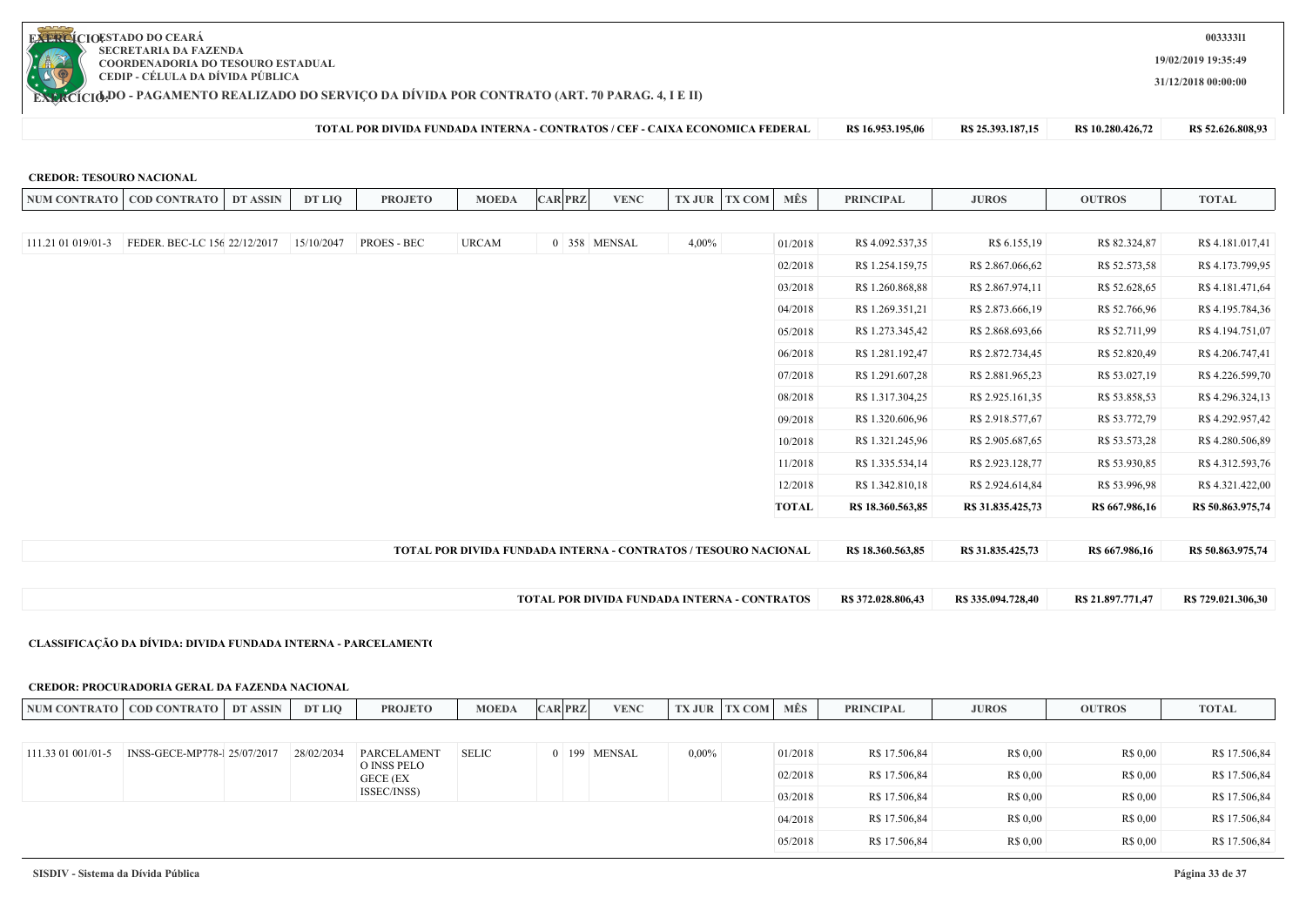

**CREDOR: TESOURO NACIONAL**

**19/02/2019 19:35:49**

**003333l1**

**31/12/2018 00:00:00**

**EXERCÍCIODO - PAGAMENTO REALIZADO DO SERVIÇO DA DIVIDA POR CONTRATO (ART. 70 PARAG. 4, I E II)** 

111.21 01 019/01-3 FEDER. BEC-LC 156/22/12/2017 15/10/2047 PROES - BEC URCAM 0 358 MENSAL 4,00%

**TOTAL POR DIVIDA FUNDADA INTERNA - CONTRATOS / CEF - CAIXA ECONOMICA FEDERAL R\$ 16.953.195,06 R\$ 25.393.187,15 R\$ 10.280.426,72 R\$ 52.626.808,93**

NUM CONTRATO | COD CONTRATO | DT ASSIN | DT LIQ | PROJETO | MOEDA |CAR|PRZ| VENC |TX JUR TX COM | MES | PRINCIPAL | JUROS | OUTROS | TOTAL

**TOTAL POR DIVIDA FUNDADA INTERNA - CONTRATOS / TESOURO NACIONAL R\$ 18.360.563,85 R\$ 31.835.425,73 R\$ 667.986,16 R\$ 50.863.975,74**

**TOTAL POR DIVIDA FUNDADA INTERNA - CONTRATOS R\$ 372.028.806,43 R\$ 335.094.728,40 R\$ 21.897.771,47 R\$ 729.021.306,30**

01/2018 R\$ 4.092.537,35 R\$ 6.155,19 R\$ 82.324,87 R\$ 4.181.017,41 02/2018 R\$ 1.254.159.75 R\$ 2.867.066.62 R\$ 52.573.58 R\$ 4.173.799.95 03/2018 R\$ 1.260.868,88 R\$ 2.867.974,11 R\$ 52.628,65 R\$ 4.181.471,64 04/2018 R\$ 1.269.351,21 R\$ 2.873.666,19 R\$ 52.766,96 R\$ 4.195.784,36 05/2018 R\$ 1.273.345,42 R\$ 2.868.693,66 R\$ 52.711,99 R\$ 4.194.751,07 06/2018 R\$ 1.281.192.47 R\$ 2.872.734.45 R\$ 52.820.49 R\$ 4.206.747.41 07/2018 R\$ 1.291.607.28 R\$ 2.881.965.23 R\$ 53.027.19 R\$ 4.226.599.70 08/2018 R\$ 1.317.304,25 R\$ 2.925.161,35 R\$ 53.858,53 R\$ 4.296.324,13 09/2018 R\$ 1.320.606,96 R\$ 2.918.577,67 R\$ 53.772,79 R\$ 4.292.957,42 10/2018 R\$ 1.321.245,96 R\$ 2.905.687,65 R\$ 53.573,28 R\$ 4.280.506,89 11/2018 R\$ 1.335.534,14 R\$ 2.923.128,77 R\$ 53.930,85 R\$ 4.312.593,76 12/2018 R\$ 1.342.810,18 R\$ 2.924.614,84 R\$ 53.996,98 R\$ 4.321.422,00 **TOTAL R\$ 18.360.563,85 R\$ 31.835.425,73 R\$ 667.986,16 R\$ 50.863.975,74**

# **CLASSIFICAÇÃO DA DÍVIDA: DIVIDA FUNDADA INTERNA - PARCELAMENTO**

#### **CREDOR: PROCURADORIA GERAL DA FAZENDA NACIONAL**

|                    | NUM CONTRATO   COD CONTRATO  | DT ASSIN | DT LIO     | <b>PROJETO</b>          | <b>MOEDA</b> | <b>CAR PRZ</b> | <b>VENC</b>  |          | <b>TX JUR   TX COM  </b> | <b>MES</b> | <b>PRINCIPAL</b> | <b>JUROS</b> | <b>OUTROS</b> | <b>TOTAL</b>  |
|--------------------|------------------------------|----------|------------|-------------------------|--------------|----------------|--------------|----------|--------------------------|------------|------------------|--------------|---------------|---------------|
|                    |                              |          |            |                         |              |                |              |          |                          |            |                  |              |               |               |
| 111.33 01 001/01-5 | INSS-GECE-MP778-1 25/07/2017 |          | 28/02/2034 | PARCELAMENT             | SELIC        |                | 0 199 MENSAL | $0.00\%$ |                          | 01/2018    | R\$ 17.506,84    | R\$ 0.00     | R\$ 0.00      | R\$ 17.506,84 |
|                    |                              |          |            | O INSS PELO<br>GECE (EX |              |                |              |          |                          | 02/2018    | R\$ 17.506,84    | R\$ 0.00     | R\$ 0.00      | R\$ 17.506,84 |
|                    |                              |          |            | ISSEC/INSS)             |              |                |              |          |                          | 03/2018    | R\$ 17.506,84    | R\$ 0.00     | R\$ 0.00      | R\$ 17.506,84 |
|                    |                              |          |            |                         |              |                |              |          |                          | 04/2018    | R\$ 17.506,84    | R\$ 0.00     | R\$ 0.00      | R\$ 17.506,84 |
|                    |                              |          |            |                         |              |                |              |          |                          | 05/2018    | R\$ 17.506,84    | R\$ 0.00     | R\$ 0.00      | R\$ 17.506,84 |
|                    |                              |          |            |                         |              |                |              |          |                          |            |                  |              |               |               |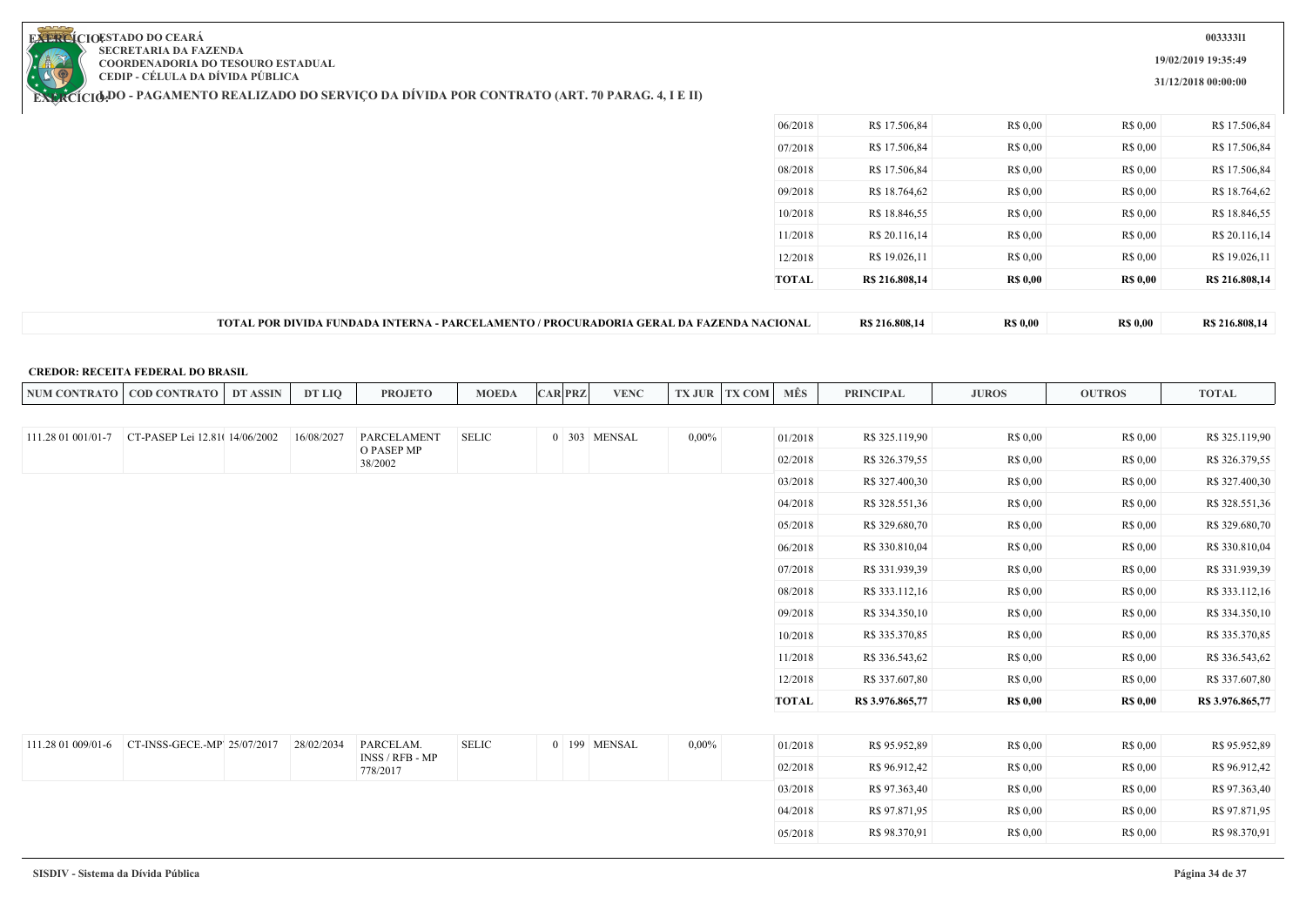

## $\mathcal{L}$

**003333l1**

**19/02/2019 19:35:49**

**31/12/2018 00:00:00**

|                    | <b>EXERCICIODO - PAGAMENTO REALIZADO DO SERVIÇO DA DIVIDA POR CONTRATO (ART. 70 PARAG. 4, I E II)</b> |            |                                                                                          |              |                |              |          |               |              |                  |                 |                 |                  |
|--------------------|-------------------------------------------------------------------------------------------------------|------------|------------------------------------------------------------------------------------------|--------------|----------------|--------------|----------|---------------|--------------|------------------|-----------------|-----------------|------------------|
|                    |                                                                                                       |            |                                                                                          |              |                |              |          |               | 06/2018      | R\$ 17.506,84    | R\$ 0,00        | R\$ 0,00        | R\$ 17.506,84    |
|                    |                                                                                                       |            |                                                                                          |              |                |              |          |               | 07/2018      | R\$ 17.506,84    | R\$ 0,00        | R\$ 0,00        | R\$ 17.506,84    |
|                    |                                                                                                       |            |                                                                                          |              |                |              |          |               | 08/2018      | R\$ 17.506,84    | R\$ 0,00        | R\$ 0,00        | R\$ 17.506,84    |
|                    |                                                                                                       |            |                                                                                          |              |                |              |          |               | 09/2018      | R\$ 18.764,62    | R\$ 0,00        | R\$ 0,00        | R\$ 18.764,62    |
|                    |                                                                                                       |            |                                                                                          |              |                |              |          |               | 10/2018      | R\$ 18.846,55    | R\$ 0,00        | R\$ 0,00        | R\$ 18.846,55    |
|                    |                                                                                                       |            |                                                                                          |              |                |              |          |               | 11/2018      | R\$ 20.116,14    | R\$ 0,00        | R\$ 0,00        | R\$ 20.116,14    |
|                    |                                                                                                       |            |                                                                                          |              |                |              |          |               | 12/2018      | R\$ 19.026,11    | R\$ 0,00        | R\$ 0,00        | R\$ 19.026,11    |
|                    |                                                                                                       |            |                                                                                          |              |                |              |          |               | <b>TOTAL</b> | R\$ 216.808,14   | <b>R\$ 0,00</b> | <b>R\$ 0,00</b> | R\$ 216.808,14   |
|                    |                                                                                                       |            | TOTAL POR DIVIDA FUNDADA INTERNA - PARCELAMENTO / PROCURADORIA GERAL DA FAZENDA NACIONAL |              |                |              |          |               |              | R\$ 216.808,14   | <b>R\$ 0,00</b> | <b>R\$ 0,00</b> | R\$ 216.808,14   |
|                    | <b>CREDOR: RECEITA FEDERAL DO BRASIL</b><br>NUM CONTRATO   COD CONTRATO   DT ASSIN                    | DT LIQ     | <b>PROJETO</b>                                                                           | <b>MOEDA</b> | <b>CAR PRZ</b> | <b>VENC</b>  |          | TX JUR TX COM | MÊS          | <b>PRINCIPAL</b> | <b>JUROS</b>    | <b>OUTROS</b>   | <b>TOTAL</b>     |
|                    |                                                                                                       |            |                                                                                          |              |                |              |          |               |              |                  |                 |                 |                  |
| 111.28 01 001/01-7 | CT-PASEP Lei 12.81(14/06/2002                                                                         | 16/08/2027 | PARCELAMENT<br>O PASEP MP                                                                | <b>SELIC</b> |                | 0 303 MENSAL | $0,00\%$ |               | 01/2018      | R\$ 325.119,90   | R\$ 0,00        | R\$ 0,00        | R\$ 325.119,90   |
|                    |                                                                                                       |            | 38/2002                                                                                  |              |                |              |          |               | 02/2018      | R\$ 326.379,55   | R\$ 0,00        | R\$ 0.00        | R\$ 326.379,55   |
|                    |                                                                                                       |            |                                                                                          |              |                |              |          |               | 03/2018      | R\$ 327.400,30   | R\$ 0,00        | R\$ 0,00        | R\$ 327.400,30   |
|                    |                                                                                                       |            |                                                                                          |              |                |              |          |               | 04/2018      | R\$ 328.551,36   | R\$ 0,00        | R\$ 0,00        | R\$ 328.551,36   |
|                    |                                                                                                       |            |                                                                                          |              |                |              |          |               | 05/2018      | R\$ 329.680,70   | R\$ 0,00        | R\$ 0,00        | R\$ 329.680,70   |
|                    |                                                                                                       |            |                                                                                          |              |                |              |          |               | 06/2018      | R\$ 330.810,04   | R\$ 0,00        | R\$ 0,00        | R\$ 330.810,04   |
|                    |                                                                                                       |            |                                                                                          |              |                |              |          |               | 07/2018      | R\$ 331.939,39   | R\$ 0.00        | R\$ 0,00        | R\$ 331.939,39   |
|                    |                                                                                                       |            |                                                                                          |              |                |              |          |               | 08/2018      | R\$ 333.112,16   | R\$ 0.00        | R\$ 0,00        | R\$ 333.112,16   |
|                    |                                                                                                       |            |                                                                                          |              |                |              |          |               | 09/2018      | R\$ 334.350,10   | R\$ 0,00        | R\$ 0,00        | R\$ 334.350,10   |
|                    |                                                                                                       |            |                                                                                          |              |                |              |          |               | 10/2018      | R\$ 335.370,85   | R\$ 0,00        | R\$ 0,00        | R\$ 335.370,85   |
|                    |                                                                                                       |            |                                                                                          |              |                |              |          |               | 11/2018      | R\$ 336.543,62   | R\$ 0,00        | R\$ 0,00        | R\$ 336.543,62   |
|                    |                                                                                                       |            |                                                                                          |              |                |              |          |               | 12/2018      | R\$ 337.607,80   | R\$ 0,00        | R\$ 0,00        | R\$ 337.607,80   |
|                    |                                                                                                       |            |                                                                                          |              |                |              |          |               | <b>TOTAL</b> | R\$ 3.976.865,77 | <b>R\$ 0,00</b> | <b>R\$ 0,00</b> | R\$ 3.976.865,77 |
| 111.28 01 009/01-6 | CT-INSS-GECE.-MP' 25/07/2017                                                                          | 28/02/2034 | PARCELAM.                                                                                | <b>SELIC</b> |                | 0 199 MENSAL | $0,00\%$ |               | 01/2018      | R\$ 95.952,89    | R\$ 0,00        | R\$ 0,00        | R\$ 95.952,89    |
|                    |                                                                                                       |            | INSS / RFB - MP                                                                          |              |                |              |          |               | 02/2018      | R\$ 96.912,42    | R\$ 0,00        | R\$ 0,00        | R\$ 96.912,42    |
|                    |                                                                                                       |            | 778/2017                                                                                 |              |                |              |          |               | 03/2018      | R\$ 97.363,40    | R\$ 0,00        | R\$ 0,00        | R\$ 97.363,40    |
|                    |                                                                                                       |            |                                                                                          |              |                |              |          |               | 04/2018      | R\$ 97.871,95    | R\$ 0,00        | R\$ 0,00        | R\$ 97.871,95    |
|                    |                                                                                                       |            |                                                                                          |              |                |              |          |               | 05/2018      | R\$ 98.370,91    | R\$ 0.00        | R\$ 0.00        | R\$ 98.370,91    |
|                    |                                                                                                       |            |                                                                                          |              |                |              |          |               |              |                  |                 |                 |                  |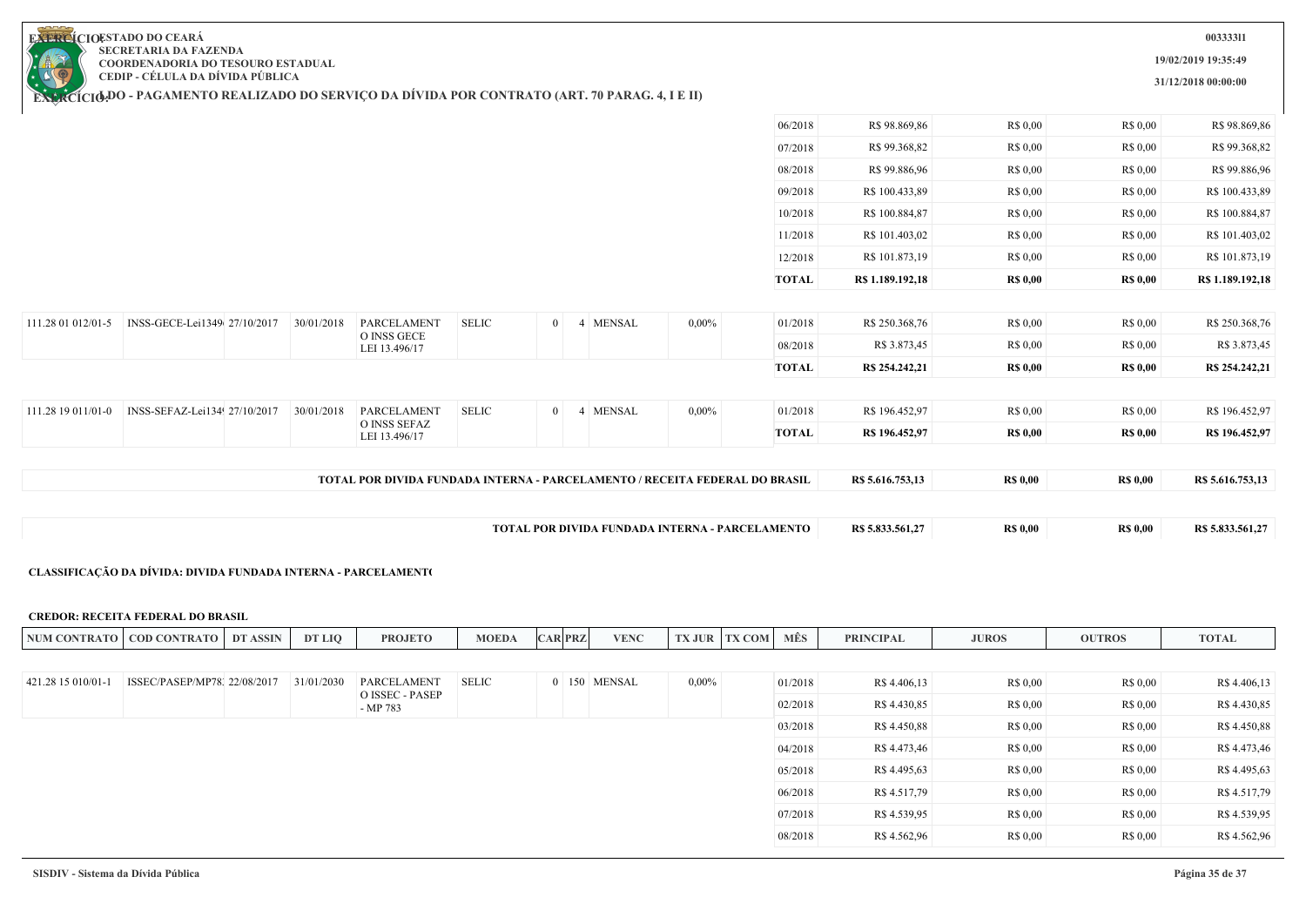| F) | <b>EL CIOESTADO DO CEARÁ</b>              |
|----|-------------------------------------------|
|    | <b>SECRETARIA DA FAZENDA</b>              |
|    | <b>COORDENADORIA DO TESOURO ESTADUAL</b>  |
|    | CEDIP - CÉLULA DA DÍVIDA PÚBLICA          |
|    | <b>J BO BLC (MENTO BE 41174 BO BO SE)</b> |

**19/02/2019 19:35:49 31/12/2018 00:00:00**

**CEDIP - CÉLULA DA DÍVIDA PÚBLICA**

**EXERCÍCIODO - PAGAMENTO REALIZADO DO SERVIÇO DA DIVIDA POR CONTRATO (ART. 70 PARAG. 4, I E II)** 

|                    |                              |            | LEI 13.496/17               |              |            |          | <b>TOTAL</b> | R\$ 196.452,97   | <b>R\$ 0,00</b> | <b>R\$ 0,00</b> | R\$ 196.452,97   |
|--------------------|------------------------------|------------|-----------------------------|--------------|------------|----------|--------------|------------------|-----------------|-----------------|------------------|
| 111.28 19 011/01-0 | INSS-SEFAZ-Lei134 27/10/2017 | 30/01/2018 | PARCELAMENT<br>O INSS SEFAZ | <b>SELIC</b> | 0 4 MENSAL | $0,00\%$ | 01/2018      | R\$ 196.452,97   | R\$ 0.00        | R\$ 0,00        | R\$ 196.452,97   |
|                    |                              |            |                             |              |            |          |              |                  |                 |                 |                  |
|                    |                              |            |                             |              |            |          | <b>TOTAL</b> | R\$ 254,242,21   | <b>R\$</b> 0,00 | <b>R\$ 0,00</b> | R\$ 254.242,21   |
|                    |                              |            | LEI 13.496/17               |              |            |          | 08/2018      | R\$ 3.873,45     | R\$ 0,00        | R\$ 0,00        | R\$ 3.873,45     |
| 111.28 01 012/01-5 | INSS-GECE-Lei1349 27/10/2017 | 30/01/2018 | PARCELAMENT<br>O INSS GECE  | <b>SELIC</b> | 0 4 MENSAL | $0,00\%$ | 01/2018      | R\$ 250.368,76   | R\$ 0.00        | R\$ 0,00        | R\$ 250.368,76   |
|                    |                              |            |                             |              |            |          |              |                  |                 |                 |                  |
|                    |                              |            |                             |              |            |          | <b>TOTAL</b> | R\$ 1.189.192,18 | <b>R\$ 0,00</b> | <b>R\$ 0,00</b> | R\$ 1.189.192,18 |
|                    |                              |            |                             |              |            |          | 12/2018      | R\$ 101.873,19   | R\$ 0,00        | R\$ 0,00        | R\$ 101.873,19   |
|                    |                              |            |                             |              |            |          | 11/2018      | R\$ 101.403,02   | R\$ 0,00        | R\$ 0,00        | R\$ 101.403,02   |
|                    |                              |            |                             |              |            |          | 10/2018      | R\$ 100.884,87   | R\$ 0.00        | R\$ 0,00        | R\$ 100.884,87   |
|                    |                              |            |                             |              |            |          | 09/2018      | R\$ 100.433,89   | R\$ 0.00        | R\$ 0,00        | R\$ 100.433,89   |
|                    |                              |            |                             |              |            |          | 08/2018      | R\$ 99.886,96    | R\$ 0,00        | R\$ 0,00        | R\$ 99.886,96    |
|                    |                              |            |                             |              |            |          | 07/2018      | R\$ 99.368,82    | R\$ 0,00        | R\$ 0,00        | R\$ 99.368,82    |
|                    |                              |            |                             |              |            |          | 06/2018      | R\$ 98.869,86    | R\$ 0,00        | R\$ 0,00        | R\$ 98.869,86    |

#### **CLASSIFICAÇÃO DA DÍVIDA: DIVIDA FUNDADA INTERNA - PARCELAMENTO**

#### **CREDOR: RECEITA FEDERAL DO BRASIL**

| <b>NUM CON</b><br>LRAT' | $\cdot$ CONT<br><b>TRATO</b><br>COD ( | <b>ASSIN</b><br> | <b>DT LIO</b> | <b>ROJETO</b> | <b>MOEDA</b> | $\angle$ AR PRZ | <b>VENC</b> | property of<br>7.JUR | х сом . | <b>MES</b> | <b>PRINCIPAL</b> | <b>JUROS</b> | <b>OUTROS</b> | TOTAL |
|-------------------------|---------------------------------------|------------------|---------------|---------------|--------------|-----------------|-------------|----------------------|---------|------------|------------------|--------------|---------------|-------|
|                         |                                       |                  |               |               |              |                 |             |                      |         |            |                  |              |               |       |

| 421.28 15 010/01-1 | ISSEC/PASEP/MP78, 22/08/2017 | 31/01/2030 | PARCELAMENT                 | <b>SELIC</b> |  | 0 150 MENSAL | $0.00\%$ | 01/2018 | R\$ 4.406,13 | R\$ 0.00 | R\$ 0.00 | R\$ 4.406,13 |
|--------------------|------------------------------|------------|-----------------------------|--------------|--|--------------|----------|---------|--------------|----------|----------|--------------|
|                    |                              |            | O ISSEC - PASEP<br>- MP 783 |              |  |              |          | 02/2018 | R\$ 4.430,85 | R\$ 0.00 | R\$ 0.00 | R\$ 4.430,85 |
|                    |                              |            |                             |              |  |              |          | 03/2018 | R\$ 4.450,88 | R\$ 0.00 | R\$ 0.00 | R\$ 4.450,88 |
|                    |                              |            |                             |              |  |              |          | 04/2018 | R\$ 4.473,46 | R\$ 0,00 | R\$ 0.00 | R\$ 4.473,46 |
|                    |                              |            |                             |              |  |              |          | 05/2018 | R\$ 4.495,63 | R\$ 0.00 | R\$ 0.00 | R\$ 4.495,63 |
|                    |                              |            |                             |              |  |              |          | 06/2018 | R\$ 4.517,79 | R\$ 0.00 | R\$ 0.00 | R\$ 4.517,79 |
|                    |                              |            |                             |              |  |              |          | 07/2018 | R\$ 4.539,95 | R\$ 0.00 | R\$ 0.00 | R\$ 4.539,95 |
|                    |                              |            |                             |              |  |              |          | 08/2018 | R\$ 4.562,96 | R\$ 0.00 | R\$ 0.00 | R\$ 4.562,96 |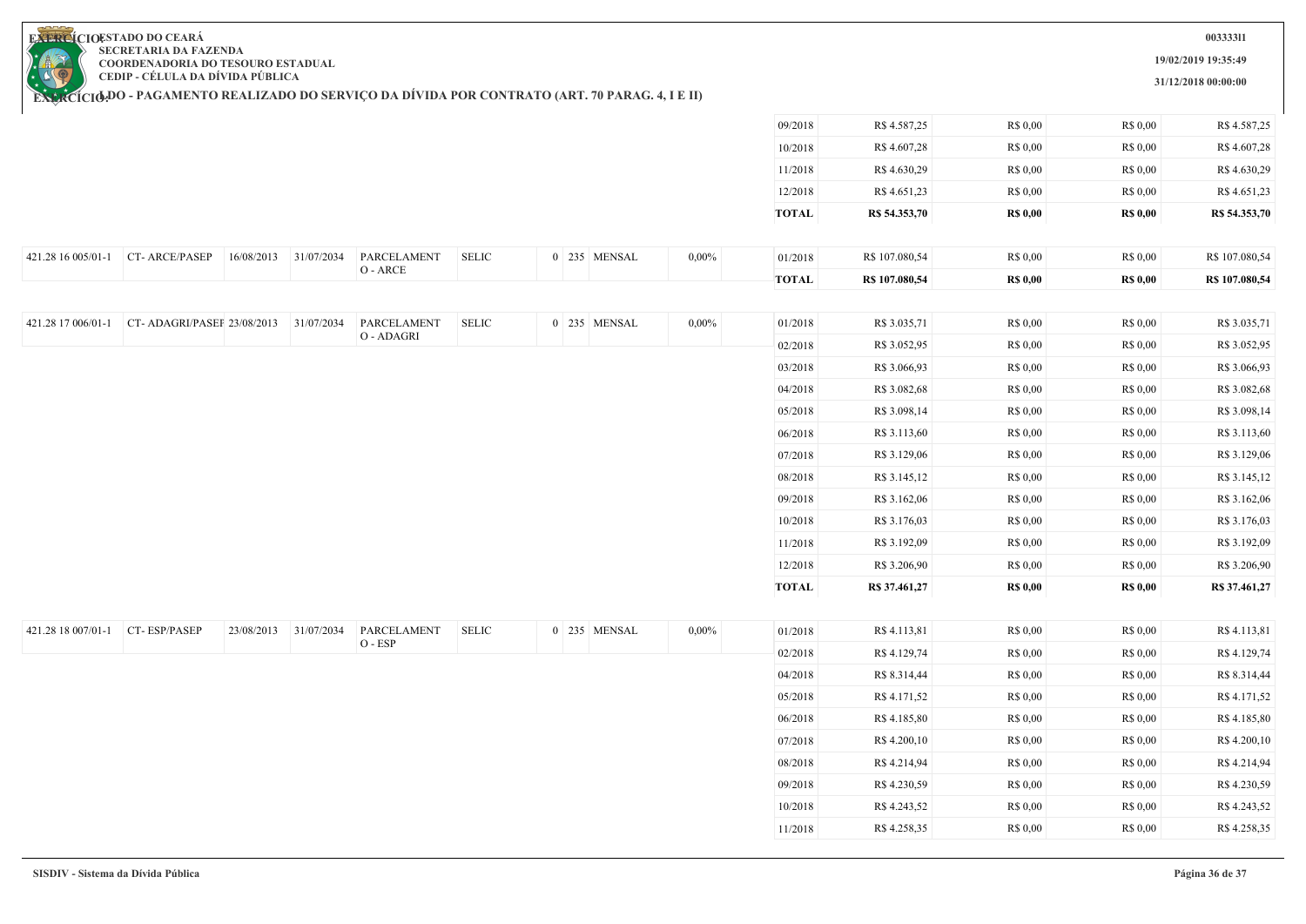**19/02/2019 19:35:49**

**31/12/2018 00:00:00**

**EXERCIOESTADO DO CEARA SECRETARIA DA FAZENDA COORDENADORIA DO TESOURO ESTADUAL CEDIP - CÉLULA DA DÍVIDA PÚBLICA**

|                                 |                                       |            |                       |                        |                            |              |          | 09/2018      | R\$ 4.587,25   | R\$ 0,00        | R\$ 0,00        | R\$ 4.587,25   |
|---------------------------------|---------------------------------------|------------|-----------------------|------------------------|----------------------------|--------------|----------|--------------|----------------|-----------------|-----------------|----------------|
|                                 |                                       |            |                       |                        |                            |              |          | 10/2018      | R\$ 4.607,28   | R\$ 0,00        | R\$ 0,00        | R\$ 4.607,28   |
|                                 |                                       |            |                       |                        |                            |              |          | 11/2018      | R\$ 4.630,29   | R\$ 0,00        | R\$ 0,00        | R\$ 4.630,29   |
|                                 |                                       |            |                       |                        |                            |              |          | 12/2018      | R\$ 4.651,23   | R\$ 0,00        | R\$ 0,00        | R\$ 4.651,23   |
|                                 |                                       |            |                       |                        |                            |              |          | <b>TOTAL</b> | R\$ 54.353,70  | <b>R\$ 0,00</b> | <b>R\$ 0,00</b> | R\$ 54.353,70  |
|                                 |                                       |            |                       |                        |                            |              |          |              |                |                 |                 |                |
| 421.28 16 005/01-1              | CT-ARCE/PASEP                         | 16/08/2013 | 31/07/2034            | PARCELAMENT            | $\operatorname{\bf SELIC}$ | 0 235 MENSAL | $0,00\%$ | 01/2018      | R\$ 107.080,54 | R\$ 0,00        | R\$ 0,00        | R\$ 107.080,54 |
|                                 |                                       |            |                       | $\mathrm{O}$ - ARCE    |                            |              |          | <b>TOTAL</b> | R\$ 107.080,54 | <b>R\$ 0,00</b> | <b>R\$ 0,00</b> | R\$ 107.080,54 |
|                                 |                                       |            |                       |                        |                            |              |          |              |                |                 |                 |                |
| 421.28 17 006/01-1              | CT-ADAGRI/PASEF 23/08/2013 31/07/2034 |            |                       | PARCELAMENT            | <b>SELIC</b>               | 0 235 MENSAL | $0,00\%$ | 01/2018      | R\$ 3.035,71   | R\$ 0,00        | R\$ 0,00        | R\$ 3.035,71   |
|                                 |                                       |            |                       | O - ADAGRI             |                            |              |          | 02/2018      | R\$ 3.052,95   | R\$ 0,00        | R\$ 0,00        | R\$ 3.052,95   |
|                                 |                                       |            |                       |                        |                            |              |          | 03/2018      | R\$ 3.066,93   | R\$ 0,00        | R\$ 0,00        | R\$ 3.066,93   |
|                                 |                                       |            |                       |                        |                            |              |          | 04/2018      | R\$ 3.082,68   | R\$ 0,00        | R\$ 0,00        | R\$ 3.082,68   |
|                                 |                                       |            |                       |                        |                            |              |          | 05/2018      | R\$ 3.098,14   | R\$ 0,00        | R\$ 0,00        | R\$ 3.098,14   |
|                                 |                                       |            |                       |                        |                            |              |          | 06/2018      | R\$ 3.113,60   | R\$ 0,00        | R\$ 0,00        | R\$ 3.113,60   |
|                                 |                                       |            |                       |                        |                            |              |          | 07/2018      | R\$ 3.129,06   | R\$ 0,00        | R\$ 0,00        | R\$ 3.129,06   |
|                                 |                                       |            |                       |                        |                            |              |          | 08/2018      | R\$ 3.145,12   | R\$ 0,00        | R\$ 0,00        | R\$ 3.145,12   |
|                                 |                                       |            |                       |                        |                            |              |          | 09/2018      | R\$ 3.162,06   | R\$ 0,00        | R\$ 0,00        | R\$ 3.162,06   |
|                                 |                                       |            |                       |                        |                            |              |          | 10/2018      | R\$ 3.176,03   | R\$ 0,00        | R\$ 0,00        | R\$ 3.176,03   |
|                                 |                                       |            |                       |                        |                            |              |          | 11/2018      | R\$ 3.192,09   | R\$ 0,00        | R\$ 0,00        | R\$ 3.192,09   |
|                                 |                                       |            |                       |                        |                            |              |          | 12/2018      | R\$ 3.206,90   | R\$ 0,00        | R\$ 0,00        | R\$ 3.206,90   |
|                                 |                                       |            |                       |                        |                            |              |          | <b>TOTAL</b> | R\$ 37.461,27  | <b>R\$ 0,00</b> | <b>R\$ 0,00</b> | R\$ 37.461,27  |
|                                 |                                       |            |                       |                        |                            |              |          |              |                |                 |                 |                |
| 421.28 18 007/01-1 CT-ESP/PASEP |                                       |            | 23/08/2013 31/07/2034 | PARCELAMENT<br>O - ESP | $\operatorname{\bf SELIC}$ | 0 235 MENSAL | 0,00%    | 01/2018      | R\$ 4.113,81   | R\$ 0.00        | R\$ 0,00        | R\$ 4.113,81   |
|                                 |                                       |            |                       |                        |                            |              |          | 02/2018      | R\$ 4.129,74   | R\$ 0,00        | R\$ 0,00        | R\$ 4.129,74   |
|                                 |                                       |            |                       |                        |                            |              |          | 04/2018      | R\$ 8.314,44   | R\$ 0,00        | R\$ 0,00        | R\$ 8.314,44   |
|                                 |                                       |            |                       |                        |                            |              |          | 05/2018      | R\$ 4.171,52   | R\$ 0,00        | R\$ 0,00        | R\$ 4.171,52   |
|                                 |                                       |            |                       |                        |                            |              |          | 06/2018      | R\$ 4.185,80   | R\$ 0,00        | R\$ 0,00        | R\$ 4.185,80   |
|                                 |                                       |            |                       |                        |                            |              |          | 07/2018      | R\$ 4.200,10   | R\$ 0,00        | R\$ 0,00        | R\$ 4.200,10   |
|                                 |                                       |            |                       |                        |                            |              |          | 08/2018      | R\$ 4.214,94   | R\$ 0,00        | R\$ 0,00        | R\$ 4.214,94   |
|                                 |                                       |            |                       |                        |                            |              |          | 09/2018      | R\$ 4.230,59   | R\$ 0,00        | R\$ 0,00        | R\$ 4.230,59   |
|                                 |                                       |            |                       |                        |                            |              |          | 10/2018      | R\$ 4.243,52   | R\$ 0,00        | R\$ 0,00        | R\$ 4.243,52   |
|                                 |                                       |            |                       |                        |                            |              |          | 11/2018      | R\$ 4.258,35   | R\$ 0,00        | R\$ 0,00        | R\$ 4.258,35   |